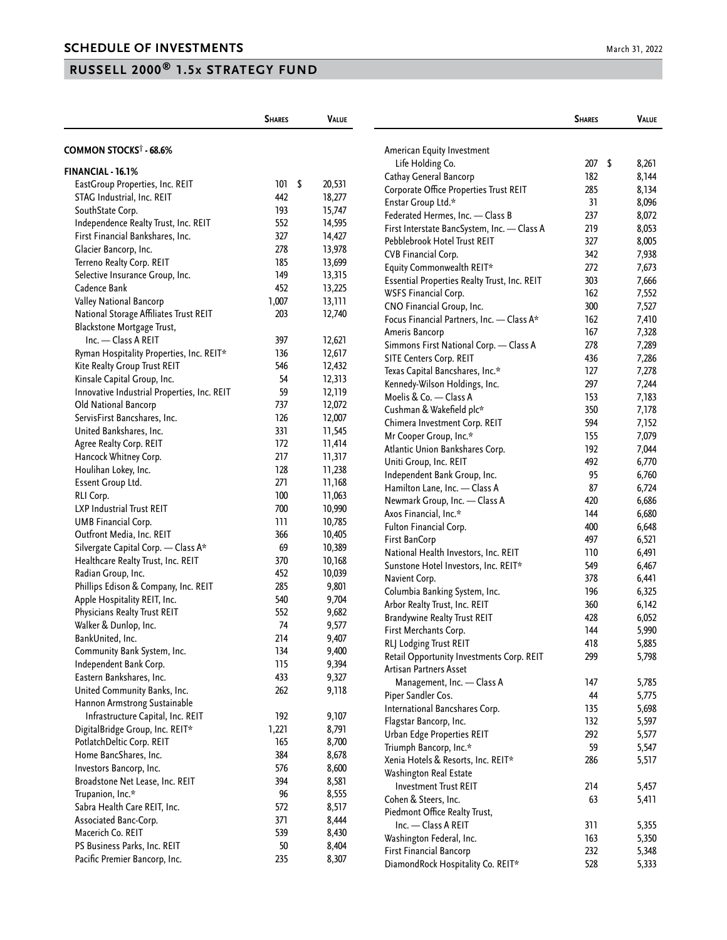|                                                       | <b>SHARES</b> | <b>VALUE</b> |                                              | <b>SHARES</b> | VALUE |
|-------------------------------------------------------|---------------|--------------|----------------------------------------------|---------------|-------|
| COMMON STOCKS <sup>†</sup> - 68.6%                    |               |              | American Equity Investment                   |               |       |
|                                                       |               |              | Life Holding Co.                             | 207S          | 8,261 |
| FINANCIAL - 16.1%                                     |               |              | Cathay General Bancorp                       | 182           | 8,144 |
| EastGroup Properties, Inc. REIT                       | 101S          | 20,531       | Corporate Office Properties Trust REIT       | 285           | 8,134 |
| STAG Industrial, Inc. REIT                            | 442           | 18,277       | Enstar Group Ltd.*                           | 31            | 8,096 |
| SouthState Corp.                                      | 193           | 15,747       | Federated Hermes, Inc. - Class B             | 237           | 8,072 |
| Independence Realty Trust, Inc. REIT                  | 552           | 14,595       | First Interstate BancSystem, Inc. - Class A  | 219           | 8,053 |
| First Financial Bankshares, Inc.                      | 327           | 14,427       | Pebblebrook Hotel Trust REIT                 | 327           | 8,005 |
| Glacier Bancorp, Inc.                                 | 278           | 13,978       | CVB Financial Corp.                          | 342           | 7,938 |
| Terreno Realty Corp. REIT                             | 185           | 13,699       | Equity Commonwealth REIT*                    | 272           | 7,673 |
| Selective Insurance Group, Inc.                       | 149           | 13,315       | Essential Properties Realty Trust, Inc. REIT | 303           | 7,666 |
| Cadence Bank                                          | 452           | 13,225       | WSFS Financial Corp.                         | 162           | 7,552 |
| Valley National Bancorp                               | 1,007         | 13,111       | CNO Financial Group, Inc.                    | 300           | 7,527 |
| National Storage Affiliates Trust REIT                | 203           | 12,740       | Focus Financial Partners, Inc. - Class A*    | 162           | 7,410 |
| Blackstone Mortgage Trust,                            |               |              | Ameris Bancorp                               | 167           | 7,328 |
| Inc. - Class A REIT                                   | 397           | 12,621       | Simmons First National Corp. - Class A       | 278           | 7,289 |
| Ryman Hospitality Properties, Inc. REIT*              | 136           | 12,617       | SITE Centers Corp. REIT                      | 436           | 7,286 |
| Kite Realty Group Trust REIT                          | 546           | 12,432       | Texas Capital Bancshares, Inc.*              | 127           | 7,278 |
| Kinsale Capital Group, Inc.                           | 54            | 12,313       | Kennedy-Wilson Holdings, Inc.                | 297           | 7,244 |
| Innovative Industrial Properties, Inc. REIT           | 59            | 12,119       | Moelis & Co. - Class A                       | 153           | 7,183 |
| Old National Bancorp                                  | 737           | 12,072       | Cushman & Wakefield plc*                     | 350           |       |
| ServisFirst Bancshares, Inc.                          | 126           | 12,007       |                                              |               | 7,178 |
| United Bankshares, Inc.                               | 331           | 11,545       | Chimera Investment Corp. REIT                | 594           | 7,152 |
| Agree Realty Corp. REIT                               | 172           | 11,414       | Mr Cooper Group, Inc.*                       | 155           | 7,079 |
| Hancock Whitney Corp.                                 | 217           | 11,317       | Atlantic Union Bankshares Corp.              | 192           | 7,044 |
| Houlihan Lokey, Inc.                                  | 128           | 11,238       | Uniti Group, Inc. REIT                       | 492           | 6,770 |
| Essent Group Ltd.                                     | 271           | 11,168       | Independent Bank Group, Inc.                 | 95            | 6,760 |
| RLI Corp.                                             | 100           | 11,063       | Hamilton Lane, Inc. - Class A                | 87            | 6,724 |
| LXP Industrial Trust REIT                             | 700           | 10,990       | Newmark Group, Inc. - Class A                | 420           | 6,686 |
| UMB Financial Corp.                                   | 111           | 10,785       | Axos Financial, Inc.*                        | 144           | 6,680 |
| Outfront Media, Inc. REIT                             | 366           | 10,405       | Fulton Financial Corp.                       | 400           | 6,648 |
| Silvergate Capital Corp. - Class A*                   | 69            | 10,389       | First BanCorp                                | 497           | 6,521 |
| Healthcare Realty Trust, Inc. REIT                    | 370           | 10,168       | National Health Investors, Inc. REIT         | 110           | 6,491 |
| Radian Group, Inc.                                    | 452           | 10,039       | Sunstone Hotel Investors, Inc. REIT*         | 549           | 6,467 |
| Phillips Edison & Company, Inc. REIT                  | 285           | 9,801        | Navient Corp.                                | 378           | 6,441 |
| Apple Hospitality REIT, Inc.                          | 540           | 9,704        | Columbia Banking System, Inc.                | 196           | 6,325 |
| Physicians Realty Trust REIT                          | 552           | 9,682        | Arbor Realty Trust, Inc. REIT                | 360           | 6,142 |
| Walker & Dunlop, Inc.                                 | 74            | 9,577        | <b>Brandywine Realty Trust REIT</b>          | 428           | 6,052 |
| BankUnited, Inc.                                      | 214           | 9,407        | First Merchants Corp.                        | 144           | 5,990 |
|                                                       | 134           | 9,400        | RLJ Lodging Trust REIT                       | 418           | 5,885 |
| Community Bank System, Inc.<br>Independent Bank Corp. | 115           |              | Retail Opportunity Investments Corp. REIT    | 299           | 5,798 |
| Eastern Bankshares, Inc.                              | 433           | 9,394        | Artisan Partners Asset                       |               |       |
|                                                       |               | 9,327        | Management, Inc. - Class A                   | 147           | 5,785 |
| United Community Banks, Inc.                          | 262           | 9,118        | Piper Sandler Cos.                           | 44            | 5,775 |
| Hannon Armstrong Sustainable                          |               |              | International Bancshares Corp.               | 135           | 5,698 |
| Infrastructure Capital, Inc. REIT                     | 192           | 9,107        | Flagstar Bancorp, Inc.                       | 132           | 5,597 |
| DigitalBridge Group, Inc. REIT*                       | 1,221         | 8,791        | Urban Edge Properties REIT                   | 292           | 5,577 |
| PotlatchDeltic Corp. REIT                             | 165           | 8,700        | Triumph Bancorp, Inc.*                       | 59            | 5,547 |
| Home BancShares, Inc.                                 | 384           | 8,678        | Xenia Hotels & Resorts, Inc. REIT*           | 286           | 5,517 |
| Investors Bancorp, Inc.                               | 576           | 8,600        | Washington Real Estate                       |               |       |
| Broadstone Net Lease, Inc. REIT                       | 394           | 8,581        | <b>Investment Trust REIT</b>                 | 214           | 5,457 |
| Trupanion, Inc.*                                      | 96            | 8,555        | Cohen & Steers, Inc.                         | 63            | 5,411 |
| Sabra Health Care REIT, Inc.                          | 572           | 8,517        | Piedmont Office Realty Trust,                |               |       |
| Associated Banc-Corp.                                 | 371           | 8,444        | Inc. - Class A REIT                          | 311           | 5,355 |
| Macerich Co. REIT                                     | 539           | 8,430        | Washington Federal, Inc.                     | 163           | 5,350 |
| PS Business Parks, Inc. REIT                          | 50            | 8,404        | First Financial Bancorp                      | 232           | 5,348 |
| Pacific Premier Bancorp, Inc.                         | 235           | 8,307        | DiamondRock Hospitality Co. REIT*            | 528           | 5,333 |
|                                                       |               |              |                                              |               |       |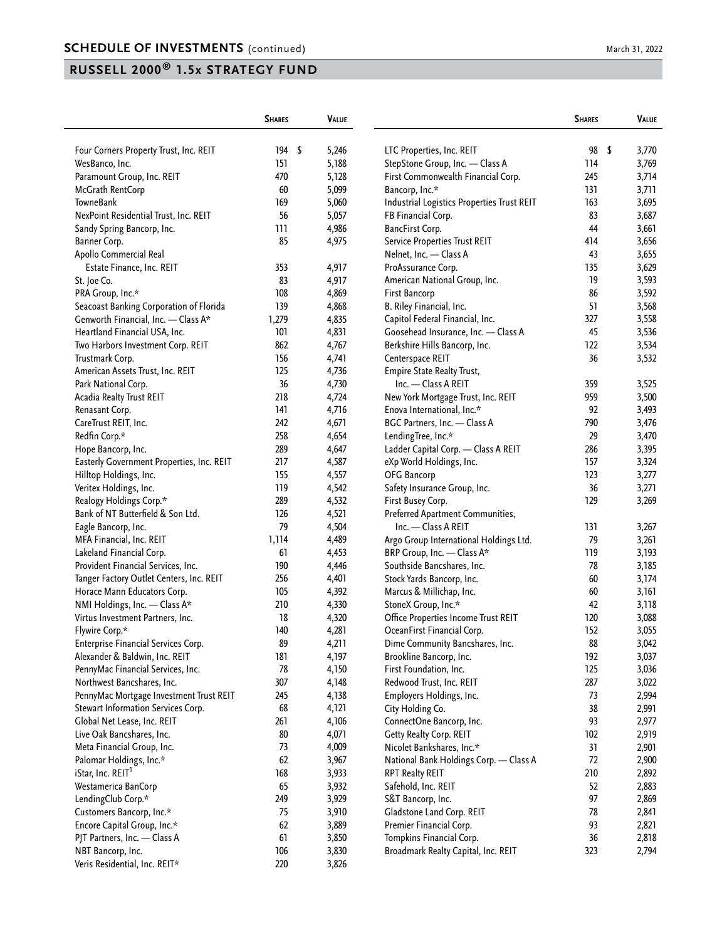|                                                                         | <b>SHARES</b> | <b>VALUE</b>   |                                                            | <b>SHARES</b> | VALUE          |
|-------------------------------------------------------------------------|---------------|----------------|------------------------------------------------------------|---------------|----------------|
| Four Corners Property Trust, Inc. REIT                                  | 194<br>- \$   | 5,246          | LTC Properties, Inc. REIT                                  | 98            | \$<br>3,770    |
| WesBanco, Inc.                                                          | 151           | 5,188          | StepStone Group, Inc. - Class A                            | 114           | 3,769          |
| Paramount Group, Inc. REIT                                              | 470           | 5,128          | First Commonwealth Financial Corp.                         | 245           | 3,714          |
| McGrath RentCorp                                                        | 60            | 5,099          | Bancorp, Inc.*                                             | 131           | 3,711          |
| TowneBank                                                               | 169           | 5,060          | Industrial Logistics Properties Trust REIT                 | 163           | 3,695          |
| NexPoint Residential Trust, Inc. REIT                                   | 56            | 5,057          | FB Financial Corp.                                         | 83            | 3,687          |
| Sandy Spring Bancorp, Inc.                                              | 111           | 4,986          | BancFirst Corp.                                            | 44            | 3,661          |
| Banner Corp.                                                            | 85            | 4,975          | <b>Service Properties Trust REIT</b>                       | 414           | 3,656          |
| Apollo Commercial Real                                                  |               |                | Nelnet, Inc. - Class A                                     | 43            | 3,655          |
| Estate Finance, Inc. REIT                                               | 353           | 4,917          | ProAssurance Corp.                                         | 135           | 3,629          |
| St. Joe Co.                                                             | 83            | 4,917          | American National Group, Inc.                              | 19            | 3,593          |
| PRA Group, Inc.*                                                        | 108           | 4,869          | First Bancorp                                              | 86            | 3,592          |
| Seacoast Banking Corporation of Florida                                 | 139           | 4,868          | B. Riley Financial, Inc.                                   | 51            | 3,568          |
| Genworth Financial, Inc. - Class A*                                     | 1,279         | 4,835          | Capitol Federal Financial, Inc.                            | 327           | 3,558          |
| Heartland Financial USA, Inc.                                           | 101           | 4,831          | Goosehead Insurance, Inc. - Class A                        | 45            | 3,536          |
| Two Harbors Investment Corp. REIT                                       | 862           | 4,767          | Berkshire Hills Bancorp, Inc.                              | 122           | 3,534          |
| Trustmark Corp.                                                         | 156           | 4,741          | Centerspace REIT                                           | 36            | 3,532          |
| American Assets Trust, Inc. REIT                                        | 125           | 4,736          | <b>Empire State Realty Trust,</b>                          |               |                |
| Park National Corp.                                                     | 36            | 4,730          | Inc. - Class A REIT                                        | 359           | 3,525          |
|                                                                         | 218           | 4,724          | New York Mortgage Trust, Inc. REIT                         | 959           | 3,500          |
| Acadia Realty Trust REIT                                                | 141           | 4,716          | Enova International, Inc.*                                 | 92            |                |
| Renasant Corp.<br>CareTrust REIT, Inc.                                  | 242           | 4,671          | BGC Partners, Inc. - Class A                               | 790           | 3,493<br>3,476 |
| Redfin Corp.*                                                           |               |                |                                                            | 29            |                |
|                                                                         | 258           | 4,654          | LendingTree, Inc.*                                         |               | 3,470          |
| Hope Bancorp, Inc.                                                      | 289<br>217    | 4,647          | Ladder Capital Corp. - Class A REIT                        | 286           | 3,395          |
| Easterly Government Properties, Inc. REIT                               | 155           | 4,587          | eXp World Holdings, Inc.                                   | 157<br>123    | 3,324          |
| Hilltop Holdings, Inc.                                                  | 119           | 4,557          | OFG Bancorp                                                | 36            | 3,277          |
| Veritex Holdings, Inc.                                                  | 289           | 4,542          | Safety Insurance Group, Inc.                               |               | 3,271          |
| Realogy Holdings Corp.*                                                 |               | 4,532          | First Busey Corp.                                          | 129           | 3,269          |
| Bank of NT Butterfield & Son Ltd.                                       | 126<br>79     | 4,521          | Preferred Apartment Communities,                           |               |                |
| Eagle Bancorp, Inc.                                                     |               | 4,504          | Inc. - Class A REIT                                        | 131<br>79     | 3,267          |
| MFA Financial, Inc. REIT                                                | 1,114         | 4,489          | Argo Group International Holdings Ltd.                     | 119           | 3,261          |
| Lakeland Financial Corp.                                                | 61<br>190     | 4,453          | BRP Group, Inc. - Class A*                                 | 78            | 3,193          |
| Provident Financial Services, Inc.                                      |               | 4,446          | Southside Bancshares, Inc.                                 | 60            | 3,185          |
| Tanger Factory Outlet Centers, Inc. REIT<br>Horace Mann Educators Corp. | 256<br>105    | 4,401<br>4,392 | Stock Yards Bancorp, Inc.                                  | 60            | 3,174<br>3,161 |
|                                                                         | 210           | 4,330          | Marcus & Millichap, Inc.                                   | 42            |                |
| NMI Holdings, Inc. - Class A*                                           | 18            |                | StoneX Group, Inc.*<br>Office Properties Income Trust REIT |               | 3,118          |
| Virtus Investment Partners, Inc.                                        | 140           | 4,320          | OceanFirst Financial Corp.                                 | 120           | 3,088          |
| Flywire Corp.*<br>Enterprise Financial Services Corp.                   |               | 4,281          |                                                            | 152           | 3,055          |
|                                                                         | 89<br>181     | 4,21 I         | Dime Community Bancshares, Inc.                            | 88<br>192     | 3,042          |
| Alexander & Baldwin, Inc. REIT<br>PennyMac Financial Services, Inc.     | 78            | 4,197          | Brookline Bancorp, Inc.                                    |               | 3,037          |
|                                                                         |               | 4,150          | First Foundation, Inc.<br>Redwood Trust, Inc. REIT         | 125           | 3,036          |
| Northwest Bancshares, Inc.<br>PennyMac Mortgage Investment Trust REIT   | 307           | 4,148          | Employers Holdings, Inc.                                   | 287           | 3,022          |
|                                                                         | 245           | 4,138          |                                                            | 73            | 2,994          |
| Stewart Information Services Corp.                                      | 68            | 4,121          | City Holding Co.                                           | 38            | 2,991          |
| Global Net Lease, Inc. REIT                                             | 261           | 4,106          | ConnectOne Bancorp, Inc.                                   | 93            | 2,977          |
| Live Oak Bancshares, Inc.                                               | 80            | 4,071          | Getty Realty Corp. REIT                                    | 102           | 2,919          |
| Meta Financial Group, Inc.                                              | 73            | 4,009          | Nicolet Bankshares, Inc.*                                  | 31            | 2,901          |
| Palomar Holdings, Inc.*                                                 | 62            | 3,967          | National Bank Holdings Corp. - Class A                     | $72\,$        | 2,900          |
| iStar, Inc. REIT <sup>1</sup>                                           | 168           | 3,933          | RPT Realty REIT                                            | 210           | 2,892          |
| Westamerica BanCorp                                                     | 65            | 3,932          | Safehold, Inc. REIT                                        | 52            | 2,883          |
| LendingClub Corp.*                                                      | 249           | 3,929          | S&T Bancorp, Inc.                                          | 97            | 2,869          |
| Customers Bancorp, Inc.*                                                | 75            | 3,910          | Gladstone Land Corp. REIT                                  | 78            | 2,841          |
| Encore Capital Group, Inc.*                                             | 62            | 3,889          | Premier Financial Corp.                                    | 93            | 2,821          |
| PJT Partners, Inc. - Class A                                            | 61            | 3,850          | Tompkins Financial Corp.                                   | 36            | 2,818          |
| NBT Bancorp, Inc.                                                       | 106           | 3,830          | Broadmark Realty Capital, Inc. REIT                        | 323           | 2,794          |
| Veris Residential, Inc. REIT*                                           | 220           | 3,826          |                                                            |               |                |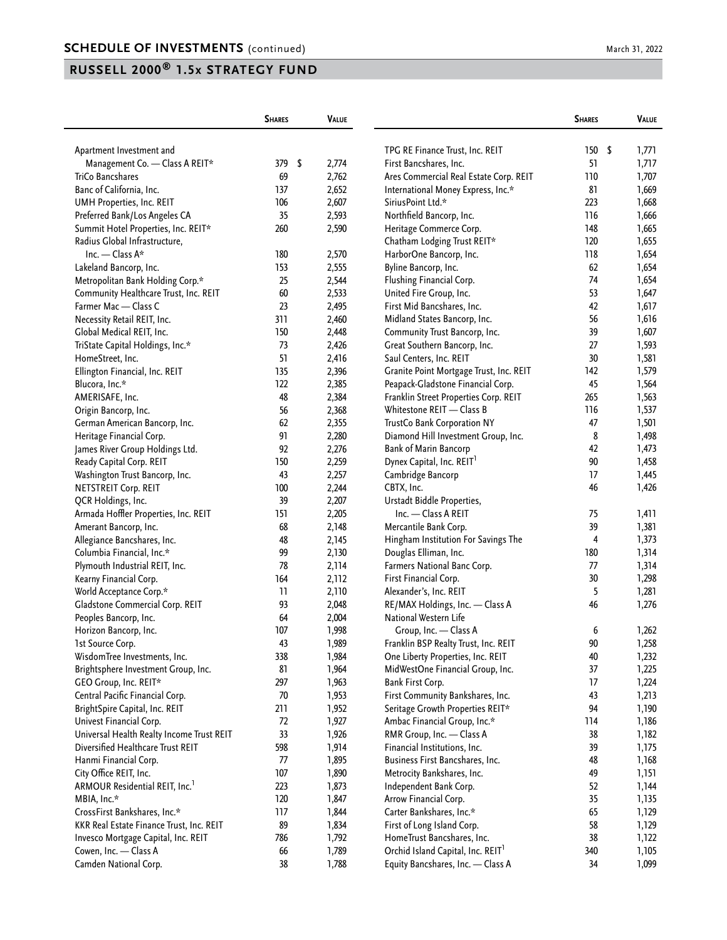|                                            | <b>SHARES</b> | <b>VALUE</b> |                                               | <b>SHARES</b> | <b>VALUE</b> |
|--------------------------------------------|---------------|--------------|-----------------------------------------------|---------------|--------------|
| Apartment Investment and                   |               |              | TPG RE Finance Trust, Inc. REIT               | 150           | \$<br>1,771  |
| Management Co. - Class A REIT*             | 379<br>- \$   | 2,774        | First Bancshares, Inc.                        | 51            | 1,717        |
| TriCo Bancshares                           | 69            | 2,762        | Ares Commercial Real Estate Corp. REIT        | 110           | 1,707        |
| Banc of California, Inc.                   | 137           | 2,652        | International Money Express, Inc.*            | 81            | 1,669        |
| UMH Properties, Inc. REIT                  | 106           | 2,607        | SiriusPoint Ltd.*                             | 223           | 1,668        |
| Preferred Bank/Los Angeles CA              | 35            | 2,593        | Northfield Bancorp, Inc.                      | 116           | 1,666        |
| Summit Hotel Properties, Inc. REIT*        | 260           | 2,590        | Heritage Commerce Corp.                       | 148           | 1,665        |
| Radius Global Infrastructure,              |               |              | Chatham Lodging Trust REIT*                   | 120           | 1,655        |
| Inc. $-$ Class A*                          | 180           | 2,570        | HarborOne Bancorp, Inc.                       | 118           | 1,654        |
| Lakeland Bancorp, Inc.                     | 153           | 2,555        | Byline Bancorp, Inc.                          | 62            | 1,654        |
| Metropolitan Bank Holding Corp.*           | 25            | 2,544        | Flushing Financial Corp.                      | 74            | 1,654        |
| Community Healthcare Trust, Inc. REIT      | 60            | 2,533        | United Fire Group, Inc.                       | 53            | 1,647        |
| Farmer Mac - Class C                       | 23            | 2,495        | First Mid Bancshares, Inc.                    | 42            | 1,617        |
| Necessity Retail REIT, Inc.                | 311           | 2,460        | Midland States Bancorp, Inc.                  | 56            | 1,616        |
| Global Medical REIT, Inc.                  | 150           | 2,448        | Community Trust Bancorp, Inc.                 | 39            | 1,607        |
| TriState Capital Holdings, Inc.*           | 73            | 2,426        | Great Southern Bancorp, Inc.                  | 27            | 1,593        |
| HomeStreet, Inc.                           | 51            | 2,416        | Saul Centers, Inc. REIT                       | 30            | 1,581        |
| Ellington Financial, Inc. REIT             | 135           | 2,396        | Granite Point Mortgage Trust, Inc. REIT       | 142           | 1,579        |
| Blucora, Inc.*                             | 122           | 2,385        | Peapack-Gladstone Financial Corp.             | 45            | 1,564        |
| AMERISAFE, Inc.                            | 48            | 2,384        | Franklin Street Properties Corp. REIT         | 265           | 1,563        |
| Origin Bancorp, Inc.                       | 56            | 2,368        | Whitestone REIT - Class B                     | 116           | 1,537        |
| German American Bancorp, Inc.              | 62            | 2,355        | TrustCo Bank Corporation NY                   | 47            | 1,501        |
| Heritage Financial Corp.                   | 91            | 2,280        | Diamond Hill Investment Group, Inc.           | 8             | 1,498        |
| James River Group Holdings Ltd.            | 92            | 2,276        | <b>Bank of Marin Bancorp</b>                  | 42            | 1,473        |
| Ready Capital Corp. REIT                   | 150           | 2,259        | Dynex Capital, Inc. REIT <sup>1</sup>         | 90            | 1,458        |
| Washington Trust Bancorp, Inc.             | 43            | 2,257        | Cambridge Bancorp                             | 17            | 1,445        |
| <b>NETSTREIT Corp. REIT</b>                | 100           | 2,244        | CBTX, Inc.                                    | 46            | 1,426        |
| QCR Holdings, Inc.                         | 39            | 2,207        | Urstadt Biddle Properties,                    |               |              |
| Armada Hoffler Properties, Inc. REIT       | 151           | 2,205        | Inc. - Class A REIT                           | 75            | 1,411        |
| Amerant Bancorp, Inc.                      | 68            | 2,148        | Mercantile Bank Corp.                         | 39            | 1,381        |
| Allegiance Bancshares, Inc.                | 48            | 2,145        | Hingham Institution For Savings The           | 4             | 1,373        |
| Columbia Financial, Inc.*                  | 99            | 2,130        | Douglas Elliman, Inc.                         | 180           | 1,314        |
| Plymouth Industrial REIT, Inc.             | 78            | 2,114        | Farmers National Banc Corp.                   | 77            | 1,314        |
| Kearny Financial Corp.                     | 164           | 2,112        | First Financial Corp.                         | 30            | 1,298        |
| World Acceptance Corp.*                    | 11            | 2,110        | Alexander's, Inc. REIT                        | 5             | 1,281        |
| Gladstone Commercial Corp. REIT            | 93            | 2,048        | RE/MAX Holdings, Inc. - Class A               | 46            | 1,276        |
| Peoples Bancorp, Inc.                      | 64            | 2,004        | National Western Life                         |               |              |
| Horizon Bancorp, Inc.                      | 107           | 1,998        | Group, Inc. - Class A                         | 6             | 1,262        |
| 1st Source Corp.                           | 43            | 1,989        | Franklin BSP Realty Trust, Inc. REIT          | 90            | 1,258        |
| WisdomTree Investments, Inc.               | 338           | 1,984        | One Liberty Properties, Inc. REIT             | 40            | 1,232        |
| Brightsphere Investment Group, Inc.        | 81            | 1,964        | MidWestOne Financial Group, Inc.              | 37            | 1,225        |
| GEO Group, Inc. REIT*                      | 297           | 1,963        | Bank First Corp.                              | 17            | 1,224        |
| Central Pacific Financial Corp.            | 70            | 1,953        | First Community Bankshares, Inc.              | 43            | 1,213        |
| BrightSpire Capital, Inc. REIT             | 211           | 1,952        | Seritage Growth Properties REIT*              | 94            | 1,190        |
| Univest Financial Corp.                    | 72            | 1,927        | Ambac Financial Group, Inc.*                  | 114           | 1,186        |
| Universal Health Realty Income Trust REIT  | 33            | 1,926        | RMR Group, Inc. - Class A                     | 38            | 1,182        |
| Diversified Healthcare Trust REIT          | 598           | 1,914        | Financial Institutions, Inc.                  | 39            | 1,175        |
| Hanmi Financial Corp.                      | 77            | 1,895        | Business First Bancshares, Inc.               | 48            | 1,168        |
| City Office REIT, Inc.                     | 107           | 1,890        | Metrocity Bankshares, Inc.                    | 49            | 1,151        |
| ARMOUR Residential REIT, Inc. <sup>1</sup> | 223           | 1,873        | Independent Bank Corp.                        | 52            | 1,144        |
| MBIA, Inc.*                                | 120           | 1,847        | Arrow Financial Corp.                         | 35            | 1,135        |
| CrossFirst Bankshares, Inc.*               | 117           | 1,844        | Carter Bankshares, Inc.*                      | 65            | 1,129        |
| KKR Real Estate Finance Trust, Inc. REIT   | 89            | 1,834        | First of Long Island Corp.                    | 58            | 1,129        |
| Invesco Mortgage Capital, Inc. REIT        | 786           | 1,792        | HomeTrust Bancshares, Inc.                    | 38            | 1,122        |
| Cowen, Inc. - Class A                      | 66            | 1,789        | Orchid Island Capital, Inc. REIT <sup>1</sup> | 340           | 1,105        |
| Camden National Corp.                      | 38            | 1,788        | Equity Bancshares, Inc. - Class A             | 34            | 1,099        |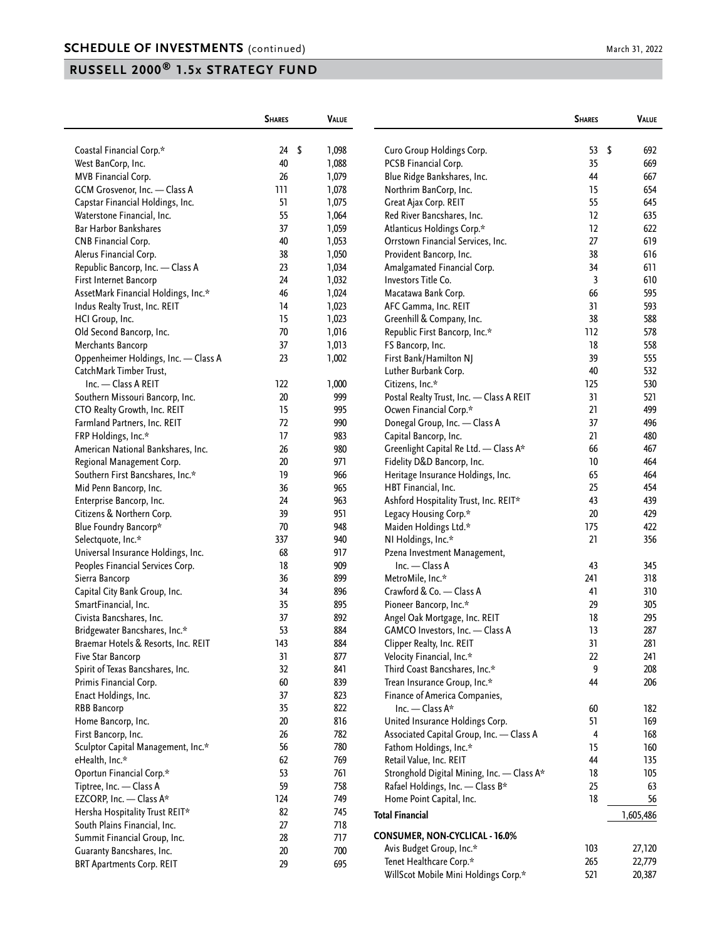| \$<br>Coastal Financial Corp.*<br>24<br>-\$<br>1,098<br>Curo Group Holdings Corp.<br>53<br>692<br>40<br>669<br>West BanCorp, Inc.<br>1,088<br>PCSB Financial Corp.<br>35<br>MVB Financial Corp.<br>26<br>1,079<br>Blue Ridge Bankshares, Inc.<br>44<br>667<br>654<br>GCM Grosvenor, Inc. - Class A<br>111<br>1,078<br>Northrim BanCorp, Inc.<br>15<br>Capstar Financial Holdings, Inc.<br>51<br>1,075<br>Great Ajax Corp. REIT<br>55<br>645<br>55<br>1,064<br>Red River Bancshares, Inc.<br>12<br>635<br>Waterstone Financial, Inc.<br>37<br>12<br><b>Bar Harbor Bankshares</b><br>1,059<br>Atlanticus Holdings Corp.*<br>622<br>40<br>27<br>619<br>CNB Financial Corp.<br>1,053<br>Orrstown Financial Services, Inc.<br>38<br>38<br>616<br>Alerus Financial Corp.<br>1,050<br>Provident Bancorp, Inc.<br>1,034<br>Republic Bancorp, Inc. - Class A<br>23<br>Amalgamated Financial Corp.<br>34<br>611<br>First Internet Bancorp<br>24<br>1,032<br>Investors Title Co.<br>3<br>610<br>46<br>1,024<br>66<br>595<br>AssetMark Financial Holdings, Inc.*<br>Macatawa Bank Corp.<br>14<br>1,023<br>31<br>593<br>Indus Realty Trust, Inc. REIT<br>AFC Gamma, Inc. REIT<br>15<br>38<br>588<br>1,023<br>Greenhill & Company, Inc.<br>HCI Group, Inc.<br>70<br>Old Second Bancorp, Inc.<br>1,016<br>Republic First Bancorp, Inc.*<br>112<br>578<br>558<br>Merchants Bancorp<br>37<br>1,013<br>FS Bancorp, Inc.<br>18<br>Oppenheimer Holdings, Inc. - Class A<br>23<br>1,002<br>First Bank/Hamilton NJ<br>39<br>555<br>40<br>532<br>CatchMark Timber Trust,<br>Luther Burbank Corp.<br>Inc. - Class A REIT<br>122<br>1,000<br>Citizens, Inc.*<br>125<br>530<br>20<br>999<br>31<br>521<br>Southern Missouri Bancorp, Inc.<br>Postal Realty Trust, Inc. - Class A REIT<br>CTO Realty Growth, Inc. REIT<br>15<br>Ocwen Financial Corp.*<br>21<br>499<br>995<br>Farmland Partners, Inc. REIT<br>72<br>990<br>Donegal Group, Inc. - Class A<br>37<br>496<br>480<br>17<br>983<br>Capital Bancorp, Inc.<br>21<br>FRP Holdings, Inc.*<br>467<br>American National Bankshares, Inc.<br>980<br>Greenlight Capital Re Ltd. - Class A*<br>66<br>26<br>20<br>Fidelity D&D Bancorp, Inc.<br>10<br>Regional Management Corp.<br>971<br>464<br>19<br>Southern First Bancshares, Inc.*<br>966<br>Heritage Insurance Holdings, Inc.<br>65<br>464<br>36<br>965<br>HBT Financial, Inc.<br>25<br>454<br>Mid Penn Bancorp, Inc.<br>24<br>Ashford Hospitality Trust, Inc. REIT*<br>43<br>Enterprise Bancorp, Inc.<br>963<br>439<br>39<br>429<br>Citizens & Northern Corp.<br>951<br>Legacy Housing Corp.*<br>20<br>70<br>422<br>Blue Foundry Bancorp*<br>948<br>Maiden Holdings Ltd.*<br>175<br>21<br>337<br>NI Holdings, Inc.*<br>356<br>Selectquote, Inc.*<br>940<br>Universal Insurance Holdings, Inc.<br>68<br>917<br>Pzena Investment Management,<br>Peoples Financial Services Corp.<br>18<br>909<br>$Inc. - Class A$<br>43<br>345<br>36<br>899<br>MetroMile, Inc.*<br>241<br>318<br>Sierra Bancorp<br>34<br>Crawford & Co. - Class A<br>Capital City Bank Group, Inc.<br>896<br>310<br>41<br>35<br>SmartFinancial, Inc.<br>895<br>Pioneer Bancorp, Inc.*<br>29<br>305<br>892<br>Civista Bancshares, Inc.<br>37<br>Angel Oak Mortgage, Inc. REIT<br>18<br>295<br>884<br>287<br>53<br>GAMCO Investors, Inc. - Class A<br>13<br>Bridgewater Bancshares, Inc.*<br>Braemar Hotels & Resorts, Inc. REIT<br>143<br>884<br>Clipper Realty, Inc. REIT<br>31<br>281<br>31<br>877<br>Velocity Financial, Inc.*<br>22<br>241<br>Five Star Bancorp<br>32<br>208<br>Spirit of Texas Bancshares, Inc.<br>841<br>Third Coast Bancshares, Inc.*<br>9<br>60<br>Primis Financial Corp.<br>839<br>Trean Insurance Group, Inc.*<br>44<br>206<br>37<br>823<br>Finance of America Companies,<br>Enact Holdings, Inc.<br>35<br>822<br>Inc. - Class A*<br><b>RBB Bancorp</b><br>60<br>182<br>Home Bancorp, Inc.<br>20<br>816<br>United Insurance Holdings Corp.<br>51<br>169<br>26<br>168<br>First Bancorp, Inc.<br>782<br>Associated Capital Group, Inc. - Class A<br>4<br>56<br>780<br>Sculptor Capital Management, Inc.*<br>Fathom Holdings, Inc.*<br>15<br>160<br>62<br>eHealth, Inc.*<br>769<br>Retail Value, Inc. REIT<br>44<br>135<br>53<br>Oportun Financial Corp.*<br>761<br>Stronghold Digital Mining, Inc. - Class A*<br>18<br>105<br>59<br>25<br>Tiptree, Inc. - Class A<br>758<br>Rafael Holdings, Inc. - Class B*<br>63<br>EZCORP, Inc. - Class A*<br>18<br>124<br>749<br>56<br>Home Point Capital, Inc.<br>82<br>Hersha Hospitality Trust REIT*<br>745<br><b>Total Financial</b><br>1,605,486<br>South Plains Financial, Inc.<br>27<br>718<br>CONSUMER, NON-CYCLICAL - 16.0%<br>28<br>Summit Financial Group, Inc.<br>717<br>Avis Budget Group, Inc.*<br>103<br>27,120<br>$20\,$<br>700<br>Guaranty Bancshares, Inc.<br>Tenet Healthcare Corp.*<br>265<br>22,779<br><b>BRT Apartments Corp. REIT</b><br>29<br>695<br>WillScot Mobile Mini Holdings Corp.*<br>521<br>20,387 | <b>SHARES</b> | <b>VALUE</b> | <b>SHARES</b> | VALUE |
|----------------------------------------------------------------------------------------------------------------------------------------------------------------------------------------------------------------------------------------------------------------------------------------------------------------------------------------------------------------------------------------------------------------------------------------------------------------------------------------------------------------------------------------------------------------------------------------------------------------------------------------------------------------------------------------------------------------------------------------------------------------------------------------------------------------------------------------------------------------------------------------------------------------------------------------------------------------------------------------------------------------------------------------------------------------------------------------------------------------------------------------------------------------------------------------------------------------------------------------------------------------------------------------------------------------------------------------------------------------------------------------------------------------------------------------------------------------------------------------------------------------------------------------------------------------------------------------------------------------------------------------------------------------------------------------------------------------------------------------------------------------------------------------------------------------------------------------------------------------------------------------------------------------------------------------------------------------------------------------------------------------------------------------------------------------------------------------------------------------------------------------------------------------------------------------------------------------------------------------------------------------------------------------------------------------------------------------------------------------------------------------------------------------------------------------------------------------------------------------------------------------------------------------------------------------------------------------------------------------------------------------------------------------------------------------------------------------------------------------------------------------------------------------------------------------------------------------------------------------------------------------------------------------------------------------------------------------------------------------------------------------------------------------------------------------------------------------------------------------------------------------------------------------------------------------------------------------------------------------------------------------------------------------------------------------------------------------------------------------------------------------------------------------------------------------------------------------------------------------------------------------------------------------------------------------------------------------------------------------------------------------------------------------------------------------------------------------------------------------------------------------------------------------------------------------------------------------------------------------------------------------------------------------------------------------------------------------------------------------------------------------------------------------------------------------------------------------------------------------------------------------------------------------------------------------------------------------------------------------------------------------------------------------------------------------------------------------------------------------------------------------------------------------------------------------------------------------------------------------------------------------------------------------------------------------------------------------------------------------------------------------------------------------------------------------------------------------------------------------------------------------------------------------------------------------------------------------------------------------------------------------------------------------------------------------|---------------|--------------|---------------|-------|
|                                                                                                                                                                                                                                                                                                                                                                                                                                                                                                                                                                                                                                                                                                                                                                                                                                                                                                                                                                                                                                                                                                                                                                                                                                                                                                                                                                                                                                                                                                                                                                                                                                                                                                                                                                                                                                                                                                                                                                                                                                                                                                                                                                                                                                                                                                                                                                                                                                                                                                                                                                                                                                                                                                                                                                                                                                                                                                                                                                                                                                                                                                                                                                                                                                                                                                                                                                                                                                                                                                                                                                                                                                                                                                                                                                                                                                                                                                                                                                                                                                                                                                                                                                                                                                                                                                                                                                                                                                                                                                                                                                                                                                                                                                                                                                                                                                                                                                                                        |               |              |               |       |
|                                                                                                                                                                                                                                                                                                                                                                                                                                                                                                                                                                                                                                                                                                                                                                                                                                                                                                                                                                                                                                                                                                                                                                                                                                                                                                                                                                                                                                                                                                                                                                                                                                                                                                                                                                                                                                                                                                                                                                                                                                                                                                                                                                                                                                                                                                                                                                                                                                                                                                                                                                                                                                                                                                                                                                                                                                                                                                                                                                                                                                                                                                                                                                                                                                                                                                                                                                                                                                                                                                                                                                                                                                                                                                                                                                                                                                                                                                                                                                                                                                                                                                                                                                                                                                                                                                                                                                                                                                                                                                                                                                                                                                                                                                                                                                                                                                                                                                                                        |               |              |               |       |
|                                                                                                                                                                                                                                                                                                                                                                                                                                                                                                                                                                                                                                                                                                                                                                                                                                                                                                                                                                                                                                                                                                                                                                                                                                                                                                                                                                                                                                                                                                                                                                                                                                                                                                                                                                                                                                                                                                                                                                                                                                                                                                                                                                                                                                                                                                                                                                                                                                                                                                                                                                                                                                                                                                                                                                                                                                                                                                                                                                                                                                                                                                                                                                                                                                                                                                                                                                                                                                                                                                                                                                                                                                                                                                                                                                                                                                                                                                                                                                                                                                                                                                                                                                                                                                                                                                                                                                                                                                                                                                                                                                                                                                                                                                                                                                                                                                                                                                                                        |               |              |               |       |
|                                                                                                                                                                                                                                                                                                                                                                                                                                                                                                                                                                                                                                                                                                                                                                                                                                                                                                                                                                                                                                                                                                                                                                                                                                                                                                                                                                                                                                                                                                                                                                                                                                                                                                                                                                                                                                                                                                                                                                                                                                                                                                                                                                                                                                                                                                                                                                                                                                                                                                                                                                                                                                                                                                                                                                                                                                                                                                                                                                                                                                                                                                                                                                                                                                                                                                                                                                                                                                                                                                                                                                                                                                                                                                                                                                                                                                                                                                                                                                                                                                                                                                                                                                                                                                                                                                                                                                                                                                                                                                                                                                                                                                                                                                                                                                                                                                                                                                                                        |               |              |               |       |
|                                                                                                                                                                                                                                                                                                                                                                                                                                                                                                                                                                                                                                                                                                                                                                                                                                                                                                                                                                                                                                                                                                                                                                                                                                                                                                                                                                                                                                                                                                                                                                                                                                                                                                                                                                                                                                                                                                                                                                                                                                                                                                                                                                                                                                                                                                                                                                                                                                                                                                                                                                                                                                                                                                                                                                                                                                                                                                                                                                                                                                                                                                                                                                                                                                                                                                                                                                                                                                                                                                                                                                                                                                                                                                                                                                                                                                                                                                                                                                                                                                                                                                                                                                                                                                                                                                                                                                                                                                                                                                                                                                                                                                                                                                                                                                                                                                                                                                                                        |               |              |               |       |
|                                                                                                                                                                                                                                                                                                                                                                                                                                                                                                                                                                                                                                                                                                                                                                                                                                                                                                                                                                                                                                                                                                                                                                                                                                                                                                                                                                                                                                                                                                                                                                                                                                                                                                                                                                                                                                                                                                                                                                                                                                                                                                                                                                                                                                                                                                                                                                                                                                                                                                                                                                                                                                                                                                                                                                                                                                                                                                                                                                                                                                                                                                                                                                                                                                                                                                                                                                                                                                                                                                                                                                                                                                                                                                                                                                                                                                                                                                                                                                                                                                                                                                                                                                                                                                                                                                                                                                                                                                                                                                                                                                                                                                                                                                                                                                                                                                                                                                                                        |               |              |               |       |
|                                                                                                                                                                                                                                                                                                                                                                                                                                                                                                                                                                                                                                                                                                                                                                                                                                                                                                                                                                                                                                                                                                                                                                                                                                                                                                                                                                                                                                                                                                                                                                                                                                                                                                                                                                                                                                                                                                                                                                                                                                                                                                                                                                                                                                                                                                                                                                                                                                                                                                                                                                                                                                                                                                                                                                                                                                                                                                                                                                                                                                                                                                                                                                                                                                                                                                                                                                                                                                                                                                                                                                                                                                                                                                                                                                                                                                                                                                                                                                                                                                                                                                                                                                                                                                                                                                                                                                                                                                                                                                                                                                                                                                                                                                                                                                                                                                                                                                                                        |               |              |               |       |
|                                                                                                                                                                                                                                                                                                                                                                                                                                                                                                                                                                                                                                                                                                                                                                                                                                                                                                                                                                                                                                                                                                                                                                                                                                                                                                                                                                                                                                                                                                                                                                                                                                                                                                                                                                                                                                                                                                                                                                                                                                                                                                                                                                                                                                                                                                                                                                                                                                                                                                                                                                                                                                                                                                                                                                                                                                                                                                                                                                                                                                                                                                                                                                                                                                                                                                                                                                                                                                                                                                                                                                                                                                                                                                                                                                                                                                                                                                                                                                                                                                                                                                                                                                                                                                                                                                                                                                                                                                                                                                                                                                                                                                                                                                                                                                                                                                                                                                                                        |               |              |               |       |
|                                                                                                                                                                                                                                                                                                                                                                                                                                                                                                                                                                                                                                                                                                                                                                                                                                                                                                                                                                                                                                                                                                                                                                                                                                                                                                                                                                                                                                                                                                                                                                                                                                                                                                                                                                                                                                                                                                                                                                                                                                                                                                                                                                                                                                                                                                                                                                                                                                                                                                                                                                                                                                                                                                                                                                                                                                                                                                                                                                                                                                                                                                                                                                                                                                                                                                                                                                                                                                                                                                                                                                                                                                                                                                                                                                                                                                                                                                                                                                                                                                                                                                                                                                                                                                                                                                                                                                                                                                                                                                                                                                                                                                                                                                                                                                                                                                                                                                                                        |               |              |               |       |
|                                                                                                                                                                                                                                                                                                                                                                                                                                                                                                                                                                                                                                                                                                                                                                                                                                                                                                                                                                                                                                                                                                                                                                                                                                                                                                                                                                                                                                                                                                                                                                                                                                                                                                                                                                                                                                                                                                                                                                                                                                                                                                                                                                                                                                                                                                                                                                                                                                                                                                                                                                                                                                                                                                                                                                                                                                                                                                                                                                                                                                                                                                                                                                                                                                                                                                                                                                                                                                                                                                                                                                                                                                                                                                                                                                                                                                                                                                                                                                                                                                                                                                                                                                                                                                                                                                                                                                                                                                                                                                                                                                                                                                                                                                                                                                                                                                                                                                                                        |               |              |               |       |
|                                                                                                                                                                                                                                                                                                                                                                                                                                                                                                                                                                                                                                                                                                                                                                                                                                                                                                                                                                                                                                                                                                                                                                                                                                                                                                                                                                                                                                                                                                                                                                                                                                                                                                                                                                                                                                                                                                                                                                                                                                                                                                                                                                                                                                                                                                                                                                                                                                                                                                                                                                                                                                                                                                                                                                                                                                                                                                                                                                                                                                                                                                                                                                                                                                                                                                                                                                                                                                                                                                                                                                                                                                                                                                                                                                                                                                                                                                                                                                                                                                                                                                                                                                                                                                                                                                                                                                                                                                                                                                                                                                                                                                                                                                                                                                                                                                                                                                                                        |               |              |               |       |
|                                                                                                                                                                                                                                                                                                                                                                                                                                                                                                                                                                                                                                                                                                                                                                                                                                                                                                                                                                                                                                                                                                                                                                                                                                                                                                                                                                                                                                                                                                                                                                                                                                                                                                                                                                                                                                                                                                                                                                                                                                                                                                                                                                                                                                                                                                                                                                                                                                                                                                                                                                                                                                                                                                                                                                                                                                                                                                                                                                                                                                                                                                                                                                                                                                                                                                                                                                                                                                                                                                                                                                                                                                                                                                                                                                                                                                                                                                                                                                                                                                                                                                                                                                                                                                                                                                                                                                                                                                                                                                                                                                                                                                                                                                                                                                                                                                                                                                                                        |               |              |               |       |
|                                                                                                                                                                                                                                                                                                                                                                                                                                                                                                                                                                                                                                                                                                                                                                                                                                                                                                                                                                                                                                                                                                                                                                                                                                                                                                                                                                                                                                                                                                                                                                                                                                                                                                                                                                                                                                                                                                                                                                                                                                                                                                                                                                                                                                                                                                                                                                                                                                                                                                                                                                                                                                                                                                                                                                                                                                                                                                                                                                                                                                                                                                                                                                                                                                                                                                                                                                                                                                                                                                                                                                                                                                                                                                                                                                                                                                                                                                                                                                                                                                                                                                                                                                                                                                                                                                                                                                                                                                                                                                                                                                                                                                                                                                                                                                                                                                                                                                                                        |               |              |               |       |
|                                                                                                                                                                                                                                                                                                                                                                                                                                                                                                                                                                                                                                                                                                                                                                                                                                                                                                                                                                                                                                                                                                                                                                                                                                                                                                                                                                                                                                                                                                                                                                                                                                                                                                                                                                                                                                                                                                                                                                                                                                                                                                                                                                                                                                                                                                                                                                                                                                                                                                                                                                                                                                                                                                                                                                                                                                                                                                                                                                                                                                                                                                                                                                                                                                                                                                                                                                                                                                                                                                                                                                                                                                                                                                                                                                                                                                                                                                                                                                                                                                                                                                                                                                                                                                                                                                                                                                                                                                                                                                                                                                                                                                                                                                                                                                                                                                                                                                                                        |               |              |               |       |
|                                                                                                                                                                                                                                                                                                                                                                                                                                                                                                                                                                                                                                                                                                                                                                                                                                                                                                                                                                                                                                                                                                                                                                                                                                                                                                                                                                                                                                                                                                                                                                                                                                                                                                                                                                                                                                                                                                                                                                                                                                                                                                                                                                                                                                                                                                                                                                                                                                                                                                                                                                                                                                                                                                                                                                                                                                                                                                                                                                                                                                                                                                                                                                                                                                                                                                                                                                                                                                                                                                                                                                                                                                                                                                                                                                                                                                                                                                                                                                                                                                                                                                                                                                                                                                                                                                                                                                                                                                                                                                                                                                                                                                                                                                                                                                                                                                                                                                                                        |               |              |               |       |
|                                                                                                                                                                                                                                                                                                                                                                                                                                                                                                                                                                                                                                                                                                                                                                                                                                                                                                                                                                                                                                                                                                                                                                                                                                                                                                                                                                                                                                                                                                                                                                                                                                                                                                                                                                                                                                                                                                                                                                                                                                                                                                                                                                                                                                                                                                                                                                                                                                                                                                                                                                                                                                                                                                                                                                                                                                                                                                                                                                                                                                                                                                                                                                                                                                                                                                                                                                                                                                                                                                                                                                                                                                                                                                                                                                                                                                                                                                                                                                                                                                                                                                                                                                                                                                                                                                                                                                                                                                                                                                                                                                                                                                                                                                                                                                                                                                                                                                                                        |               |              |               |       |
|                                                                                                                                                                                                                                                                                                                                                                                                                                                                                                                                                                                                                                                                                                                                                                                                                                                                                                                                                                                                                                                                                                                                                                                                                                                                                                                                                                                                                                                                                                                                                                                                                                                                                                                                                                                                                                                                                                                                                                                                                                                                                                                                                                                                                                                                                                                                                                                                                                                                                                                                                                                                                                                                                                                                                                                                                                                                                                                                                                                                                                                                                                                                                                                                                                                                                                                                                                                                                                                                                                                                                                                                                                                                                                                                                                                                                                                                                                                                                                                                                                                                                                                                                                                                                                                                                                                                                                                                                                                                                                                                                                                                                                                                                                                                                                                                                                                                                                                                        |               |              |               |       |
|                                                                                                                                                                                                                                                                                                                                                                                                                                                                                                                                                                                                                                                                                                                                                                                                                                                                                                                                                                                                                                                                                                                                                                                                                                                                                                                                                                                                                                                                                                                                                                                                                                                                                                                                                                                                                                                                                                                                                                                                                                                                                                                                                                                                                                                                                                                                                                                                                                                                                                                                                                                                                                                                                                                                                                                                                                                                                                                                                                                                                                                                                                                                                                                                                                                                                                                                                                                                                                                                                                                                                                                                                                                                                                                                                                                                                                                                                                                                                                                                                                                                                                                                                                                                                                                                                                                                                                                                                                                                                                                                                                                                                                                                                                                                                                                                                                                                                                                                        |               |              |               |       |
|                                                                                                                                                                                                                                                                                                                                                                                                                                                                                                                                                                                                                                                                                                                                                                                                                                                                                                                                                                                                                                                                                                                                                                                                                                                                                                                                                                                                                                                                                                                                                                                                                                                                                                                                                                                                                                                                                                                                                                                                                                                                                                                                                                                                                                                                                                                                                                                                                                                                                                                                                                                                                                                                                                                                                                                                                                                                                                                                                                                                                                                                                                                                                                                                                                                                                                                                                                                                                                                                                                                                                                                                                                                                                                                                                                                                                                                                                                                                                                                                                                                                                                                                                                                                                                                                                                                                                                                                                                                                                                                                                                                                                                                                                                                                                                                                                                                                                                                                        |               |              |               |       |
|                                                                                                                                                                                                                                                                                                                                                                                                                                                                                                                                                                                                                                                                                                                                                                                                                                                                                                                                                                                                                                                                                                                                                                                                                                                                                                                                                                                                                                                                                                                                                                                                                                                                                                                                                                                                                                                                                                                                                                                                                                                                                                                                                                                                                                                                                                                                                                                                                                                                                                                                                                                                                                                                                                                                                                                                                                                                                                                                                                                                                                                                                                                                                                                                                                                                                                                                                                                                                                                                                                                                                                                                                                                                                                                                                                                                                                                                                                                                                                                                                                                                                                                                                                                                                                                                                                                                                                                                                                                                                                                                                                                                                                                                                                                                                                                                                                                                                                                                        |               |              |               |       |
|                                                                                                                                                                                                                                                                                                                                                                                                                                                                                                                                                                                                                                                                                                                                                                                                                                                                                                                                                                                                                                                                                                                                                                                                                                                                                                                                                                                                                                                                                                                                                                                                                                                                                                                                                                                                                                                                                                                                                                                                                                                                                                                                                                                                                                                                                                                                                                                                                                                                                                                                                                                                                                                                                                                                                                                                                                                                                                                                                                                                                                                                                                                                                                                                                                                                                                                                                                                                                                                                                                                                                                                                                                                                                                                                                                                                                                                                                                                                                                                                                                                                                                                                                                                                                                                                                                                                                                                                                                                                                                                                                                                                                                                                                                                                                                                                                                                                                                                                        |               |              |               |       |
|                                                                                                                                                                                                                                                                                                                                                                                                                                                                                                                                                                                                                                                                                                                                                                                                                                                                                                                                                                                                                                                                                                                                                                                                                                                                                                                                                                                                                                                                                                                                                                                                                                                                                                                                                                                                                                                                                                                                                                                                                                                                                                                                                                                                                                                                                                                                                                                                                                                                                                                                                                                                                                                                                                                                                                                                                                                                                                                                                                                                                                                                                                                                                                                                                                                                                                                                                                                                                                                                                                                                                                                                                                                                                                                                                                                                                                                                                                                                                                                                                                                                                                                                                                                                                                                                                                                                                                                                                                                                                                                                                                                                                                                                                                                                                                                                                                                                                                                                        |               |              |               |       |
|                                                                                                                                                                                                                                                                                                                                                                                                                                                                                                                                                                                                                                                                                                                                                                                                                                                                                                                                                                                                                                                                                                                                                                                                                                                                                                                                                                                                                                                                                                                                                                                                                                                                                                                                                                                                                                                                                                                                                                                                                                                                                                                                                                                                                                                                                                                                                                                                                                                                                                                                                                                                                                                                                                                                                                                                                                                                                                                                                                                                                                                                                                                                                                                                                                                                                                                                                                                                                                                                                                                                                                                                                                                                                                                                                                                                                                                                                                                                                                                                                                                                                                                                                                                                                                                                                                                                                                                                                                                                                                                                                                                                                                                                                                                                                                                                                                                                                                                                        |               |              |               |       |
|                                                                                                                                                                                                                                                                                                                                                                                                                                                                                                                                                                                                                                                                                                                                                                                                                                                                                                                                                                                                                                                                                                                                                                                                                                                                                                                                                                                                                                                                                                                                                                                                                                                                                                                                                                                                                                                                                                                                                                                                                                                                                                                                                                                                                                                                                                                                                                                                                                                                                                                                                                                                                                                                                                                                                                                                                                                                                                                                                                                                                                                                                                                                                                                                                                                                                                                                                                                                                                                                                                                                                                                                                                                                                                                                                                                                                                                                                                                                                                                                                                                                                                                                                                                                                                                                                                                                                                                                                                                                                                                                                                                                                                                                                                                                                                                                                                                                                                                                        |               |              |               |       |
|                                                                                                                                                                                                                                                                                                                                                                                                                                                                                                                                                                                                                                                                                                                                                                                                                                                                                                                                                                                                                                                                                                                                                                                                                                                                                                                                                                                                                                                                                                                                                                                                                                                                                                                                                                                                                                                                                                                                                                                                                                                                                                                                                                                                                                                                                                                                                                                                                                                                                                                                                                                                                                                                                                                                                                                                                                                                                                                                                                                                                                                                                                                                                                                                                                                                                                                                                                                                                                                                                                                                                                                                                                                                                                                                                                                                                                                                                                                                                                                                                                                                                                                                                                                                                                                                                                                                                                                                                                                                                                                                                                                                                                                                                                                                                                                                                                                                                                                                        |               |              |               |       |
|                                                                                                                                                                                                                                                                                                                                                                                                                                                                                                                                                                                                                                                                                                                                                                                                                                                                                                                                                                                                                                                                                                                                                                                                                                                                                                                                                                                                                                                                                                                                                                                                                                                                                                                                                                                                                                                                                                                                                                                                                                                                                                                                                                                                                                                                                                                                                                                                                                                                                                                                                                                                                                                                                                                                                                                                                                                                                                                                                                                                                                                                                                                                                                                                                                                                                                                                                                                                                                                                                                                                                                                                                                                                                                                                                                                                                                                                                                                                                                                                                                                                                                                                                                                                                                                                                                                                                                                                                                                                                                                                                                                                                                                                                                                                                                                                                                                                                                                                        |               |              |               |       |
|                                                                                                                                                                                                                                                                                                                                                                                                                                                                                                                                                                                                                                                                                                                                                                                                                                                                                                                                                                                                                                                                                                                                                                                                                                                                                                                                                                                                                                                                                                                                                                                                                                                                                                                                                                                                                                                                                                                                                                                                                                                                                                                                                                                                                                                                                                                                                                                                                                                                                                                                                                                                                                                                                                                                                                                                                                                                                                                                                                                                                                                                                                                                                                                                                                                                                                                                                                                                                                                                                                                                                                                                                                                                                                                                                                                                                                                                                                                                                                                                                                                                                                                                                                                                                                                                                                                                                                                                                                                                                                                                                                                                                                                                                                                                                                                                                                                                                                                                        |               |              |               |       |
|                                                                                                                                                                                                                                                                                                                                                                                                                                                                                                                                                                                                                                                                                                                                                                                                                                                                                                                                                                                                                                                                                                                                                                                                                                                                                                                                                                                                                                                                                                                                                                                                                                                                                                                                                                                                                                                                                                                                                                                                                                                                                                                                                                                                                                                                                                                                                                                                                                                                                                                                                                                                                                                                                                                                                                                                                                                                                                                                                                                                                                                                                                                                                                                                                                                                                                                                                                                                                                                                                                                                                                                                                                                                                                                                                                                                                                                                                                                                                                                                                                                                                                                                                                                                                                                                                                                                                                                                                                                                                                                                                                                                                                                                                                                                                                                                                                                                                                                                        |               |              |               |       |
|                                                                                                                                                                                                                                                                                                                                                                                                                                                                                                                                                                                                                                                                                                                                                                                                                                                                                                                                                                                                                                                                                                                                                                                                                                                                                                                                                                                                                                                                                                                                                                                                                                                                                                                                                                                                                                                                                                                                                                                                                                                                                                                                                                                                                                                                                                                                                                                                                                                                                                                                                                                                                                                                                                                                                                                                                                                                                                                                                                                                                                                                                                                                                                                                                                                                                                                                                                                                                                                                                                                                                                                                                                                                                                                                                                                                                                                                                                                                                                                                                                                                                                                                                                                                                                                                                                                                                                                                                                                                                                                                                                                                                                                                                                                                                                                                                                                                                                                                        |               |              |               |       |
|                                                                                                                                                                                                                                                                                                                                                                                                                                                                                                                                                                                                                                                                                                                                                                                                                                                                                                                                                                                                                                                                                                                                                                                                                                                                                                                                                                                                                                                                                                                                                                                                                                                                                                                                                                                                                                                                                                                                                                                                                                                                                                                                                                                                                                                                                                                                                                                                                                                                                                                                                                                                                                                                                                                                                                                                                                                                                                                                                                                                                                                                                                                                                                                                                                                                                                                                                                                                                                                                                                                                                                                                                                                                                                                                                                                                                                                                                                                                                                                                                                                                                                                                                                                                                                                                                                                                                                                                                                                                                                                                                                                                                                                                                                                                                                                                                                                                                                                                        |               |              |               |       |
|                                                                                                                                                                                                                                                                                                                                                                                                                                                                                                                                                                                                                                                                                                                                                                                                                                                                                                                                                                                                                                                                                                                                                                                                                                                                                                                                                                                                                                                                                                                                                                                                                                                                                                                                                                                                                                                                                                                                                                                                                                                                                                                                                                                                                                                                                                                                                                                                                                                                                                                                                                                                                                                                                                                                                                                                                                                                                                                                                                                                                                                                                                                                                                                                                                                                                                                                                                                                                                                                                                                                                                                                                                                                                                                                                                                                                                                                                                                                                                                                                                                                                                                                                                                                                                                                                                                                                                                                                                                                                                                                                                                                                                                                                                                                                                                                                                                                                                                                        |               |              |               |       |
|                                                                                                                                                                                                                                                                                                                                                                                                                                                                                                                                                                                                                                                                                                                                                                                                                                                                                                                                                                                                                                                                                                                                                                                                                                                                                                                                                                                                                                                                                                                                                                                                                                                                                                                                                                                                                                                                                                                                                                                                                                                                                                                                                                                                                                                                                                                                                                                                                                                                                                                                                                                                                                                                                                                                                                                                                                                                                                                                                                                                                                                                                                                                                                                                                                                                                                                                                                                                                                                                                                                                                                                                                                                                                                                                                                                                                                                                                                                                                                                                                                                                                                                                                                                                                                                                                                                                                                                                                                                                                                                                                                                                                                                                                                                                                                                                                                                                                                                                        |               |              |               |       |
|                                                                                                                                                                                                                                                                                                                                                                                                                                                                                                                                                                                                                                                                                                                                                                                                                                                                                                                                                                                                                                                                                                                                                                                                                                                                                                                                                                                                                                                                                                                                                                                                                                                                                                                                                                                                                                                                                                                                                                                                                                                                                                                                                                                                                                                                                                                                                                                                                                                                                                                                                                                                                                                                                                                                                                                                                                                                                                                                                                                                                                                                                                                                                                                                                                                                                                                                                                                                                                                                                                                                                                                                                                                                                                                                                                                                                                                                                                                                                                                                                                                                                                                                                                                                                                                                                                                                                                                                                                                                                                                                                                                                                                                                                                                                                                                                                                                                                                                                        |               |              |               |       |
|                                                                                                                                                                                                                                                                                                                                                                                                                                                                                                                                                                                                                                                                                                                                                                                                                                                                                                                                                                                                                                                                                                                                                                                                                                                                                                                                                                                                                                                                                                                                                                                                                                                                                                                                                                                                                                                                                                                                                                                                                                                                                                                                                                                                                                                                                                                                                                                                                                                                                                                                                                                                                                                                                                                                                                                                                                                                                                                                                                                                                                                                                                                                                                                                                                                                                                                                                                                                                                                                                                                                                                                                                                                                                                                                                                                                                                                                                                                                                                                                                                                                                                                                                                                                                                                                                                                                                                                                                                                                                                                                                                                                                                                                                                                                                                                                                                                                                                                                        |               |              |               |       |
|                                                                                                                                                                                                                                                                                                                                                                                                                                                                                                                                                                                                                                                                                                                                                                                                                                                                                                                                                                                                                                                                                                                                                                                                                                                                                                                                                                                                                                                                                                                                                                                                                                                                                                                                                                                                                                                                                                                                                                                                                                                                                                                                                                                                                                                                                                                                                                                                                                                                                                                                                                                                                                                                                                                                                                                                                                                                                                                                                                                                                                                                                                                                                                                                                                                                                                                                                                                                                                                                                                                                                                                                                                                                                                                                                                                                                                                                                                                                                                                                                                                                                                                                                                                                                                                                                                                                                                                                                                                                                                                                                                                                                                                                                                                                                                                                                                                                                                                                        |               |              |               |       |
|                                                                                                                                                                                                                                                                                                                                                                                                                                                                                                                                                                                                                                                                                                                                                                                                                                                                                                                                                                                                                                                                                                                                                                                                                                                                                                                                                                                                                                                                                                                                                                                                                                                                                                                                                                                                                                                                                                                                                                                                                                                                                                                                                                                                                                                                                                                                                                                                                                                                                                                                                                                                                                                                                                                                                                                                                                                                                                                                                                                                                                                                                                                                                                                                                                                                                                                                                                                                                                                                                                                                                                                                                                                                                                                                                                                                                                                                                                                                                                                                                                                                                                                                                                                                                                                                                                                                                                                                                                                                                                                                                                                                                                                                                                                                                                                                                                                                                                                                        |               |              |               |       |
|                                                                                                                                                                                                                                                                                                                                                                                                                                                                                                                                                                                                                                                                                                                                                                                                                                                                                                                                                                                                                                                                                                                                                                                                                                                                                                                                                                                                                                                                                                                                                                                                                                                                                                                                                                                                                                                                                                                                                                                                                                                                                                                                                                                                                                                                                                                                                                                                                                                                                                                                                                                                                                                                                                                                                                                                                                                                                                                                                                                                                                                                                                                                                                                                                                                                                                                                                                                                                                                                                                                                                                                                                                                                                                                                                                                                                                                                                                                                                                                                                                                                                                                                                                                                                                                                                                                                                                                                                                                                                                                                                                                                                                                                                                                                                                                                                                                                                                                                        |               |              |               |       |
|                                                                                                                                                                                                                                                                                                                                                                                                                                                                                                                                                                                                                                                                                                                                                                                                                                                                                                                                                                                                                                                                                                                                                                                                                                                                                                                                                                                                                                                                                                                                                                                                                                                                                                                                                                                                                                                                                                                                                                                                                                                                                                                                                                                                                                                                                                                                                                                                                                                                                                                                                                                                                                                                                                                                                                                                                                                                                                                                                                                                                                                                                                                                                                                                                                                                                                                                                                                                                                                                                                                                                                                                                                                                                                                                                                                                                                                                                                                                                                                                                                                                                                                                                                                                                                                                                                                                                                                                                                                                                                                                                                                                                                                                                                                                                                                                                                                                                                                                        |               |              |               |       |
|                                                                                                                                                                                                                                                                                                                                                                                                                                                                                                                                                                                                                                                                                                                                                                                                                                                                                                                                                                                                                                                                                                                                                                                                                                                                                                                                                                                                                                                                                                                                                                                                                                                                                                                                                                                                                                                                                                                                                                                                                                                                                                                                                                                                                                                                                                                                                                                                                                                                                                                                                                                                                                                                                                                                                                                                                                                                                                                                                                                                                                                                                                                                                                                                                                                                                                                                                                                                                                                                                                                                                                                                                                                                                                                                                                                                                                                                                                                                                                                                                                                                                                                                                                                                                                                                                                                                                                                                                                                                                                                                                                                                                                                                                                                                                                                                                                                                                                                                        |               |              |               |       |
|                                                                                                                                                                                                                                                                                                                                                                                                                                                                                                                                                                                                                                                                                                                                                                                                                                                                                                                                                                                                                                                                                                                                                                                                                                                                                                                                                                                                                                                                                                                                                                                                                                                                                                                                                                                                                                                                                                                                                                                                                                                                                                                                                                                                                                                                                                                                                                                                                                                                                                                                                                                                                                                                                                                                                                                                                                                                                                                                                                                                                                                                                                                                                                                                                                                                                                                                                                                                                                                                                                                                                                                                                                                                                                                                                                                                                                                                                                                                                                                                                                                                                                                                                                                                                                                                                                                                                                                                                                                                                                                                                                                                                                                                                                                                                                                                                                                                                                                                        |               |              |               |       |
|                                                                                                                                                                                                                                                                                                                                                                                                                                                                                                                                                                                                                                                                                                                                                                                                                                                                                                                                                                                                                                                                                                                                                                                                                                                                                                                                                                                                                                                                                                                                                                                                                                                                                                                                                                                                                                                                                                                                                                                                                                                                                                                                                                                                                                                                                                                                                                                                                                                                                                                                                                                                                                                                                                                                                                                                                                                                                                                                                                                                                                                                                                                                                                                                                                                                                                                                                                                                                                                                                                                                                                                                                                                                                                                                                                                                                                                                                                                                                                                                                                                                                                                                                                                                                                                                                                                                                                                                                                                                                                                                                                                                                                                                                                                                                                                                                                                                                                                                        |               |              |               |       |
|                                                                                                                                                                                                                                                                                                                                                                                                                                                                                                                                                                                                                                                                                                                                                                                                                                                                                                                                                                                                                                                                                                                                                                                                                                                                                                                                                                                                                                                                                                                                                                                                                                                                                                                                                                                                                                                                                                                                                                                                                                                                                                                                                                                                                                                                                                                                                                                                                                                                                                                                                                                                                                                                                                                                                                                                                                                                                                                                                                                                                                                                                                                                                                                                                                                                                                                                                                                                                                                                                                                                                                                                                                                                                                                                                                                                                                                                                                                                                                                                                                                                                                                                                                                                                                                                                                                                                                                                                                                                                                                                                                                                                                                                                                                                                                                                                                                                                                                                        |               |              |               |       |
|                                                                                                                                                                                                                                                                                                                                                                                                                                                                                                                                                                                                                                                                                                                                                                                                                                                                                                                                                                                                                                                                                                                                                                                                                                                                                                                                                                                                                                                                                                                                                                                                                                                                                                                                                                                                                                                                                                                                                                                                                                                                                                                                                                                                                                                                                                                                                                                                                                                                                                                                                                                                                                                                                                                                                                                                                                                                                                                                                                                                                                                                                                                                                                                                                                                                                                                                                                                                                                                                                                                                                                                                                                                                                                                                                                                                                                                                                                                                                                                                                                                                                                                                                                                                                                                                                                                                                                                                                                                                                                                                                                                                                                                                                                                                                                                                                                                                                                                                        |               |              |               |       |
|                                                                                                                                                                                                                                                                                                                                                                                                                                                                                                                                                                                                                                                                                                                                                                                                                                                                                                                                                                                                                                                                                                                                                                                                                                                                                                                                                                                                                                                                                                                                                                                                                                                                                                                                                                                                                                                                                                                                                                                                                                                                                                                                                                                                                                                                                                                                                                                                                                                                                                                                                                                                                                                                                                                                                                                                                                                                                                                                                                                                                                                                                                                                                                                                                                                                                                                                                                                                                                                                                                                                                                                                                                                                                                                                                                                                                                                                                                                                                                                                                                                                                                                                                                                                                                                                                                                                                                                                                                                                                                                                                                                                                                                                                                                                                                                                                                                                                                                                        |               |              |               |       |
|                                                                                                                                                                                                                                                                                                                                                                                                                                                                                                                                                                                                                                                                                                                                                                                                                                                                                                                                                                                                                                                                                                                                                                                                                                                                                                                                                                                                                                                                                                                                                                                                                                                                                                                                                                                                                                                                                                                                                                                                                                                                                                                                                                                                                                                                                                                                                                                                                                                                                                                                                                                                                                                                                                                                                                                                                                                                                                                                                                                                                                                                                                                                                                                                                                                                                                                                                                                                                                                                                                                                                                                                                                                                                                                                                                                                                                                                                                                                                                                                                                                                                                                                                                                                                                                                                                                                                                                                                                                                                                                                                                                                                                                                                                                                                                                                                                                                                                                                        |               |              |               |       |
|                                                                                                                                                                                                                                                                                                                                                                                                                                                                                                                                                                                                                                                                                                                                                                                                                                                                                                                                                                                                                                                                                                                                                                                                                                                                                                                                                                                                                                                                                                                                                                                                                                                                                                                                                                                                                                                                                                                                                                                                                                                                                                                                                                                                                                                                                                                                                                                                                                                                                                                                                                                                                                                                                                                                                                                                                                                                                                                                                                                                                                                                                                                                                                                                                                                                                                                                                                                                                                                                                                                                                                                                                                                                                                                                                                                                                                                                                                                                                                                                                                                                                                                                                                                                                                                                                                                                                                                                                                                                                                                                                                                                                                                                                                                                                                                                                                                                                                                                        |               |              |               |       |
|                                                                                                                                                                                                                                                                                                                                                                                                                                                                                                                                                                                                                                                                                                                                                                                                                                                                                                                                                                                                                                                                                                                                                                                                                                                                                                                                                                                                                                                                                                                                                                                                                                                                                                                                                                                                                                                                                                                                                                                                                                                                                                                                                                                                                                                                                                                                                                                                                                                                                                                                                                                                                                                                                                                                                                                                                                                                                                                                                                                                                                                                                                                                                                                                                                                                                                                                                                                                                                                                                                                                                                                                                                                                                                                                                                                                                                                                                                                                                                                                                                                                                                                                                                                                                                                                                                                                                                                                                                                                                                                                                                                                                                                                                                                                                                                                                                                                                                                                        |               |              |               |       |
|                                                                                                                                                                                                                                                                                                                                                                                                                                                                                                                                                                                                                                                                                                                                                                                                                                                                                                                                                                                                                                                                                                                                                                                                                                                                                                                                                                                                                                                                                                                                                                                                                                                                                                                                                                                                                                                                                                                                                                                                                                                                                                                                                                                                                                                                                                                                                                                                                                                                                                                                                                                                                                                                                                                                                                                                                                                                                                                                                                                                                                                                                                                                                                                                                                                                                                                                                                                                                                                                                                                                                                                                                                                                                                                                                                                                                                                                                                                                                                                                                                                                                                                                                                                                                                                                                                                                                                                                                                                                                                                                                                                                                                                                                                                                                                                                                                                                                                                                        |               |              |               |       |
|                                                                                                                                                                                                                                                                                                                                                                                                                                                                                                                                                                                                                                                                                                                                                                                                                                                                                                                                                                                                                                                                                                                                                                                                                                                                                                                                                                                                                                                                                                                                                                                                                                                                                                                                                                                                                                                                                                                                                                                                                                                                                                                                                                                                                                                                                                                                                                                                                                                                                                                                                                                                                                                                                                                                                                                                                                                                                                                                                                                                                                                                                                                                                                                                                                                                                                                                                                                                                                                                                                                                                                                                                                                                                                                                                                                                                                                                                                                                                                                                                                                                                                                                                                                                                                                                                                                                                                                                                                                                                                                                                                                                                                                                                                                                                                                                                                                                                                                                        |               |              |               |       |
|                                                                                                                                                                                                                                                                                                                                                                                                                                                                                                                                                                                                                                                                                                                                                                                                                                                                                                                                                                                                                                                                                                                                                                                                                                                                                                                                                                                                                                                                                                                                                                                                                                                                                                                                                                                                                                                                                                                                                                                                                                                                                                                                                                                                                                                                                                                                                                                                                                                                                                                                                                                                                                                                                                                                                                                                                                                                                                                                                                                                                                                                                                                                                                                                                                                                                                                                                                                                                                                                                                                                                                                                                                                                                                                                                                                                                                                                                                                                                                                                                                                                                                                                                                                                                                                                                                                                                                                                                                                                                                                                                                                                                                                                                                                                                                                                                                                                                                                                        |               |              |               |       |
|                                                                                                                                                                                                                                                                                                                                                                                                                                                                                                                                                                                                                                                                                                                                                                                                                                                                                                                                                                                                                                                                                                                                                                                                                                                                                                                                                                                                                                                                                                                                                                                                                                                                                                                                                                                                                                                                                                                                                                                                                                                                                                                                                                                                                                                                                                                                                                                                                                                                                                                                                                                                                                                                                                                                                                                                                                                                                                                                                                                                                                                                                                                                                                                                                                                                                                                                                                                                                                                                                                                                                                                                                                                                                                                                                                                                                                                                                                                                                                                                                                                                                                                                                                                                                                                                                                                                                                                                                                                                                                                                                                                                                                                                                                                                                                                                                                                                                                                                        |               |              |               |       |
|                                                                                                                                                                                                                                                                                                                                                                                                                                                                                                                                                                                                                                                                                                                                                                                                                                                                                                                                                                                                                                                                                                                                                                                                                                                                                                                                                                                                                                                                                                                                                                                                                                                                                                                                                                                                                                                                                                                                                                                                                                                                                                                                                                                                                                                                                                                                                                                                                                                                                                                                                                                                                                                                                                                                                                                                                                                                                                                                                                                                                                                                                                                                                                                                                                                                                                                                                                                                                                                                                                                                                                                                                                                                                                                                                                                                                                                                                                                                                                                                                                                                                                                                                                                                                                                                                                                                                                                                                                                                                                                                                                                                                                                                                                                                                                                                                                                                                                                                        |               |              |               |       |
|                                                                                                                                                                                                                                                                                                                                                                                                                                                                                                                                                                                                                                                                                                                                                                                                                                                                                                                                                                                                                                                                                                                                                                                                                                                                                                                                                                                                                                                                                                                                                                                                                                                                                                                                                                                                                                                                                                                                                                                                                                                                                                                                                                                                                                                                                                                                                                                                                                                                                                                                                                                                                                                                                                                                                                                                                                                                                                                                                                                                                                                                                                                                                                                                                                                                                                                                                                                                                                                                                                                                                                                                                                                                                                                                                                                                                                                                                                                                                                                                                                                                                                                                                                                                                                                                                                                                                                                                                                                                                                                                                                                                                                                                                                                                                                                                                                                                                                                                        |               |              |               |       |
|                                                                                                                                                                                                                                                                                                                                                                                                                                                                                                                                                                                                                                                                                                                                                                                                                                                                                                                                                                                                                                                                                                                                                                                                                                                                                                                                                                                                                                                                                                                                                                                                                                                                                                                                                                                                                                                                                                                                                                                                                                                                                                                                                                                                                                                                                                                                                                                                                                                                                                                                                                                                                                                                                                                                                                                                                                                                                                                                                                                                                                                                                                                                                                                                                                                                                                                                                                                                                                                                                                                                                                                                                                                                                                                                                                                                                                                                                                                                                                                                                                                                                                                                                                                                                                                                                                                                                                                                                                                                                                                                                                                                                                                                                                                                                                                                                                                                                                                                        |               |              |               |       |
|                                                                                                                                                                                                                                                                                                                                                                                                                                                                                                                                                                                                                                                                                                                                                                                                                                                                                                                                                                                                                                                                                                                                                                                                                                                                                                                                                                                                                                                                                                                                                                                                                                                                                                                                                                                                                                                                                                                                                                                                                                                                                                                                                                                                                                                                                                                                                                                                                                                                                                                                                                                                                                                                                                                                                                                                                                                                                                                                                                                                                                                                                                                                                                                                                                                                                                                                                                                                                                                                                                                                                                                                                                                                                                                                                                                                                                                                                                                                                                                                                                                                                                                                                                                                                                                                                                                                                                                                                                                                                                                                                                                                                                                                                                                                                                                                                                                                                                                                        |               |              |               |       |
|                                                                                                                                                                                                                                                                                                                                                                                                                                                                                                                                                                                                                                                                                                                                                                                                                                                                                                                                                                                                                                                                                                                                                                                                                                                                                                                                                                                                                                                                                                                                                                                                                                                                                                                                                                                                                                                                                                                                                                                                                                                                                                                                                                                                                                                                                                                                                                                                                                                                                                                                                                                                                                                                                                                                                                                                                                                                                                                                                                                                                                                                                                                                                                                                                                                                                                                                                                                                                                                                                                                                                                                                                                                                                                                                                                                                                                                                                                                                                                                                                                                                                                                                                                                                                                                                                                                                                                                                                                                                                                                                                                                                                                                                                                                                                                                                                                                                                                                                        |               |              |               |       |
|                                                                                                                                                                                                                                                                                                                                                                                                                                                                                                                                                                                                                                                                                                                                                                                                                                                                                                                                                                                                                                                                                                                                                                                                                                                                                                                                                                                                                                                                                                                                                                                                                                                                                                                                                                                                                                                                                                                                                                                                                                                                                                                                                                                                                                                                                                                                                                                                                                                                                                                                                                                                                                                                                                                                                                                                                                                                                                                                                                                                                                                                                                                                                                                                                                                                                                                                                                                                                                                                                                                                                                                                                                                                                                                                                                                                                                                                                                                                                                                                                                                                                                                                                                                                                                                                                                                                                                                                                                                                                                                                                                                                                                                                                                                                                                                                                                                                                                                                        |               |              |               |       |
|                                                                                                                                                                                                                                                                                                                                                                                                                                                                                                                                                                                                                                                                                                                                                                                                                                                                                                                                                                                                                                                                                                                                                                                                                                                                                                                                                                                                                                                                                                                                                                                                                                                                                                                                                                                                                                                                                                                                                                                                                                                                                                                                                                                                                                                                                                                                                                                                                                                                                                                                                                                                                                                                                                                                                                                                                                                                                                                                                                                                                                                                                                                                                                                                                                                                                                                                                                                                                                                                                                                                                                                                                                                                                                                                                                                                                                                                                                                                                                                                                                                                                                                                                                                                                                                                                                                                                                                                                                                                                                                                                                                                                                                                                                                                                                                                                                                                                                                                        |               |              |               |       |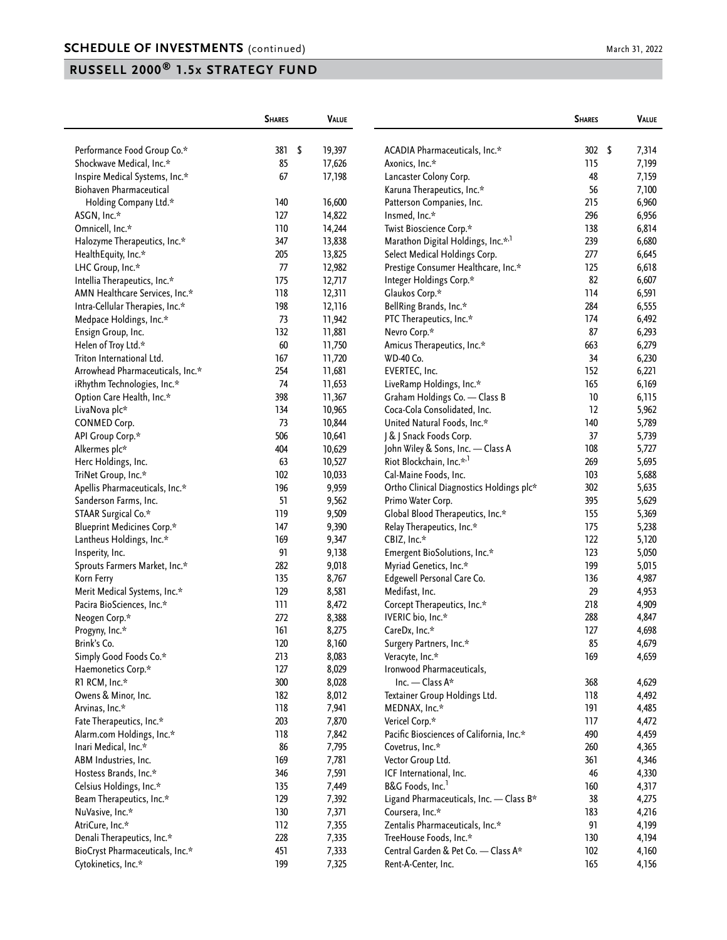|                                   | <b>SHARES</b> | <b>VALUE</b> |                                                | <b>SHARES</b> | VALUE       |
|-----------------------------------|---------------|--------------|------------------------------------------------|---------------|-------------|
| Performance Food Group Co.*       | 381           | \$<br>19,397 | ACADIA Pharmaceuticals, Inc.*                  | 302           | \$<br>7,314 |
| Shockwave Medical, Inc.*          | 85            | 17,626       | Axonics, Inc.*                                 | 115           | 7,199       |
| Inspire Medical Systems, Inc.*    | 67            | 17,198       | Lancaster Colony Corp.                         | 48            | 7,159       |
| <b>Biohaven Pharmaceutical</b>    |               |              | Karuna Therapeutics, Inc.*                     | 56            | 7,100       |
| Holding Company Ltd.*             | 140           | 16,600       | Patterson Companies, Inc.                      | 215           | 6,960       |
| ASGN, Inc.*                       | 127           | 14,822       | Insmed, Inc.*                                  | 296           | 6,956       |
| Omnicell, Inc.*                   | 110           | 14,244       | Twist Bioscience Corp.*                        | 138           | 6,814       |
| Halozyme Therapeutics, Inc.*      | 347           | 13,838       | Marathon Digital Holdings, Inc.* <sup>,1</sup> | 239           | 6,680       |
| HealthEquity, Inc.*               | 205           | 13,825       | Select Medical Holdings Corp.                  | 277           | 6,645       |
| LHC Group, Inc.*                  | 77            | 12,982       | Prestige Consumer Healthcare, Inc.*            | 125           | 6,618       |
| Intellia Therapeutics, Inc.*      | 175           | 12,717       | Integer Holdings Corp.*                        | 82            | 6,607       |
| AMN Healthcare Services, Inc.*    | 118           | 12,311       | Glaukos Corp.*                                 | 114           | 6,591       |
| Intra-Cellular Therapies, Inc.*   | 198           | 12,116       | BellRing Brands, Inc.*                         | 284           | 6,555       |
| Medpace Holdings, Inc.*           | 73            | 11,942       | PTC Therapeutics, Inc.*                        | 174           | 6,492       |
| Ensign Group, Inc.                | 132           | 11,881       | Nevro Corp.*                                   | 87            | 6,293       |
| Helen of Troy Ltd.*               | 60            | 11,750       | Amicus Therapeutics, Inc.*                     | 663           | 6,279       |
| Triton International Ltd.         | 167           |              | WD-40 Co.                                      | 34            |             |
|                                   |               | 11,720       |                                                |               | 6,230       |
| Arrowhead Pharmaceuticals, Inc.*  | 254           | 11,681       | EVERTEC, Inc.                                  | 152           | 6,221       |
| iRhythm Technologies, Inc.*       | 74            | 11,653       | LiveRamp Holdings, Inc.*                       | 165           | 6,169       |
| Option Care Health, Inc.*         | 398           | 11,367       | Graham Holdings Co. - Class B                  | 10            | 6,115       |
| LivaNova plc*                     | 134           | 10,965       | Coca-Cola Consolidated, Inc.                   | 12            | 5,962       |
| <b>CONMED Corp.</b>               | 73            | 10,844       | United Natural Foods, Inc.*                    | 140           | 5,789       |
| API Group Corp.*                  | 506           | 10,641       | J & J Snack Foods Corp.                        | 37            | 5,739       |
| Alkermes plc*                     | 404           | 10,629       | John Wiley & Sons, Inc. - Class A              | 108           | 5,727       |
| Herc Holdings, Inc.               | 63            | 10,527       | Riot Blockchain, Inc.* <sup>,1</sup>           | 269           | 5,695       |
| TriNet Group, Inc.*               | 102           | 10,033       | Cal-Maine Foods, Inc.                          | 103           | 5,688       |
| Apellis Pharmaceuticals, Inc.*    | 196           | 9,959        | Ortho Clinical Diagnostics Holdings plc*       | 302           | 5,635       |
| Sanderson Farms, Inc.             | 51            | 9,562        | Primo Water Corp.                              | 395           | 5,629       |
| STAAR Surgical Co.*               | 119           | 9,509        | Global Blood Therapeutics, Inc.*               | 155           | 5,369       |
| <b>Blueprint Medicines Corp.*</b> | 147           | 9,390        | Relay Therapeutics, Inc.*                      | 175           | 5,238       |
| Lantheus Holdings, Inc.*          | 169           | 9,347        | CBIZ, Inc.*                                    | 122           | 5,120       |
| Insperity, Inc.                   | 91            | 9,138        | Emergent BioSolutions, Inc.*                   | 123           | 5,050       |
| Sprouts Farmers Market, Inc.*     | 282           | 9,018        | Myriad Genetics, Inc.*                         | 199           | 5,015       |
| Korn Ferry                        | 135           | 8,767        | Edgewell Personal Care Co.                     | 136           | 4,987       |
| Merit Medical Systems, Inc.*      | 129           | 8,581        | Medifast, Inc.                                 | 29            | 4,953       |
| Pacira BioSciences, Inc.*         | 111           | 8,472        | Corcept Therapeutics, Inc.*                    | 218           | 4,909       |
| Neogen Corp.*                     | 272           | 8,388        | IVERIC bio, Inc.*                              | 288           | 4,847       |
| Progyny, Inc.*                    | 161           | 8,275        | CareDx, Inc.*                                  | 127           | 4,698       |
| Brink's Co.                       | 120           | 8,160        | Surgery Partners, Inc.*                        | 85            | 4,679       |
| Simply Good Foods Co.*            | 213           | 8,083        | Veracyte, Inc.*                                | 169           | 4,659       |
| Haemonetics Corp.*                | 127           | 8,029        | Ironwood Pharmaceuticals,                      |               |             |
| R1 RCM, Inc.*                     | 300           | 8,028        | Inc. - Class A*                                | 368           | 4,629       |
| Owens & Minor, Inc.               | 182           | 8,012        | Textainer Group Holdings Ltd.                  | 118           | 4,492       |
| Arvinas, Inc.*                    | 118           | 7,941        | MEDNAX, Inc.*                                  | 191           | 4,485       |
| Fate Therapeutics, Inc.*          | 203           | 7,870        | Vericel Corp.*                                 | 117           | 4,472       |
| Alarm.com Holdings, Inc.*         | 118           | 7,842        | Pacific Biosciences of California, Inc.*       | 490           | 4,459       |
| Inari Medical, Inc.*              | 86            | 7,795        | Covetrus, Inc.*                                | 260           | 4,365       |
| ABM Industries, Inc.              | 169           | 7,781        | Vector Group Ltd.                              | 361           | 4,346       |
| Hostess Brands, Inc.*             | 346           | 7,591        | ICF International, Inc.                        | 46            | 4,330       |
| Celsius Holdings, Inc.*           | 135           | 7,449        | B&G Foods, Inc. <sup>1</sup>                   | 160           | 4,317       |
| Beam Therapeutics, Inc.*          | 129           | 7,392        | Ligand Pharmaceuticals, Inc. - Class B*        | 38            | 4,275       |
| NuVasive, Inc.*                   | 130           | 7,371        | Coursera, Inc.*                                | 183           | 4,216       |
| AtriCure, Inc.*                   | 112           | 7,355        | Zentalis Pharmaceuticals, Inc.*                | 91            | 4,199       |
| Denali Therapeutics, Inc.*        | 228           | 7,335        | TreeHouse Foods, Inc.*                         | 130           | 4,194       |
| BioCryst Pharmaceuticals, Inc.*   | 451           | 7,333        | Central Garden & Pet Co. - Class A*            | 102           | 4,160       |
| Cytokinetics, Inc.*               | 199           | 7,325        | Rent-A-Center, Inc.                            | 165           | 4,156       |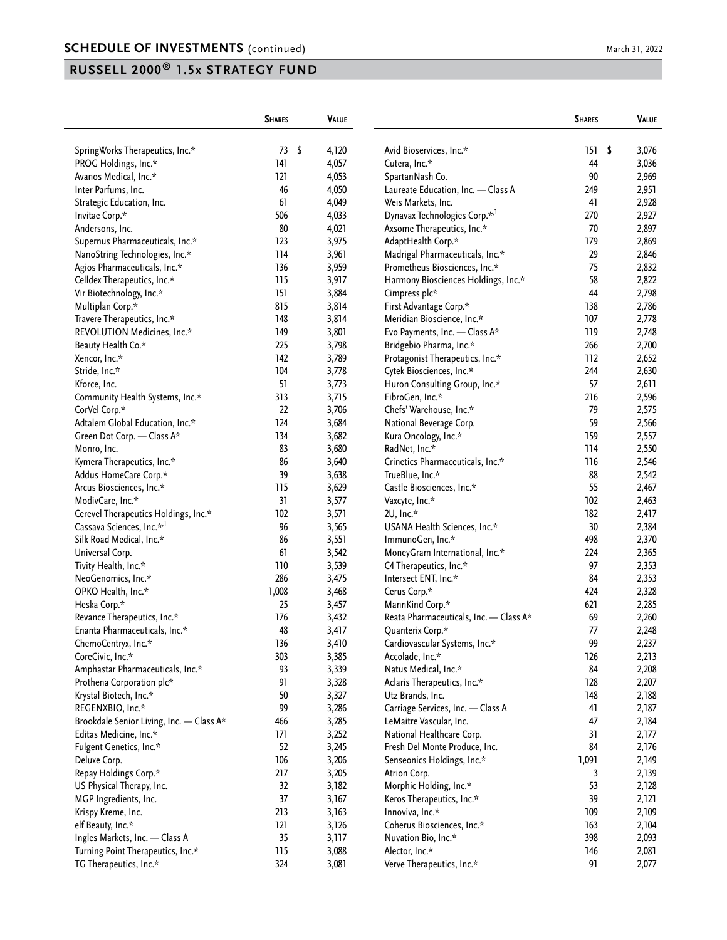|                                          | <b>SHARES</b> | VALUE |                                                   | <b>SHARES</b> | <b>VALUE</b> |
|------------------------------------------|---------------|-------|---------------------------------------------------|---------------|--------------|
|                                          |               |       |                                                   |               |              |
| SpringWorks Therapeutics, Inc.*          | \$<br>73      | 4,120 | Avid Bioservices, Inc.*                           | 151           | \$<br>3,076  |
| PROG Holdings, Inc.*                     | 141           | 4,057 | Cutera, Inc.*                                     | 44            | 3,036        |
| Avanos Medical, Inc.*                    | 121           | 4,053 | SpartanNash Co.                                   | 90            | 2,969        |
| Inter Parfums, Inc.                      | 46            | 4,050 | Laureate Education, Inc. - Class A                | 249           | 2,951        |
| Strategic Education, Inc.                | 61            | 4,049 | Weis Markets, Inc.                                | 41            | 2,928        |
| Invitae Corp.*                           | 506           | 4,033 | Dynavax Technologies Corp.* <sup>1</sup>          | 270           | 2,927        |
| Andersons, Inc.                          | 80            | 4,021 | Axsome Therapeutics, Inc.*                        | 70            | 2,897        |
| Supernus Pharmaceuticals, Inc.*          | 123           | 3,975 | AdaptHealth Corp.*                                | 179           | 2,869        |
| NanoString Technologies, Inc.*           | 114           | 3,961 | Madrigal Pharmaceuticals, Inc.*                   | 29            | 2,846        |
| Agios Pharmaceuticals, Inc.*             | 136           | 3,959 | Prometheus Biosciences, Inc.*                     | 75            | 2,832        |
| Celldex Therapeutics, Inc.*              | 115           | 3,917 | Harmony Biosciences Holdings, Inc.*               | 58            | 2,822        |
| Vir Biotechnology, Inc.*                 | 151           | 3,884 | Cimpress plc*                                     | 44            | 2,798        |
| Multiplan Corp.*                         | 815           | 3,814 | First Advantage Corp.*                            | 138           | 2,786        |
| Travere Therapeutics, Inc.*              | 148           | 3,814 | Meridian Bioscience, Inc.*                        | 107           | 2,778        |
| REVOLUTION Medicines, Inc.*              | 149           | 3,801 | Evo Payments, Inc. - Class A*                     | 119           | 2,748        |
| Beauty Health Co.*                       | 225           | 3,798 | Bridgebio Pharma, Inc.*                           | 266           | 2,700        |
| Xencor, Inc.*                            | 142           | 3,789 | Protagonist Therapeutics, Inc.*                   | 112           | 2,652        |
| Stride, Inc.*                            | 104           | 3,778 | Cytek Biosciences, Inc.*                          | 244           | 2,630        |
| Kforce, Inc.                             | 51            | 3,773 | Huron Consulting Group, Inc.*                     | 57            | 2,611        |
| Community Health Systems, Inc.*          | 313           | 3,715 | FibroGen, Inc.*                                   | 216           | 2,596        |
| CorVel Corp.*                            | 22            | 3,706 | Chefs' Warehouse, Inc.*                           | 79            | 2,575        |
| Adtalem Global Education, Inc.*          | 124           | 3,684 | National Beverage Corp.                           | 59            | 2,566        |
| Green Dot Corp. - Class A*               | 134           | 3,682 | Kura Oncology, Inc.*                              | 159           | 2,557        |
| Monro, Inc.                              | 83            | 3,680 | RadNet, Inc.*                                     | 114           | 2,550        |
| Kymera Therapeutics, Inc.*               | 86            | 3,640 | Crinetics Pharmaceuticals, Inc.*                  | 116           | 2,546        |
| Addus HomeCare Corp.*                    | 39            | 3,638 | TrueBlue, Inc.*                                   | 88            | 2,542        |
| Arcus Biosciences, Inc.*                 | 115           | 3,629 | Castle Biosciences, Inc.*                         | 55            | 2,467        |
| ModivCare, Inc.*                         | 31            | 3,577 | Vaxcyte, Inc.*                                    | 102           | 2,463        |
| Cerevel Therapeutics Holdings, Inc.*     | 102           | 3,571 | 2U, Inc.*                                         | 182           | 2,417        |
| Cassava Sciences, Inc.* <sup>,1</sup>    | 96            | 3,565 | USANA Health Sciences, Inc.*                      | 30            | 2,384        |
| Silk Road Medical, Inc.*                 | 86            | 3,551 | ImmunoGen, Inc.*                                  | 498           | 2,370        |
| Universal Corp.                          | 61            | 3,542 | MoneyGram International, Inc.*                    | 224           | 2,365        |
| Tivity Health, Inc.*                     | 110           | 3,539 | C4 Therapeutics, Inc.*                            | 97            | 2,353        |
| NeoGenomics, Inc.*                       | 286           | 3,475 | Intersect ENT, Inc.*                              | 84            | 2,353        |
| OPKO Health, Inc.*                       | 1,008         | 3,468 | Cerus Corp.*                                      | 424           | 2,328        |
| Heska Corp.*                             | 25            | 3,457 | MannKind Corp.*                                   | 621           | 2,285        |
| Revance Therapeutics, Inc.*              | 176           | 3,432 | Reata Pharmaceuticals, Inc. - Class A*            | 69            | 2,260        |
| Enanta Pharmaceuticals, Inc.*            | 48            | 3,417 |                                                   | 77            | 2,248        |
| ChemoCentryx, Inc.*                      | 136           | 3,410 | Quanterix Corp.*<br>Cardiovascular Systems, Inc.* | 99            | 2,237        |
|                                          |               |       |                                                   |               |              |
| CoreCivic, Inc.*                         | 303           | 3,385 | Accolade, Inc.*                                   | 126           | 2,213        |
| Amphastar Pharmaceuticals, Inc.*         | 93            | 3,339 | Natus Medical, Inc.*                              | 84            | 2,208        |
| Prothena Corporation plc*                | 91            | 3,328 | Aclaris Therapeutics, Inc.*                       | 128           | 2,207        |
| Krystal Biotech, Inc.*                   | 50            | 3,327 | Utz Brands, Inc.                                  | 148           | 2,188        |
| REGENXBIO, Inc.*                         | 99            | 3,286 | Carriage Services, Inc. - Class A                 | 41            | 2,187        |
| Brookdale Senior Living, Inc. - Class A* | 466           | 3,285 | LeMaitre Vascular, Inc.                           | 47            | 2,184        |
| Editas Medicine, Inc.*                   | 171           | 3,252 | National Healthcare Corp.                         | 31            | 2,177        |
| Fulgent Genetics, Inc.*                  | 52            | 3,245 | Fresh Del Monte Produce, Inc.                     | 84            | 2,176        |
| Deluxe Corp.                             | 106           | 3,206 | Senseonics Holdings, Inc.*                        | 1,091         | 2,149        |
| Repay Holdings Corp.*                    | 217           | 3,205 | Atrion Corp.                                      | 3             | 2,139        |
| US Physical Therapy, Inc.                | 32            | 3,182 | Morphic Holding, Inc.*                            | 53            | 2,128        |
| MGP Ingredients, Inc.                    | 37            | 3,167 | Keros Therapeutics, Inc.*                         | 39            | 2,121        |
| Krispy Kreme, Inc.                       | 213           | 3,163 | Innoviva, Inc.*                                   | 109           | 2,109        |
| elf Beauty, Inc.*                        | 121           | 3,126 | Coherus Biosciences, Inc.*                        | 163           | 2,104        |
| Ingles Markets, Inc. - Class A           | 35            | 3,117 | Nuvation Bio, Inc.*                               | 398           | 2,093        |
| Turning Point Therapeutics, Inc.*        | 115           | 3,088 | Alector, Inc.*                                    | 146           | 2,081        |
| TG Therapeutics, Inc.*                   | 324           | 3,081 | Verve Therapeutics, Inc.*                         | 91            | 2,077        |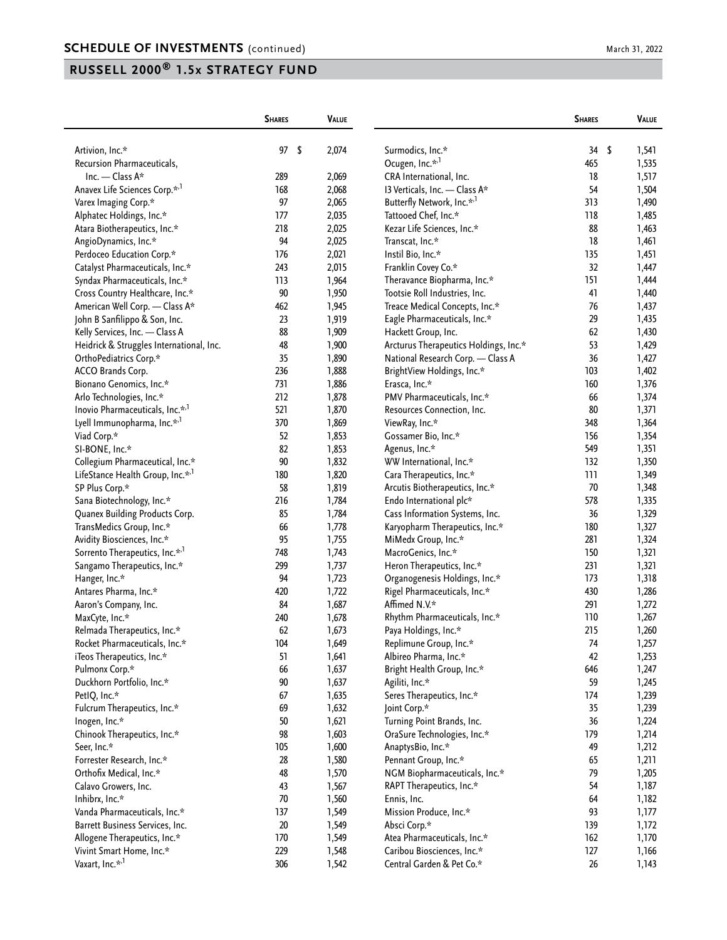|                                                                         | <b>SHARES</b>    | VALUE          |                                                           | <b>SHARES</b> | VALUE       |
|-------------------------------------------------------------------------|------------------|----------------|-----------------------------------------------------------|---------------|-------------|
| Artivion, Inc.*                                                         | $\sqrt{2}$<br>97 | 2,074          | Surmodics, Inc.*                                          | 34            | \$<br>1,541 |
| Recursion Pharmaceuticals,                                              |                  |                | Ocugen, Inc.* <sup>,1</sup>                               | 465           | 1,535       |
| Inc. - Class A*                                                         | 289              | 2,069          | CRA International, Inc.                                   | 18            | 1,517       |
| Anavex Life Sciences Corp.* <sup>1</sup>                                | 168              | 2,068          | 13 Verticals, Inc. - Class A*                             | 54            | 1,504       |
| Varex Imaging Corp.*                                                    | 97               | 2,065          | Butterfly Network, Inc.* <sup>,1</sup>                    | 313           | 1,490       |
| Alphatec Holdings, Inc.*                                                | 177              | 2,035          | Tattooed Chef, Inc.*                                      | 118           | 1,485       |
| Atara Biotherapeutics, Inc.*                                            | 218              | 2,025          | Kezar Life Sciences, Inc.*                                | 88            | 1,463       |
| AngioDynamics, Inc.*                                                    | 94               | 2,025          | Transcat, Inc.*                                           | 18            | 1,461       |
| Perdoceo Education Corp.*                                               | 176              | 2,021          | Instil Bio, Inc.*                                         | 135           | 1,451       |
| Catalyst Pharmaceuticals, Inc.*                                         | 243              | 2,015          | Franklin Covey Co.*                                       | 32            | 1,447       |
| Syndax Pharmaceuticals, Inc.*                                           | 113              | 1,964          | Theravance Biopharma, Inc.*                               | 151           | 1,444       |
| Cross Country Healthcare, Inc.*                                         | 90               | 1,950          | Tootsie Roll Industries, Inc.                             | 41            | 1,440       |
| American Well Corp. - Class A*                                          | 462              | 1,945          | Treace Medical Concepts, Inc.*                            | 76            | 1,437       |
| John B Sanfilippo & Son, Inc.                                           | 23               | 1,919          | Eagle Pharmaceuticals, Inc.*                              | 29            | 1,435       |
| Kelly Services, Inc. - Class A                                          | 88               | 1,909          | Hackett Group, Inc.                                       | 62            | 1,430       |
| Heidrick & Struggles International, Inc.                                | 48               | 1,900          | Arcturus Therapeutics Holdings, Inc.*                     | 53            | 1,429       |
| OrthoPediatrics Corp.*                                                  | 35               | 1,890          | National Research Corp. - Class A                         | 36            | 1,427       |
| ACCO Brands Corp.                                                       | 236              | 1,888          | BrightView Holdings, Inc.*                                | 103           | 1,402       |
| Bionano Genomics, Inc.*                                                 | 731              | 1,886          | Erasca, Inc.*                                             | 160           | 1,376       |
| Arlo Technologies, Inc.*                                                | 212              | 1,878          | PMV Pharmaceuticals, Inc.*                                | 66            | 1,374       |
| Inovio Pharmaceuticals, Inc.* <sup>1</sup>                              | 521              | 1,870          | Resources Connection, Inc.                                | 80            | 1,371       |
| Lyell Immunopharma, Inc.* <sup>,1</sup>                                 | 370              | 1,869          | ViewRay, Inc.*                                            | 348           | 1,364       |
| Viad Corp.*                                                             | 52               | 1,853          | Gossamer Bio, Inc.*                                       | 156           | 1,354       |
| SI-BONE, Inc.*                                                          | 82               | 1,853          | Agenus, Inc.*                                             | 549           | 1,351       |
| Collegium Pharmaceutical, Inc.*                                         | 90               | 1,832          | WW International, Inc.*                                   | 132           | 1,350       |
| LifeStance Health Group, Inc.* <sup>,1</sup>                            | 180              | 1,820          | Cara Therapeutics, Inc.*                                  | 111           | 1,349       |
| SP Plus Corp.*                                                          | 58               | 1,819          |                                                           | 70            | 1,348       |
| Sana Biotechnology, Inc.*                                               | 216              | 1,784          | Arcutis Biotherapeutics, Inc.*<br>Endo International plc* | 578           | 1,335       |
| Quanex Building Products Corp.                                          | 85               | 1,784          | Cass Information Systems, Inc.                            | 36            | 1,329       |
| TransMedics Group, Inc.*                                                | 66               | 1,778          |                                                           | 180           | 1,327       |
|                                                                         | 95               | 1,755          | Karyopharm Therapeutics, Inc.*<br>MiMedx Group, Inc.*     | 281           | 1,324       |
| Avidity Biosciences, Inc.*<br>Sorrento Therapeutics, Inc.* <sup>1</sup> | 748              |                |                                                           | 150           |             |
|                                                                         | 299              | 1,743          | MacroGenics, Inc.*                                        | 231           | 1,321       |
| Sangamo Therapeutics, Inc.*                                             | 94               | 1,737          | Heron Therapeutics, Inc.*                                 | 173           | 1,321       |
| Hanger, Inc.*                                                           |                  | 1,723          | Organogenesis Holdings, Inc.*                             | 430           | 1,318       |
| Antares Pharma, Inc.*                                                   | 420              | 1,722<br>1,687 | Rigel Pharmaceuticals, Inc.*<br>Affimed N.V.*             | 291           | 1,286       |
| Aaron's Company, Inc.                                                   | 84<br>240        |                |                                                           | 110           | 1,272       |
| MaxCyte, Inc.*                                                          |                  | 1,678          | Rhythm Pharmaceuticals, Inc.*                             |               | 1,267       |
| Relmada Therapeutics, Inc.*                                             | 62               | 1,673          | Paya Holdings, Inc.*                                      | 215           | 1,260       |
| Rocket Pharmaceuticals, Inc.*                                           | 104              | 1,649          | Replimune Group, Inc.*                                    | 74            | 1,257       |
| iTeos Therapeutics, Inc.*                                               | 51               | 1,641          | Albireo Pharma, Inc.*                                     | 42            | 1,253       |
| Pulmonx Corp.*                                                          | 66               | 1,637          | Bright Health Group, Inc.*                                | 646           | 1,247       |
| Duckhorn Portfolio, Inc.*                                               | $90\,$           | 1,637          | Agiliti, Inc.*                                            | 59            | 1,245       |
| PetIQ, Inc.*                                                            | 67               | 1,635          | Seres Therapeutics, Inc.*                                 | 174           | 1,239       |
| Fulcrum Therapeutics, Inc.*                                             | 69               | 1,632          | Joint Corp.*                                              | 35            | 1,239       |
| Inogen, Inc.*                                                           | 50               | 1,621          | Turning Point Brands, Inc.                                | 36            | 1,224       |
| Chinook Therapeutics, Inc.*                                             | 98               | 1,603          | OraSure Technologies, Inc.*                               | 179           | 1,214       |
| Seer, Inc.*                                                             | 105              | 1,600          | AnaptysBio, Inc.*                                         | 49            | 1,212       |
| Forrester Research, Inc.*                                               | 28               | 1,580          | Pennant Group, Inc.*                                      | 65            | 1,211       |
| Orthofix Medical, Inc.*                                                 | 48               | 1,570          | NGM Biopharmaceuticals, Inc.*                             | 79            | 1,205       |
| Calavo Growers, Inc.                                                    | 43               | 1,567          | RAPT Therapeutics, Inc.*                                  | 54            | 1,187       |
| Inhibrx, Inc.*                                                          | $70\,$           | 1,560          | Ennis, Inc.                                               | 64            | 1,182       |
| Vanda Pharmaceuticals, Inc.*                                            | 137              | 1,549          | Mission Produce, Inc.*                                    | 93            | 1,177       |
| Barrett Business Services, Inc.                                         | $20\,$           | 1,549          | Absci Corp.*                                              | 139           | 1,172       |
| Allogene Therapeutics, Inc.*                                            | 170              | 1,549          | Atea Pharmaceuticals, Inc.*                               | 162           | 1,170       |
| Vivint Smart Home, Inc.*                                                | 229              | 1,548          | Caribou Biosciences, Inc.*                                | 127           | 1,166       |
| Vaxart, Inc.* <sup>,1</sup>                                             | 306              | 1,542          | Central Garden & Pet Co.*                                 | $26\,$        | 1,143       |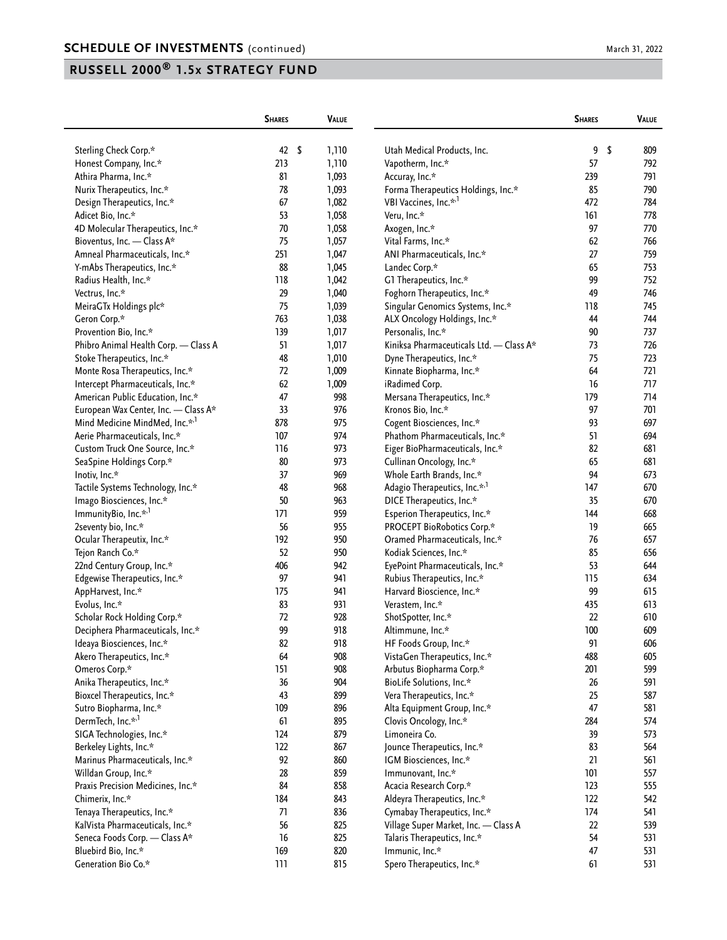|                                                             | <b>SHARES</b> | VALUE        |                                                             | <b>SHARES</b> | <b>VALUE</b> |
|-------------------------------------------------------------|---------------|--------------|-------------------------------------------------------------|---------------|--------------|
| Sterling Check Corp.*                                       | $42 \quad$    | 1,110        | Utah Medical Products, Inc.                                 | 9             | \$<br>809    |
| Honest Company, Inc.*                                       | 213           | 1,110        | Vapotherm, Inc.*                                            | 57            | 792          |
| Athira Pharma, Inc.*                                        | 81            | 1,093        | Accuray, Inc.*                                              | 239           | 791          |
| Nurix Therapeutics, Inc.*                                   | 78            | 1,093        | Forma Therapeutics Holdings, Inc.*                          | 85            | 790          |
| Design Therapeutics, Inc.*                                  | 67            | 1,082        | VBI Vaccines, Inc.* <sup>,1</sup>                           | 472           | 784          |
| Adicet Bio, Inc.*                                           | 53            | 1,058        | Veru, Inc.*                                                 | 161           | 778          |
| 4D Molecular Therapeutics, Inc.*                            | $70\,$        | 1,058        | Axogen, Inc.*                                               | 97            | 770          |
| Bioventus, Inc. - Class A*                                  | 75            | 1,057        | Vital Farms, Inc.*                                          | 62            | 766          |
| Amneal Pharmaceuticals, Inc.*                               | 251           | 1,047        | ANI Pharmaceuticals, Inc.*                                  | 27            | 759          |
| Y-mAbs Therapeutics, Inc.*                                  | 88            | 1,045        | Landec Corp.*                                               | 65            | 753          |
| Radius Health, Inc.*                                        | 118           | 1,042        | G1 Therapeutics, Inc.*                                      | 99            | 752          |
| Vectrus, Inc.*                                              | 29            | 1,040        | Foghorn Therapeutics, Inc.*                                 | 49            | 746          |
| MeiraGTx Holdings plc*                                      | 75            | 1,039        | Singular Genomics Systems, Inc.*                            | 118           | 745          |
| Geron Corp.*                                                | 763           | 1,038        | ALX Oncology Holdings, Inc.*                                | 44            | 744          |
| Provention Bio, Inc.*                                       | 139           | 1,017        | Personalis, Inc.*                                           | 90            | 737          |
| Phibro Animal Health Corp. - Class A                        | 51            | 1,017        | Kiniksa Pharmaceuticals Ltd. - Class A*                     | 73            | 726          |
|                                                             | 48            | 1,010        | Dyne Therapeutics, Inc.*                                    | 75            | 723          |
| Stoke Therapeutics, Inc.*<br>Monte Rosa Therapeutics, Inc.* | 72            | 1,009        | Kinnate Biopharma, Inc.*                                    | 64            | 721          |
| Intercept Pharmaceuticals, Inc.*                            | 62            |              |                                                             | 16            | 717          |
|                                                             | 47            | 1,009<br>998 | iRadimed Corp.                                              | 179           | 714          |
| American Public Education, Inc.*                            | 33            | 976          | Mersana Therapeutics, Inc.*                                 | 97            | 701          |
| European Wax Center, Inc. - Class A*                        | 878           | 975          | Kronos Bio, Inc.*                                           | 93            | 697          |
| Mind Medicine MindMed, Inc.* <sup>,1</sup>                  | 107           | 974          | Cogent Biosciences, Inc.*<br>Phathom Pharmaceuticals, Inc.* | 51            | 694          |
| Aerie Pharmaceuticals, Inc.*                                |               |              |                                                             |               |              |
| Custom Truck One Source, Inc.*                              | 116           | 973          | Eiger BioPharmaceuticals, Inc.*                             | 82            | 681          |
| SeaSpine Holdings Corp.*                                    | 80            | 973          | Cullinan Oncology, Inc.*                                    | 65            | 681          |
| Inotiv, Inc.*                                               | 37            | 969          | Whole Earth Brands, Inc.*                                   | 94            | 673          |
| Tactile Systems Technology, Inc.*                           | 48            | 968          | Adagio Therapeutics, Inc.* <sup>,1</sup>                    | 147           | 670          |
| Imago Biosciences, Inc.*                                    | 50            | 963          | DICE Therapeutics, Inc.*                                    | 35            | 670          |
| ImmunityBio, Inc.* <sup>1</sup>                             | 171           | 959          | Esperion Therapeutics, Inc.*                                | 144           | 668          |
| 2seventy bio, Inc.*                                         | 56            | 955          | PROCEPT BioRobotics Corp.*                                  | 19            | 665          |
| Ocular Therapeutix, Inc.*                                   | 192           | 950          | Oramed Pharmaceuticals, Inc.*                               | 76            | 657          |
| Tejon Ranch Co.*                                            | 52            | 950          | Kodiak Sciences, Inc.*                                      | 85            | 656          |
| 22nd Century Group, Inc.*                                   | 406           | 942          | EyePoint Pharmaceuticals, Inc.*                             | 53            | 644          |
| Edgewise Therapeutics, Inc.*                                | 97            | 941          | Rubius Therapeutics, Inc.*                                  | 115           | 634          |
| AppHarvest, Inc.*                                           | 175           | 941          | Harvard Bioscience, Inc.*                                   | 99            | 615          |
| Evolus, Inc.*                                               | 83            | 931          | Verastem, Inc.*                                             | 435           | 613          |
| Scholar Rock Holding Corp.*                                 | 72            | 928          | ShotSpotter, Inc.*                                          | 22            | 610          |
| Deciphera Pharmaceuticals, Inc.*                            | 99            | 918          | Altimmune, Inc.*                                            | 100           | 609          |
| Ideaya Biosciences, Inc.*                                   | 82            | 918          | HF Foods Group, Inc.*                                       | 91            | 606          |
| Akero Therapeutics, Inc.*                                   | 64            | 908          | VistaGen Therapeutics, Inc.*                                | 488           | 605          |
| Omeros Corp.*                                               | 151           | 908          | Arbutus Biopharma Corp.*                                    | 201           | 599          |
| Anika Therapeutics, Inc.*                                   | 36            | 904          | BioLife Solutions, Inc.*                                    | 26            | 591          |
| Bioxcel Therapeutics, Inc.*                                 | 43            | 899          | Vera Therapeutics, Inc.*                                    | 25            | 587          |
| Sutro Biopharma, Inc.*                                      | 109           | 896          | Alta Equipment Group, Inc.*                                 | 47            | 581          |
| DermTech, Inc.* <sup>,1</sup>                               | 61            | 895          | Clovis Oncology, Inc.*                                      | 284           | 574          |
| SIGA Technologies, Inc.*                                    | 124           | 879          | Limoneira Co.                                               | 39            | 573          |
| Berkeley Lights, Inc.*                                      | 122           | 867          | Jounce Therapeutics, Inc.*                                  | 83            | 564          |
| Marinus Pharmaceuticals, Inc.*                              | 92            | 860          | IGM Biosciences, Inc.*                                      | 21            | 561          |
| Willdan Group, Inc.*                                        | 28            | 859          | Immunovant, Inc.*                                           | 101           | 557          |
| Praxis Precision Medicines, Inc.*                           | 84            | 858          | Acacia Research Corp.*                                      | 123           | 555          |
| Chimerix, Inc.*                                             | 184           | 843          | Aldeyra Therapeutics, Inc.*                                 | 122           | 542          |
| Tenaya Therapeutics, Inc.*                                  | 71            | 836          | Cymabay Therapeutics, Inc.*                                 | 174           | 541          |
| KalVista Pharmaceuticals, Inc.*                             | 56            | 825          | Village Super Market, Inc. - Class A                        | $22\,$        | 539          |
| Seneca Foods Corp. - Class A*                               | 16            | 825          | Talaris Therapeutics, Inc.*                                 | 54            | 531          |
| Bluebird Bio, Inc.*                                         | 169           | 820          | Immunic, Inc.*                                              | 47            | 531          |
| Generation Bio Co.*                                         | 111           | 815          | Spero Therapeutics, Inc.*                                   | 61            | 531          |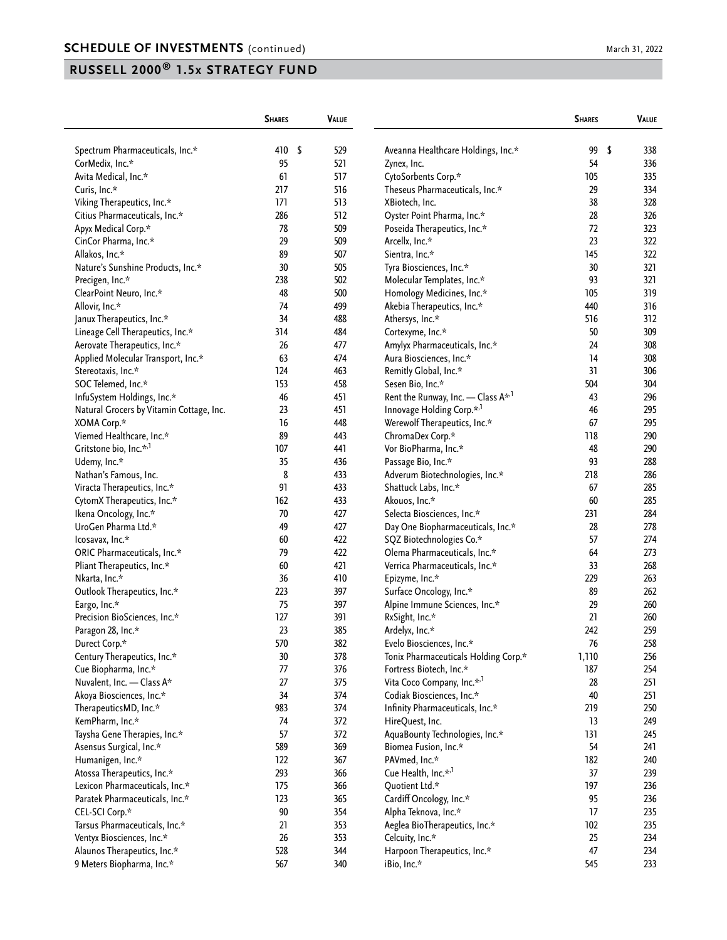|                                          | <b>SHARES</b> |     | <b>VALUE</b> |                                             | <b>SHARES</b> | VALUE     |
|------------------------------------------|---------------|-----|--------------|---------------------------------------------|---------------|-----------|
| Spectrum Pharmaceuticals, Inc.*          | 410           | -\$ | 529          | Aveanna Healthcare Holdings, Inc.*          | 99            | \$<br>338 |
| CorMedix, Inc.*                          | 95            |     | 521          | Zynex, Inc.                                 | 54            | 336       |
| Avita Medical, Inc.*                     | 61            |     | 517          | CytoSorbents Corp.*                         | 105           | 335       |
| Curis, Inc.*                             | 217           |     | 516          | Theseus Pharmaceuticals, Inc.*              | 29            | 334       |
| Viking Therapeutics, Inc.*               | 171           |     | 513          | XBiotech, Inc.                              | 38            | 328       |
| Citius Pharmaceuticals, Inc.*            | 286           |     | 512          | Oyster Point Pharma, Inc.*                  | 28            | 326       |
| Apyx Medical Corp.*                      | 78            |     | 509          | Poseida Therapeutics, Inc.*                 | 72            | 323       |
| CinCor Pharma, Inc.*                     | 29            |     | 509          | Arcellx, Inc.*                              | 23            | 322       |
| Allakos, Inc.*                           | 89            |     | 507          | Sientra, Inc.*                              | 145           | 322       |
| Nature's Sunshine Products, Inc.*        | 30            |     | 505          | Tyra Biosciences, Inc.*                     | 30            | 321       |
|                                          | 238           |     | 502          | Molecular Templates, Inc.*                  | 93            | 321       |
| Precigen, Inc.*                          | 48            |     | 500          |                                             | 105           | 319       |
| ClearPoint Neuro, Inc.*                  |               |     |              | Homology Medicines, Inc.*                   |               |           |
| Allovir, Inc.*                           | 74            |     | 499          | Akebia Therapeutics, Inc.*                  | 440           | 316       |
| Janux Therapeutics, Inc.*                | 34            |     | 488          | Athersys, Inc.*                             | 516           | 312       |
| Lineage Cell Therapeutics, Inc.*         | 314           |     | 484          | Cortexyme, Inc.*                            | 50            | 309       |
| Aerovate Therapeutics, Inc.*             | 26            |     | 477          | Amylyx Pharmaceuticals, Inc.*               | 24            | 308       |
| Applied Molecular Transport, Inc.*       | 63            |     | 474          | Aura Biosciences, Inc.*                     | 14            | 308       |
| Stereotaxis, Inc.*                       | 124           |     | 463          | Remitly Global, Inc.*                       | 31            | 306       |
| SOC Telemed, Inc.*                       | 153           |     | 458          | Sesen Bio, Inc.*                            | 504           | 304       |
| InfuSystem Holdings, Inc.*               | 46            |     | 451          | Rent the Runway, Inc. - Class $A^{\star,1}$ | 43            | 296       |
| Natural Grocers by Vitamin Cottage, Inc. | 23            |     | 451          | Innovage Holding Corp.* <sup>,1</sup>       | 46            | 295       |
| XOMA Corp.*                              | 16            |     | 448          | Werewolf Therapeutics, Inc.*                | 67            | 295       |
| Viemed Healthcare, Inc.*                 | 89            |     | 443          | ChromaDex Corp.*                            | 118           | 290       |
| Gritstone bio, Inc.* <sup>,1</sup>       | 107           |     | 441          | Vor BioPharma, Inc.*                        | 48            | 290       |
| Udemy, Inc.*                             | 35            |     | 436          | Passage Bio, Inc.*                          | 93            | 288       |
| Nathan's Famous, Inc.                    | 8             |     | 433          | Adverum Biotechnologies, Inc.*              | 218           | 286       |
| Viracta Therapeutics, Inc.*              | 91            |     | 433          | Shattuck Labs, Inc.*                        | 67            | 285       |
| CytomX Therapeutics, Inc.*               | 162           |     | 433          | Akouos, Inc.*                               | 60            | 285       |
| Ikena Oncology, Inc.*                    | 70            |     | 427          | Selecta Biosciences, Inc.*                  | 231           | 284       |
| UroGen Pharma Ltd.*                      | 49            |     | 427          | Day One Biopharmaceuticals, Inc.*           | 28            | 278       |
| lcosavax, Inc.*                          | 60            |     | 422          | SQZ Biotechnologies Co.*                    | 57            | 274       |
| ORIC Pharmaceuticals, Inc.*              | 79            |     | 422          | Olema Pharmaceuticals, Inc.*                | 64            | 273       |
| Pliant Therapeutics, Inc.*               | 60            |     | 421          | Verrica Pharmaceuticals, Inc.*              | 33            | 268       |
| Nkarta, Inc.*                            | 36            |     | 410          | Epizyme, Inc.*                              | 229           | 263       |
| Outlook Therapeutics, Inc.*              | 223           |     | 397          | Surface Oncology, Inc.*                     | 89            | 262       |
| Eargo, Inc.*                             | 75            |     | 397          | Alpine Immune Sciences, Inc.*               | 29            | 260       |
| Precision BioSciences, Inc.*             | 127           |     | 391          | RxSight, Inc.*                              | 21            | 260       |
| Paragon 28, Inc.*                        | 23            |     | 385          | Ardelyx, Inc.*                              | 242           | 259       |
| Durect Corp.*                            | 570           |     | 382          | Evelo Biosciences, Inc.*                    | 76            | 258       |
| Century Therapeutics, Inc.*              | 30            |     | 378          | Tonix Pharmaceuticals Holding Corp.*        | 1,110         | 256       |
| Cue Biopharma, Inc.*                     | 77            |     | 376          | Fortress Biotech, Inc.*                     | 187           | 254       |
| Nuvalent, Inc. - Class A*                | 27            |     | 375          | Vita Coco Company, Inc.* <sup>,1</sup>      | 28            | 251       |
| Akoya Biosciences, Inc.*                 | 34            |     | 374          | Codiak Biosciences, Inc.*                   | 40            | 251       |
| TherapeuticsMD, Inc.*                    | 983           |     | 374          | Infinity Pharmaceuticals, Inc.*             | 219           | 250       |
| KemPharm, Inc.*                          | 74            |     | 372          | HireQuest, Inc.                             | 13            | 249       |
| Taysha Gene Therapies, Inc.*             | 57            |     | 372          | AquaBounty Technologies, Inc.*              | 131           | 245       |
| Asensus Surgical, Inc.*                  | 589           |     | 369          | Biomea Fusion, Inc.*                        | 54            | 241       |
| Humanigen, Inc.*                         | 122           |     | 367          | PAVmed, Inc.*                               | 182           | 240       |
| Atossa Therapeutics, Inc.*               | 293           |     | 366          | Cue Health, Inc.* <sup>,1</sup>             | 37            | 239       |
| Lexicon Pharmaceuticals, Inc.*           | 175           |     | 366          | Quotient Ltd.*                              | 197           | 236       |
| Paratek Pharmaceuticals, Inc.*           | 123           |     | 365          | Cardiff Oncology, Inc.*                     | 95            | 236       |
| CEL-SCI Corp.*                           | 90            |     | 354          | Alpha Teknova, Inc.*                        | 17            | 235       |
|                                          |               |     |              |                                             |               |           |
| Tarsus Pharmaceuticals, Inc.*            | 21            |     | 353          | Aeglea BioTherapeutics, Inc.*               | 102           | 235       |
| Ventyx Biosciences, Inc.*                | 26            |     | 353          | Celcuity, Inc.*                             | 25            | 234       |
| Alaunos Therapeutics, Inc.*              | 528           |     | 344          | Harpoon Therapeutics, Inc.*                 | 47            | 234       |
| 9 Meters Biopharma, Inc.*                | 567           |     | 340          | iBio, Inc.*                                 | 545           | 233       |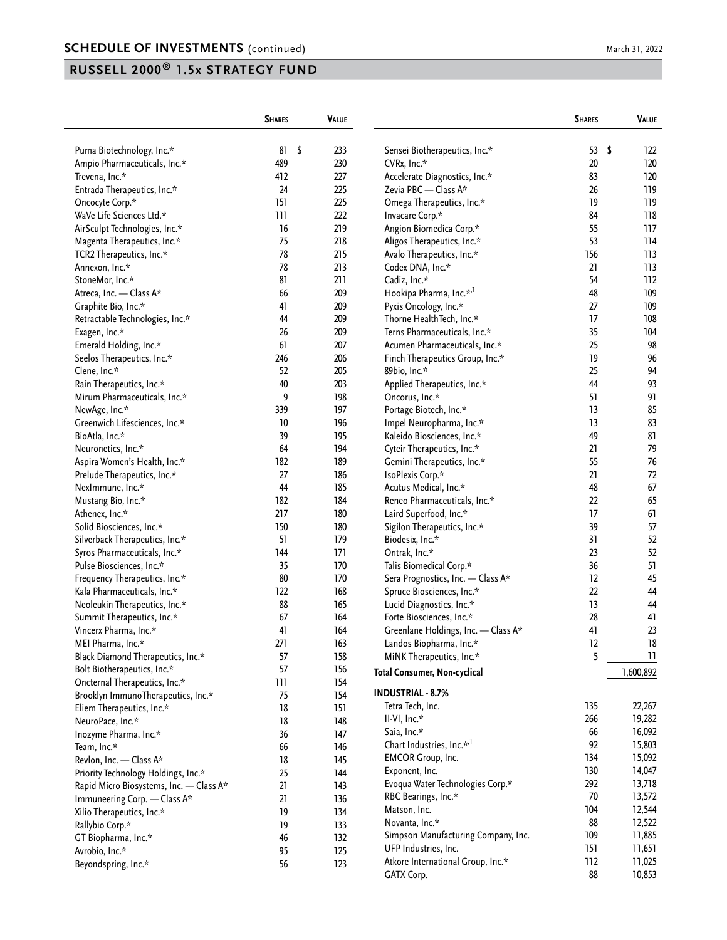| 53<br>\$<br>Puma Biotechnology, Inc.*<br>81<br>\$<br>233<br>Sensei Biotherapeutics, Inc.*<br>122<br>489<br>230<br>20<br>120<br>Ampio Pharmaceuticals, Inc.*<br>CVRx, Inc.*<br>83<br>120<br>Trevena, Inc.*<br>412<br>227<br>Accelerate Diagnostics, Inc.*<br>225<br>Zevia PBC - Class A*<br>119<br>Entrada Therapeutics, Inc.*<br>24<br>26<br>151<br>225<br>19<br>119<br>Oncocyte Corp.*<br>Omega Therapeutics, Inc.*<br>118<br>WaVe Life Sciences Ltd.*<br>111<br>222<br>Invacare Corp.*<br>84<br>16<br>55<br>117<br>AirSculpt Technologies, Inc.*<br>219<br>Angion Biomedica Corp.*<br>75<br>218<br>Aligos Therapeutics, Inc.*<br>53<br>114<br>Magenta Therapeutics, Inc.*<br>78<br>215<br>156<br>113<br>TCR2 Therapeutics, Inc.*<br>Avalo Therapeutics, Inc.*<br>78<br>213<br>21<br>113<br>Annexon, Inc.*<br>Codex DNA, Inc.*<br>81<br>StoneMor, Inc.*<br>211<br>Cadiz, Inc.*<br>54<br>112<br>66<br>209<br>Hookipa Pharma, Inc.* <sup>,1</sup><br>48<br>109<br>Atreca, Inc. - Class A*<br>41<br>Pyxis Oncology, Inc.*<br>27<br>109<br>Graphite Bio, Inc.*<br>209<br>17<br>Retractable Technologies, Inc.*<br>44<br>209<br>Thorne HealthTech, Inc.*<br>108<br>35<br>104<br>Exagen, Inc.*<br>26<br>209<br>Terns Pharmaceuticals, Inc.*<br>25<br>98<br>Emerald Holding, Inc.*<br>61<br>207<br>Acumen Pharmaceuticals, Inc.*<br>96<br>Finch Therapeutics Group, Inc.*<br>19<br>Seelos Therapeutics, Inc.*<br>246<br>206<br>52<br>25<br>94<br>Clene, Inc.*<br>205<br>89bio, Inc.*<br>40<br>203<br>93<br>Rain Therapeutics, Inc.*<br>Applied Therapeutics, Inc.*<br>44<br>9<br>198<br>91<br>Mirum Pharmaceuticals, Inc.*<br>Oncorus, Inc.*<br>51<br>85<br>339<br>197<br>Portage Biotech, Inc.*<br>13<br>NewAge, Inc.*<br>83<br>Greenwich Lifesciences, Inc.*<br>10<br>196<br>Impel Neuropharma, Inc.*<br>13<br>39<br>195<br>81<br>Kaleido Biosciences, Inc.*<br>49<br>BioAtla, Inc.*<br>79<br>64<br>21<br>194<br>Cyteir Therapeutics, Inc.*<br>Neuronetics, Inc.*<br>182<br>189<br>55<br>76<br>Gemini Therapeutics, Inc.*<br>Aspira Women's Health, Inc.*<br>27<br>186<br>21<br>72<br>IsoPlexis Corp.*<br>Prelude Therapeutics, Inc.*<br>44<br>48<br>67<br>185<br>Acutus Medical, Inc.*<br>NexImmune, Inc.*<br>65<br>182<br>184<br>Reneo Pharmaceuticals, Inc.*<br>22<br>Mustang Bio, Inc.*<br>217<br>61<br>Athenex, Inc.*<br>180<br>Laird Superfood, Inc.*<br>17<br>150<br>180<br>39<br>57<br>Solid Biosciences, Inc.*<br>Sigilon Therapeutics, Inc.*<br>51<br>52<br>Silverback Therapeutics, Inc.*<br>179<br>Biodesix, Inc.*<br>31<br>Ontrak, Inc.*<br>23<br>52<br>Syros Pharmaceuticals, Inc.*<br>144<br>171<br>51<br>Pulse Biosciences, Inc.*<br>35<br>170<br>Talis Biomedical Corp.*<br>36<br>80<br>Frequency Therapeutics, Inc.*<br>170<br>Sera Prognostics, Inc. - Class A*<br>12<br>45<br>168<br>22<br>44<br>Kala Pharmaceuticals, Inc.*<br>122<br>Spruce Biosciences, Inc.*<br>88<br>13<br>Neoleukin Therapeutics, Inc.*<br>165<br>Lucid Diagnostics, Inc.*<br>44<br>67<br>28<br>41<br>Summit Therapeutics, Inc.*<br>164<br>Forte Biosciences, Inc.*<br>23<br>Vincerx Pharma, Inc.*<br>41<br>164<br>Greenlane Holdings, Inc. - Class A*<br>41<br>MEI Pharma, Inc.*<br>271<br>163<br>Landos Biopharma, Inc.*<br>12<br>18<br>158<br>5<br>Black Diamond Therapeutics, Inc.*<br>57<br>11<br>MiNK Therapeutics, Inc.*<br>57<br>Bolt Biotherapeutics, Inc.*<br>156<br><b>Total Consumer, Non-cyclical</b><br>1,600,892<br>Oncternal Therapeutics, Inc.*<br>111<br>154<br><b>INDUSTRIAL - 8.7%</b><br>75<br>Brooklyn ImmunoTherapeutics, Inc.*<br>154<br>135<br>22,267<br>Tetra Tech, Inc.<br>18<br>Eliem Therapeutics, Inc.*<br>151<br>266<br>19,282<br>II-VI, Inc.*<br>18<br>NeuroPace, Inc.*<br>148<br>66<br>16,092<br>Saia, Inc.*<br>36<br>Inozyme Pharma, Inc.*<br>147<br>Chart Industries, Inc.* <sup>1</sup><br>92<br>15,803<br>66<br>Team, Inc.*<br>146<br>134<br>15,092<br><b>EMCOR Group, Inc.</b><br>Revlon, Inc. - Class A*<br>18<br>145<br>130<br>Exponent, Inc.<br>14,047<br>25<br>Priority Technology Holdings, Inc.*<br>144<br>292<br>Evoqua Water Technologies Corp.*<br>13,718<br>Rapid Micro Biosystems, Inc. - Class A*<br>21<br>143<br>70<br>13,572<br>RBC Bearings, Inc.*<br>21<br>Immuneering Corp. - Class A*<br>136<br>104<br>12,544<br>Matson, Inc.<br>Xilio Therapeutics, Inc.*<br>19<br>134<br>88<br>Novanta, Inc.*<br>12,522<br>Rallybio Corp.*<br>19<br>133<br>109<br>11,885<br>Simpson Manufacturing Company, Inc.<br>46<br>132<br>GT Biopharma, Inc.*<br>151<br>UFP Industries, Inc.<br>11,651<br>Avrobio, Inc.*<br>95<br>125<br>Atkore International Group, Inc.*<br>112<br>11,025<br>Beyondspring, Inc.*<br>56<br>123<br>88<br>10,853<br>GATX Corp. | <b>SHARES</b> | VALUE | <b>SHARES</b> | VALUE |
|-------------------------------------------------------------------------------------------------------------------------------------------------------------------------------------------------------------------------------------------------------------------------------------------------------------------------------------------------------------------------------------------------------------------------------------------------------------------------------------------------------------------------------------------------------------------------------------------------------------------------------------------------------------------------------------------------------------------------------------------------------------------------------------------------------------------------------------------------------------------------------------------------------------------------------------------------------------------------------------------------------------------------------------------------------------------------------------------------------------------------------------------------------------------------------------------------------------------------------------------------------------------------------------------------------------------------------------------------------------------------------------------------------------------------------------------------------------------------------------------------------------------------------------------------------------------------------------------------------------------------------------------------------------------------------------------------------------------------------------------------------------------------------------------------------------------------------------------------------------------------------------------------------------------------------------------------------------------------------------------------------------------------------------------------------------------------------------------------------------------------------------------------------------------------------------------------------------------------------------------------------------------------------------------------------------------------------------------------------------------------------------------------------------------------------------------------------------------------------------------------------------------------------------------------------------------------------------------------------------------------------------------------------------------------------------------------------------------------------------------------------------------------------------------------------------------------------------------------------------------------------------------------------------------------------------------------------------------------------------------------------------------------------------------------------------------------------------------------------------------------------------------------------------------------------------------------------------------------------------------------------------------------------------------------------------------------------------------------------------------------------------------------------------------------------------------------------------------------------------------------------------------------------------------------------------------------------------------------------------------------------------------------------------------------------------------------------------------------------------------------------------------------------------------------------------------------------------------------------------------------------------------------------------------------------------------------------------------------------------------------------------------------------------------------------------------------------------------------------------------------------------------------------------------------------------------------------------------------------------------------------------------------------------------------------------------------------------------------------------------------------------------------------------------------------------------------------------------------------------------------------------------------------------------------------------------------------------------------------------------------------------------------------------------------------------|---------------|-------|---------------|-------|
|                                                                                                                                                                                                                                                                                                                                                                                                                                                                                                                                                                                                                                                                                                                                                                                                                                                                                                                                                                                                                                                                                                                                                                                                                                                                                                                                                                                                                                                                                                                                                                                                                                                                                                                                                                                                                                                                                                                                                                                                                                                                                                                                                                                                                                                                                                                                                                                                                                                                                                                                                                                                                                                                                                                                                                                                                                                                                                                                                                                                                                                                                                                                                                                                                                                                                                                                                                                                                                                                                                                                                                                                                                                                                                                                                                                                                                                                                                                                                                                                                                                                                                                                                                                                                                                                                                                                                                                                                                                                                                                                                                                                                                                                                     |               |       |               |       |
|                                                                                                                                                                                                                                                                                                                                                                                                                                                                                                                                                                                                                                                                                                                                                                                                                                                                                                                                                                                                                                                                                                                                                                                                                                                                                                                                                                                                                                                                                                                                                                                                                                                                                                                                                                                                                                                                                                                                                                                                                                                                                                                                                                                                                                                                                                                                                                                                                                                                                                                                                                                                                                                                                                                                                                                                                                                                                                                                                                                                                                                                                                                                                                                                                                                                                                                                                                                                                                                                                                                                                                                                                                                                                                                                                                                                                                                                                                                                                                                                                                                                                                                                                                                                                                                                                                                                                                                                                                                                                                                                                                                                                                                                                     |               |       |               |       |
|                                                                                                                                                                                                                                                                                                                                                                                                                                                                                                                                                                                                                                                                                                                                                                                                                                                                                                                                                                                                                                                                                                                                                                                                                                                                                                                                                                                                                                                                                                                                                                                                                                                                                                                                                                                                                                                                                                                                                                                                                                                                                                                                                                                                                                                                                                                                                                                                                                                                                                                                                                                                                                                                                                                                                                                                                                                                                                                                                                                                                                                                                                                                                                                                                                                                                                                                                                                                                                                                                                                                                                                                                                                                                                                                                                                                                                                                                                                                                                                                                                                                                                                                                                                                                                                                                                                                                                                                                                                                                                                                                                                                                                                                                     |               |       |               |       |
|                                                                                                                                                                                                                                                                                                                                                                                                                                                                                                                                                                                                                                                                                                                                                                                                                                                                                                                                                                                                                                                                                                                                                                                                                                                                                                                                                                                                                                                                                                                                                                                                                                                                                                                                                                                                                                                                                                                                                                                                                                                                                                                                                                                                                                                                                                                                                                                                                                                                                                                                                                                                                                                                                                                                                                                                                                                                                                                                                                                                                                                                                                                                                                                                                                                                                                                                                                                                                                                                                                                                                                                                                                                                                                                                                                                                                                                                                                                                                                                                                                                                                                                                                                                                                                                                                                                                                                                                                                                                                                                                                                                                                                                                                     |               |       |               |       |
|                                                                                                                                                                                                                                                                                                                                                                                                                                                                                                                                                                                                                                                                                                                                                                                                                                                                                                                                                                                                                                                                                                                                                                                                                                                                                                                                                                                                                                                                                                                                                                                                                                                                                                                                                                                                                                                                                                                                                                                                                                                                                                                                                                                                                                                                                                                                                                                                                                                                                                                                                                                                                                                                                                                                                                                                                                                                                                                                                                                                                                                                                                                                                                                                                                                                                                                                                                                                                                                                                                                                                                                                                                                                                                                                                                                                                                                                                                                                                                                                                                                                                                                                                                                                                                                                                                                                                                                                                                                                                                                                                                                                                                                                                     |               |       |               |       |
|                                                                                                                                                                                                                                                                                                                                                                                                                                                                                                                                                                                                                                                                                                                                                                                                                                                                                                                                                                                                                                                                                                                                                                                                                                                                                                                                                                                                                                                                                                                                                                                                                                                                                                                                                                                                                                                                                                                                                                                                                                                                                                                                                                                                                                                                                                                                                                                                                                                                                                                                                                                                                                                                                                                                                                                                                                                                                                                                                                                                                                                                                                                                                                                                                                                                                                                                                                                                                                                                                                                                                                                                                                                                                                                                                                                                                                                                                                                                                                                                                                                                                                                                                                                                                                                                                                                                                                                                                                                                                                                                                                                                                                                                                     |               |       |               |       |
|                                                                                                                                                                                                                                                                                                                                                                                                                                                                                                                                                                                                                                                                                                                                                                                                                                                                                                                                                                                                                                                                                                                                                                                                                                                                                                                                                                                                                                                                                                                                                                                                                                                                                                                                                                                                                                                                                                                                                                                                                                                                                                                                                                                                                                                                                                                                                                                                                                                                                                                                                                                                                                                                                                                                                                                                                                                                                                                                                                                                                                                                                                                                                                                                                                                                                                                                                                                                                                                                                                                                                                                                                                                                                                                                                                                                                                                                                                                                                                                                                                                                                                                                                                                                                                                                                                                                                                                                                                                                                                                                                                                                                                                                                     |               |       |               |       |
|                                                                                                                                                                                                                                                                                                                                                                                                                                                                                                                                                                                                                                                                                                                                                                                                                                                                                                                                                                                                                                                                                                                                                                                                                                                                                                                                                                                                                                                                                                                                                                                                                                                                                                                                                                                                                                                                                                                                                                                                                                                                                                                                                                                                                                                                                                                                                                                                                                                                                                                                                                                                                                                                                                                                                                                                                                                                                                                                                                                                                                                                                                                                                                                                                                                                                                                                                                                                                                                                                                                                                                                                                                                                                                                                                                                                                                                                                                                                                                                                                                                                                                                                                                                                                                                                                                                                                                                                                                                                                                                                                                                                                                                                                     |               |       |               |       |
|                                                                                                                                                                                                                                                                                                                                                                                                                                                                                                                                                                                                                                                                                                                                                                                                                                                                                                                                                                                                                                                                                                                                                                                                                                                                                                                                                                                                                                                                                                                                                                                                                                                                                                                                                                                                                                                                                                                                                                                                                                                                                                                                                                                                                                                                                                                                                                                                                                                                                                                                                                                                                                                                                                                                                                                                                                                                                                                                                                                                                                                                                                                                                                                                                                                                                                                                                                                                                                                                                                                                                                                                                                                                                                                                                                                                                                                                                                                                                                                                                                                                                                                                                                                                                                                                                                                                                                                                                                                                                                                                                                                                                                                                                     |               |       |               |       |
|                                                                                                                                                                                                                                                                                                                                                                                                                                                                                                                                                                                                                                                                                                                                                                                                                                                                                                                                                                                                                                                                                                                                                                                                                                                                                                                                                                                                                                                                                                                                                                                                                                                                                                                                                                                                                                                                                                                                                                                                                                                                                                                                                                                                                                                                                                                                                                                                                                                                                                                                                                                                                                                                                                                                                                                                                                                                                                                                                                                                                                                                                                                                                                                                                                                                                                                                                                                                                                                                                                                                                                                                                                                                                                                                                                                                                                                                                                                                                                                                                                                                                                                                                                                                                                                                                                                                                                                                                                                                                                                                                                                                                                                                                     |               |       |               |       |
|                                                                                                                                                                                                                                                                                                                                                                                                                                                                                                                                                                                                                                                                                                                                                                                                                                                                                                                                                                                                                                                                                                                                                                                                                                                                                                                                                                                                                                                                                                                                                                                                                                                                                                                                                                                                                                                                                                                                                                                                                                                                                                                                                                                                                                                                                                                                                                                                                                                                                                                                                                                                                                                                                                                                                                                                                                                                                                                                                                                                                                                                                                                                                                                                                                                                                                                                                                                                                                                                                                                                                                                                                                                                                                                                                                                                                                                                                                                                                                                                                                                                                                                                                                                                                                                                                                                                                                                                                                                                                                                                                                                                                                                                                     |               |       |               |       |
|                                                                                                                                                                                                                                                                                                                                                                                                                                                                                                                                                                                                                                                                                                                                                                                                                                                                                                                                                                                                                                                                                                                                                                                                                                                                                                                                                                                                                                                                                                                                                                                                                                                                                                                                                                                                                                                                                                                                                                                                                                                                                                                                                                                                                                                                                                                                                                                                                                                                                                                                                                                                                                                                                                                                                                                                                                                                                                                                                                                                                                                                                                                                                                                                                                                                                                                                                                                                                                                                                                                                                                                                                                                                                                                                                                                                                                                                                                                                                                                                                                                                                                                                                                                                                                                                                                                                                                                                                                                                                                                                                                                                                                                                                     |               |       |               |       |
|                                                                                                                                                                                                                                                                                                                                                                                                                                                                                                                                                                                                                                                                                                                                                                                                                                                                                                                                                                                                                                                                                                                                                                                                                                                                                                                                                                                                                                                                                                                                                                                                                                                                                                                                                                                                                                                                                                                                                                                                                                                                                                                                                                                                                                                                                                                                                                                                                                                                                                                                                                                                                                                                                                                                                                                                                                                                                                                                                                                                                                                                                                                                                                                                                                                                                                                                                                                                                                                                                                                                                                                                                                                                                                                                                                                                                                                                                                                                                                                                                                                                                                                                                                                                                                                                                                                                                                                                                                                                                                                                                                                                                                                                                     |               |       |               |       |
|                                                                                                                                                                                                                                                                                                                                                                                                                                                                                                                                                                                                                                                                                                                                                                                                                                                                                                                                                                                                                                                                                                                                                                                                                                                                                                                                                                                                                                                                                                                                                                                                                                                                                                                                                                                                                                                                                                                                                                                                                                                                                                                                                                                                                                                                                                                                                                                                                                                                                                                                                                                                                                                                                                                                                                                                                                                                                                                                                                                                                                                                                                                                                                                                                                                                                                                                                                                                                                                                                                                                                                                                                                                                                                                                                                                                                                                                                                                                                                                                                                                                                                                                                                                                                                                                                                                                                                                                                                                                                                                                                                                                                                                                                     |               |       |               |       |
|                                                                                                                                                                                                                                                                                                                                                                                                                                                                                                                                                                                                                                                                                                                                                                                                                                                                                                                                                                                                                                                                                                                                                                                                                                                                                                                                                                                                                                                                                                                                                                                                                                                                                                                                                                                                                                                                                                                                                                                                                                                                                                                                                                                                                                                                                                                                                                                                                                                                                                                                                                                                                                                                                                                                                                                                                                                                                                                                                                                                                                                                                                                                                                                                                                                                                                                                                                                                                                                                                                                                                                                                                                                                                                                                                                                                                                                                                                                                                                                                                                                                                                                                                                                                                                                                                                                                                                                                                                                                                                                                                                                                                                                                                     |               |       |               |       |
|                                                                                                                                                                                                                                                                                                                                                                                                                                                                                                                                                                                                                                                                                                                                                                                                                                                                                                                                                                                                                                                                                                                                                                                                                                                                                                                                                                                                                                                                                                                                                                                                                                                                                                                                                                                                                                                                                                                                                                                                                                                                                                                                                                                                                                                                                                                                                                                                                                                                                                                                                                                                                                                                                                                                                                                                                                                                                                                                                                                                                                                                                                                                                                                                                                                                                                                                                                                                                                                                                                                                                                                                                                                                                                                                                                                                                                                                                                                                                                                                                                                                                                                                                                                                                                                                                                                                                                                                                                                                                                                                                                                                                                                                                     |               |       |               |       |
|                                                                                                                                                                                                                                                                                                                                                                                                                                                                                                                                                                                                                                                                                                                                                                                                                                                                                                                                                                                                                                                                                                                                                                                                                                                                                                                                                                                                                                                                                                                                                                                                                                                                                                                                                                                                                                                                                                                                                                                                                                                                                                                                                                                                                                                                                                                                                                                                                                                                                                                                                                                                                                                                                                                                                                                                                                                                                                                                                                                                                                                                                                                                                                                                                                                                                                                                                                                                                                                                                                                                                                                                                                                                                                                                                                                                                                                                                                                                                                                                                                                                                                                                                                                                                                                                                                                                                                                                                                                                                                                                                                                                                                                                                     |               |       |               |       |
|                                                                                                                                                                                                                                                                                                                                                                                                                                                                                                                                                                                                                                                                                                                                                                                                                                                                                                                                                                                                                                                                                                                                                                                                                                                                                                                                                                                                                                                                                                                                                                                                                                                                                                                                                                                                                                                                                                                                                                                                                                                                                                                                                                                                                                                                                                                                                                                                                                                                                                                                                                                                                                                                                                                                                                                                                                                                                                                                                                                                                                                                                                                                                                                                                                                                                                                                                                                                                                                                                                                                                                                                                                                                                                                                                                                                                                                                                                                                                                                                                                                                                                                                                                                                                                                                                                                                                                                                                                                                                                                                                                                                                                                                                     |               |       |               |       |
|                                                                                                                                                                                                                                                                                                                                                                                                                                                                                                                                                                                                                                                                                                                                                                                                                                                                                                                                                                                                                                                                                                                                                                                                                                                                                                                                                                                                                                                                                                                                                                                                                                                                                                                                                                                                                                                                                                                                                                                                                                                                                                                                                                                                                                                                                                                                                                                                                                                                                                                                                                                                                                                                                                                                                                                                                                                                                                                                                                                                                                                                                                                                                                                                                                                                                                                                                                                                                                                                                                                                                                                                                                                                                                                                                                                                                                                                                                                                                                                                                                                                                                                                                                                                                                                                                                                                                                                                                                                                                                                                                                                                                                                                                     |               |       |               |       |
|                                                                                                                                                                                                                                                                                                                                                                                                                                                                                                                                                                                                                                                                                                                                                                                                                                                                                                                                                                                                                                                                                                                                                                                                                                                                                                                                                                                                                                                                                                                                                                                                                                                                                                                                                                                                                                                                                                                                                                                                                                                                                                                                                                                                                                                                                                                                                                                                                                                                                                                                                                                                                                                                                                                                                                                                                                                                                                                                                                                                                                                                                                                                                                                                                                                                                                                                                                                                                                                                                                                                                                                                                                                                                                                                                                                                                                                                                                                                                                                                                                                                                                                                                                                                                                                                                                                                                                                                                                                                                                                                                                                                                                                                                     |               |       |               |       |
|                                                                                                                                                                                                                                                                                                                                                                                                                                                                                                                                                                                                                                                                                                                                                                                                                                                                                                                                                                                                                                                                                                                                                                                                                                                                                                                                                                                                                                                                                                                                                                                                                                                                                                                                                                                                                                                                                                                                                                                                                                                                                                                                                                                                                                                                                                                                                                                                                                                                                                                                                                                                                                                                                                                                                                                                                                                                                                                                                                                                                                                                                                                                                                                                                                                                                                                                                                                                                                                                                                                                                                                                                                                                                                                                                                                                                                                                                                                                                                                                                                                                                                                                                                                                                                                                                                                                                                                                                                                                                                                                                                                                                                                                                     |               |       |               |       |
|                                                                                                                                                                                                                                                                                                                                                                                                                                                                                                                                                                                                                                                                                                                                                                                                                                                                                                                                                                                                                                                                                                                                                                                                                                                                                                                                                                                                                                                                                                                                                                                                                                                                                                                                                                                                                                                                                                                                                                                                                                                                                                                                                                                                                                                                                                                                                                                                                                                                                                                                                                                                                                                                                                                                                                                                                                                                                                                                                                                                                                                                                                                                                                                                                                                                                                                                                                                                                                                                                                                                                                                                                                                                                                                                                                                                                                                                                                                                                                                                                                                                                                                                                                                                                                                                                                                                                                                                                                                                                                                                                                                                                                                                                     |               |       |               |       |
|                                                                                                                                                                                                                                                                                                                                                                                                                                                                                                                                                                                                                                                                                                                                                                                                                                                                                                                                                                                                                                                                                                                                                                                                                                                                                                                                                                                                                                                                                                                                                                                                                                                                                                                                                                                                                                                                                                                                                                                                                                                                                                                                                                                                                                                                                                                                                                                                                                                                                                                                                                                                                                                                                                                                                                                                                                                                                                                                                                                                                                                                                                                                                                                                                                                                                                                                                                                                                                                                                                                                                                                                                                                                                                                                                                                                                                                                                                                                                                                                                                                                                                                                                                                                                                                                                                                                                                                                                                                                                                                                                                                                                                                                                     |               |       |               |       |
|                                                                                                                                                                                                                                                                                                                                                                                                                                                                                                                                                                                                                                                                                                                                                                                                                                                                                                                                                                                                                                                                                                                                                                                                                                                                                                                                                                                                                                                                                                                                                                                                                                                                                                                                                                                                                                                                                                                                                                                                                                                                                                                                                                                                                                                                                                                                                                                                                                                                                                                                                                                                                                                                                                                                                                                                                                                                                                                                                                                                                                                                                                                                                                                                                                                                                                                                                                                                                                                                                                                                                                                                                                                                                                                                                                                                                                                                                                                                                                                                                                                                                                                                                                                                                                                                                                                                                                                                                                                                                                                                                                                                                                                                                     |               |       |               |       |
|                                                                                                                                                                                                                                                                                                                                                                                                                                                                                                                                                                                                                                                                                                                                                                                                                                                                                                                                                                                                                                                                                                                                                                                                                                                                                                                                                                                                                                                                                                                                                                                                                                                                                                                                                                                                                                                                                                                                                                                                                                                                                                                                                                                                                                                                                                                                                                                                                                                                                                                                                                                                                                                                                                                                                                                                                                                                                                                                                                                                                                                                                                                                                                                                                                                                                                                                                                                                                                                                                                                                                                                                                                                                                                                                                                                                                                                                                                                                                                                                                                                                                                                                                                                                                                                                                                                                                                                                                                                                                                                                                                                                                                                                                     |               |       |               |       |
|                                                                                                                                                                                                                                                                                                                                                                                                                                                                                                                                                                                                                                                                                                                                                                                                                                                                                                                                                                                                                                                                                                                                                                                                                                                                                                                                                                                                                                                                                                                                                                                                                                                                                                                                                                                                                                                                                                                                                                                                                                                                                                                                                                                                                                                                                                                                                                                                                                                                                                                                                                                                                                                                                                                                                                                                                                                                                                                                                                                                                                                                                                                                                                                                                                                                                                                                                                                                                                                                                                                                                                                                                                                                                                                                                                                                                                                                                                                                                                                                                                                                                                                                                                                                                                                                                                                                                                                                                                                                                                                                                                                                                                                                                     |               |       |               |       |
|                                                                                                                                                                                                                                                                                                                                                                                                                                                                                                                                                                                                                                                                                                                                                                                                                                                                                                                                                                                                                                                                                                                                                                                                                                                                                                                                                                                                                                                                                                                                                                                                                                                                                                                                                                                                                                                                                                                                                                                                                                                                                                                                                                                                                                                                                                                                                                                                                                                                                                                                                                                                                                                                                                                                                                                                                                                                                                                                                                                                                                                                                                                                                                                                                                                                                                                                                                                                                                                                                                                                                                                                                                                                                                                                                                                                                                                                                                                                                                                                                                                                                                                                                                                                                                                                                                                                                                                                                                                                                                                                                                                                                                                                                     |               |       |               |       |
|                                                                                                                                                                                                                                                                                                                                                                                                                                                                                                                                                                                                                                                                                                                                                                                                                                                                                                                                                                                                                                                                                                                                                                                                                                                                                                                                                                                                                                                                                                                                                                                                                                                                                                                                                                                                                                                                                                                                                                                                                                                                                                                                                                                                                                                                                                                                                                                                                                                                                                                                                                                                                                                                                                                                                                                                                                                                                                                                                                                                                                                                                                                                                                                                                                                                                                                                                                                                                                                                                                                                                                                                                                                                                                                                                                                                                                                                                                                                                                                                                                                                                                                                                                                                                                                                                                                                                                                                                                                                                                                                                                                                                                                                                     |               |       |               |       |
|                                                                                                                                                                                                                                                                                                                                                                                                                                                                                                                                                                                                                                                                                                                                                                                                                                                                                                                                                                                                                                                                                                                                                                                                                                                                                                                                                                                                                                                                                                                                                                                                                                                                                                                                                                                                                                                                                                                                                                                                                                                                                                                                                                                                                                                                                                                                                                                                                                                                                                                                                                                                                                                                                                                                                                                                                                                                                                                                                                                                                                                                                                                                                                                                                                                                                                                                                                                                                                                                                                                                                                                                                                                                                                                                                                                                                                                                                                                                                                                                                                                                                                                                                                                                                                                                                                                                                                                                                                                                                                                                                                                                                                                                                     |               |       |               |       |
|                                                                                                                                                                                                                                                                                                                                                                                                                                                                                                                                                                                                                                                                                                                                                                                                                                                                                                                                                                                                                                                                                                                                                                                                                                                                                                                                                                                                                                                                                                                                                                                                                                                                                                                                                                                                                                                                                                                                                                                                                                                                                                                                                                                                                                                                                                                                                                                                                                                                                                                                                                                                                                                                                                                                                                                                                                                                                                                                                                                                                                                                                                                                                                                                                                                                                                                                                                                                                                                                                                                                                                                                                                                                                                                                                                                                                                                                                                                                                                                                                                                                                                                                                                                                                                                                                                                                                                                                                                                                                                                                                                                                                                                                                     |               |       |               |       |
|                                                                                                                                                                                                                                                                                                                                                                                                                                                                                                                                                                                                                                                                                                                                                                                                                                                                                                                                                                                                                                                                                                                                                                                                                                                                                                                                                                                                                                                                                                                                                                                                                                                                                                                                                                                                                                                                                                                                                                                                                                                                                                                                                                                                                                                                                                                                                                                                                                                                                                                                                                                                                                                                                                                                                                                                                                                                                                                                                                                                                                                                                                                                                                                                                                                                                                                                                                                                                                                                                                                                                                                                                                                                                                                                                                                                                                                                                                                                                                                                                                                                                                                                                                                                                                                                                                                                                                                                                                                                                                                                                                                                                                                                                     |               |       |               |       |
|                                                                                                                                                                                                                                                                                                                                                                                                                                                                                                                                                                                                                                                                                                                                                                                                                                                                                                                                                                                                                                                                                                                                                                                                                                                                                                                                                                                                                                                                                                                                                                                                                                                                                                                                                                                                                                                                                                                                                                                                                                                                                                                                                                                                                                                                                                                                                                                                                                                                                                                                                                                                                                                                                                                                                                                                                                                                                                                                                                                                                                                                                                                                                                                                                                                                                                                                                                                                                                                                                                                                                                                                                                                                                                                                                                                                                                                                                                                                                                                                                                                                                                                                                                                                                                                                                                                                                                                                                                                                                                                                                                                                                                                                                     |               |       |               |       |
|                                                                                                                                                                                                                                                                                                                                                                                                                                                                                                                                                                                                                                                                                                                                                                                                                                                                                                                                                                                                                                                                                                                                                                                                                                                                                                                                                                                                                                                                                                                                                                                                                                                                                                                                                                                                                                                                                                                                                                                                                                                                                                                                                                                                                                                                                                                                                                                                                                                                                                                                                                                                                                                                                                                                                                                                                                                                                                                                                                                                                                                                                                                                                                                                                                                                                                                                                                                                                                                                                                                                                                                                                                                                                                                                                                                                                                                                                                                                                                                                                                                                                                                                                                                                                                                                                                                                                                                                                                                                                                                                                                                                                                                                                     |               |       |               |       |
|                                                                                                                                                                                                                                                                                                                                                                                                                                                                                                                                                                                                                                                                                                                                                                                                                                                                                                                                                                                                                                                                                                                                                                                                                                                                                                                                                                                                                                                                                                                                                                                                                                                                                                                                                                                                                                                                                                                                                                                                                                                                                                                                                                                                                                                                                                                                                                                                                                                                                                                                                                                                                                                                                                                                                                                                                                                                                                                                                                                                                                                                                                                                                                                                                                                                                                                                                                                                                                                                                                                                                                                                                                                                                                                                                                                                                                                                                                                                                                                                                                                                                                                                                                                                                                                                                                                                                                                                                                                                                                                                                                                                                                                                                     |               |       |               |       |
|                                                                                                                                                                                                                                                                                                                                                                                                                                                                                                                                                                                                                                                                                                                                                                                                                                                                                                                                                                                                                                                                                                                                                                                                                                                                                                                                                                                                                                                                                                                                                                                                                                                                                                                                                                                                                                                                                                                                                                                                                                                                                                                                                                                                                                                                                                                                                                                                                                                                                                                                                                                                                                                                                                                                                                                                                                                                                                                                                                                                                                                                                                                                                                                                                                                                                                                                                                                                                                                                                                                                                                                                                                                                                                                                                                                                                                                                                                                                                                                                                                                                                                                                                                                                                                                                                                                                                                                                                                                                                                                                                                                                                                                                                     |               |       |               |       |
|                                                                                                                                                                                                                                                                                                                                                                                                                                                                                                                                                                                                                                                                                                                                                                                                                                                                                                                                                                                                                                                                                                                                                                                                                                                                                                                                                                                                                                                                                                                                                                                                                                                                                                                                                                                                                                                                                                                                                                                                                                                                                                                                                                                                                                                                                                                                                                                                                                                                                                                                                                                                                                                                                                                                                                                                                                                                                                                                                                                                                                                                                                                                                                                                                                                                                                                                                                                                                                                                                                                                                                                                                                                                                                                                                                                                                                                                                                                                                                                                                                                                                                                                                                                                                                                                                                                                                                                                                                                                                                                                                                                                                                                                                     |               |       |               |       |
|                                                                                                                                                                                                                                                                                                                                                                                                                                                                                                                                                                                                                                                                                                                                                                                                                                                                                                                                                                                                                                                                                                                                                                                                                                                                                                                                                                                                                                                                                                                                                                                                                                                                                                                                                                                                                                                                                                                                                                                                                                                                                                                                                                                                                                                                                                                                                                                                                                                                                                                                                                                                                                                                                                                                                                                                                                                                                                                                                                                                                                                                                                                                                                                                                                                                                                                                                                                                                                                                                                                                                                                                                                                                                                                                                                                                                                                                                                                                                                                                                                                                                                                                                                                                                                                                                                                                                                                                                                                                                                                                                                                                                                                                                     |               |       |               |       |
|                                                                                                                                                                                                                                                                                                                                                                                                                                                                                                                                                                                                                                                                                                                                                                                                                                                                                                                                                                                                                                                                                                                                                                                                                                                                                                                                                                                                                                                                                                                                                                                                                                                                                                                                                                                                                                                                                                                                                                                                                                                                                                                                                                                                                                                                                                                                                                                                                                                                                                                                                                                                                                                                                                                                                                                                                                                                                                                                                                                                                                                                                                                                                                                                                                                                                                                                                                                                                                                                                                                                                                                                                                                                                                                                                                                                                                                                                                                                                                                                                                                                                                                                                                                                                                                                                                                                                                                                                                                                                                                                                                                                                                                                                     |               |       |               |       |
|                                                                                                                                                                                                                                                                                                                                                                                                                                                                                                                                                                                                                                                                                                                                                                                                                                                                                                                                                                                                                                                                                                                                                                                                                                                                                                                                                                                                                                                                                                                                                                                                                                                                                                                                                                                                                                                                                                                                                                                                                                                                                                                                                                                                                                                                                                                                                                                                                                                                                                                                                                                                                                                                                                                                                                                                                                                                                                                                                                                                                                                                                                                                                                                                                                                                                                                                                                                                                                                                                                                                                                                                                                                                                                                                                                                                                                                                                                                                                                                                                                                                                                                                                                                                                                                                                                                                                                                                                                                                                                                                                                                                                                                                                     |               |       |               |       |
|                                                                                                                                                                                                                                                                                                                                                                                                                                                                                                                                                                                                                                                                                                                                                                                                                                                                                                                                                                                                                                                                                                                                                                                                                                                                                                                                                                                                                                                                                                                                                                                                                                                                                                                                                                                                                                                                                                                                                                                                                                                                                                                                                                                                                                                                                                                                                                                                                                                                                                                                                                                                                                                                                                                                                                                                                                                                                                                                                                                                                                                                                                                                                                                                                                                                                                                                                                                                                                                                                                                                                                                                                                                                                                                                                                                                                                                                                                                                                                                                                                                                                                                                                                                                                                                                                                                                                                                                                                                                                                                                                                                                                                                                                     |               |       |               |       |
|                                                                                                                                                                                                                                                                                                                                                                                                                                                                                                                                                                                                                                                                                                                                                                                                                                                                                                                                                                                                                                                                                                                                                                                                                                                                                                                                                                                                                                                                                                                                                                                                                                                                                                                                                                                                                                                                                                                                                                                                                                                                                                                                                                                                                                                                                                                                                                                                                                                                                                                                                                                                                                                                                                                                                                                                                                                                                                                                                                                                                                                                                                                                                                                                                                                                                                                                                                                                                                                                                                                                                                                                                                                                                                                                                                                                                                                                                                                                                                                                                                                                                                                                                                                                                                                                                                                                                                                                                                                                                                                                                                                                                                                                                     |               |       |               |       |
|                                                                                                                                                                                                                                                                                                                                                                                                                                                                                                                                                                                                                                                                                                                                                                                                                                                                                                                                                                                                                                                                                                                                                                                                                                                                                                                                                                                                                                                                                                                                                                                                                                                                                                                                                                                                                                                                                                                                                                                                                                                                                                                                                                                                                                                                                                                                                                                                                                                                                                                                                                                                                                                                                                                                                                                                                                                                                                                                                                                                                                                                                                                                                                                                                                                                                                                                                                                                                                                                                                                                                                                                                                                                                                                                                                                                                                                                                                                                                                                                                                                                                                                                                                                                                                                                                                                                                                                                                                                                                                                                                                                                                                                                                     |               |       |               |       |
|                                                                                                                                                                                                                                                                                                                                                                                                                                                                                                                                                                                                                                                                                                                                                                                                                                                                                                                                                                                                                                                                                                                                                                                                                                                                                                                                                                                                                                                                                                                                                                                                                                                                                                                                                                                                                                                                                                                                                                                                                                                                                                                                                                                                                                                                                                                                                                                                                                                                                                                                                                                                                                                                                                                                                                                                                                                                                                                                                                                                                                                                                                                                                                                                                                                                                                                                                                                                                                                                                                                                                                                                                                                                                                                                                                                                                                                                                                                                                                                                                                                                                                                                                                                                                                                                                                                                                                                                                                                                                                                                                                                                                                                                                     |               |       |               |       |
|                                                                                                                                                                                                                                                                                                                                                                                                                                                                                                                                                                                                                                                                                                                                                                                                                                                                                                                                                                                                                                                                                                                                                                                                                                                                                                                                                                                                                                                                                                                                                                                                                                                                                                                                                                                                                                                                                                                                                                                                                                                                                                                                                                                                                                                                                                                                                                                                                                                                                                                                                                                                                                                                                                                                                                                                                                                                                                                                                                                                                                                                                                                                                                                                                                                                                                                                                                                                                                                                                                                                                                                                                                                                                                                                                                                                                                                                                                                                                                                                                                                                                                                                                                                                                                                                                                                                                                                                                                                                                                                                                                                                                                                                                     |               |       |               |       |
|                                                                                                                                                                                                                                                                                                                                                                                                                                                                                                                                                                                                                                                                                                                                                                                                                                                                                                                                                                                                                                                                                                                                                                                                                                                                                                                                                                                                                                                                                                                                                                                                                                                                                                                                                                                                                                                                                                                                                                                                                                                                                                                                                                                                                                                                                                                                                                                                                                                                                                                                                                                                                                                                                                                                                                                                                                                                                                                                                                                                                                                                                                                                                                                                                                                                                                                                                                                                                                                                                                                                                                                                                                                                                                                                                                                                                                                                                                                                                                                                                                                                                                                                                                                                                                                                                                                                                                                                                                                                                                                                                                                                                                                                                     |               |       |               |       |
|                                                                                                                                                                                                                                                                                                                                                                                                                                                                                                                                                                                                                                                                                                                                                                                                                                                                                                                                                                                                                                                                                                                                                                                                                                                                                                                                                                                                                                                                                                                                                                                                                                                                                                                                                                                                                                                                                                                                                                                                                                                                                                                                                                                                                                                                                                                                                                                                                                                                                                                                                                                                                                                                                                                                                                                                                                                                                                                                                                                                                                                                                                                                                                                                                                                                                                                                                                                                                                                                                                                                                                                                                                                                                                                                                                                                                                                                                                                                                                                                                                                                                                                                                                                                                                                                                                                                                                                                                                                                                                                                                                                                                                                                                     |               |       |               |       |
|                                                                                                                                                                                                                                                                                                                                                                                                                                                                                                                                                                                                                                                                                                                                                                                                                                                                                                                                                                                                                                                                                                                                                                                                                                                                                                                                                                                                                                                                                                                                                                                                                                                                                                                                                                                                                                                                                                                                                                                                                                                                                                                                                                                                                                                                                                                                                                                                                                                                                                                                                                                                                                                                                                                                                                                                                                                                                                                                                                                                                                                                                                                                                                                                                                                                                                                                                                                                                                                                                                                                                                                                                                                                                                                                                                                                                                                                                                                                                                                                                                                                                                                                                                                                                                                                                                                                                                                                                                                                                                                                                                                                                                                                                     |               |       |               |       |
|                                                                                                                                                                                                                                                                                                                                                                                                                                                                                                                                                                                                                                                                                                                                                                                                                                                                                                                                                                                                                                                                                                                                                                                                                                                                                                                                                                                                                                                                                                                                                                                                                                                                                                                                                                                                                                                                                                                                                                                                                                                                                                                                                                                                                                                                                                                                                                                                                                                                                                                                                                                                                                                                                                                                                                                                                                                                                                                                                                                                                                                                                                                                                                                                                                                                                                                                                                                                                                                                                                                                                                                                                                                                                                                                                                                                                                                                                                                                                                                                                                                                                                                                                                                                                                                                                                                                                                                                                                                                                                                                                                                                                                                                                     |               |       |               |       |
|                                                                                                                                                                                                                                                                                                                                                                                                                                                                                                                                                                                                                                                                                                                                                                                                                                                                                                                                                                                                                                                                                                                                                                                                                                                                                                                                                                                                                                                                                                                                                                                                                                                                                                                                                                                                                                                                                                                                                                                                                                                                                                                                                                                                                                                                                                                                                                                                                                                                                                                                                                                                                                                                                                                                                                                                                                                                                                                                                                                                                                                                                                                                                                                                                                                                                                                                                                                                                                                                                                                                                                                                                                                                                                                                                                                                                                                                                                                                                                                                                                                                                                                                                                                                                                                                                                                                                                                                                                                                                                                                                                                                                                                                                     |               |       |               |       |
|                                                                                                                                                                                                                                                                                                                                                                                                                                                                                                                                                                                                                                                                                                                                                                                                                                                                                                                                                                                                                                                                                                                                                                                                                                                                                                                                                                                                                                                                                                                                                                                                                                                                                                                                                                                                                                                                                                                                                                                                                                                                                                                                                                                                                                                                                                                                                                                                                                                                                                                                                                                                                                                                                                                                                                                                                                                                                                                                                                                                                                                                                                                                                                                                                                                                                                                                                                                                                                                                                                                                                                                                                                                                                                                                                                                                                                                                                                                                                                                                                                                                                                                                                                                                                                                                                                                                                                                                                                                                                                                                                                                                                                                                                     |               |       |               |       |
|                                                                                                                                                                                                                                                                                                                                                                                                                                                                                                                                                                                                                                                                                                                                                                                                                                                                                                                                                                                                                                                                                                                                                                                                                                                                                                                                                                                                                                                                                                                                                                                                                                                                                                                                                                                                                                                                                                                                                                                                                                                                                                                                                                                                                                                                                                                                                                                                                                                                                                                                                                                                                                                                                                                                                                                                                                                                                                                                                                                                                                                                                                                                                                                                                                                                                                                                                                                                                                                                                                                                                                                                                                                                                                                                                                                                                                                                                                                                                                                                                                                                                                                                                                                                                                                                                                                                                                                                                                                                                                                                                                                                                                                                                     |               |       |               |       |
|                                                                                                                                                                                                                                                                                                                                                                                                                                                                                                                                                                                                                                                                                                                                                                                                                                                                                                                                                                                                                                                                                                                                                                                                                                                                                                                                                                                                                                                                                                                                                                                                                                                                                                                                                                                                                                                                                                                                                                                                                                                                                                                                                                                                                                                                                                                                                                                                                                                                                                                                                                                                                                                                                                                                                                                                                                                                                                                                                                                                                                                                                                                                                                                                                                                                                                                                                                                                                                                                                                                                                                                                                                                                                                                                                                                                                                                                                                                                                                                                                                                                                                                                                                                                                                                                                                                                                                                                                                                                                                                                                                                                                                                                                     |               |       |               |       |
|                                                                                                                                                                                                                                                                                                                                                                                                                                                                                                                                                                                                                                                                                                                                                                                                                                                                                                                                                                                                                                                                                                                                                                                                                                                                                                                                                                                                                                                                                                                                                                                                                                                                                                                                                                                                                                                                                                                                                                                                                                                                                                                                                                                                                                                                                                                                                                                                                                                                                                                                                                                                                                                                                                                                                                                                                                                                                                                                                                                                                                                                                                                                                                                                                                                                                                                                                                                                                                                                                                                                                                                                                                                                                                                                                                                                                                                                                                                                                                                                                                                                                                                                                                                                                                                                                                                                                                                                                                                                                                                                                                                                                                                                                     |               |       |               |       |
|                                                                                                                                                                                                                                                                                                                                                                                                                                                                                                                                                                                                                                                                                                                                                                                                                                                                                                                                                                                                                                                                                                                                                                                                                                                                                                                                                                                                                                                                                                                                                                                                                                                                                                                                                                                                                                                                                                                                                                                                                                                                                                                                                                                                                                                                                                                                                                                                                                                                                                                                                                                                                                                                                                                                                                                                                                                                                                                                                                                                                                                                                                                                                                                                                                                                                                                                                                                                                                                                                                                                                                                                                                                                                                                                                                                                                                                                                                                                                                                                                                                                                                                                                                                                                                                                                                                                                                                                                                                                                                                                                                                                                                                                                     |               |       |               |       |
|                                                                                                                                                                                                                                                                                                                                                                                                                                                                                                                                                                                                                                                                                                                                                                                                                                                                                                                                                                                                                                                                                                                                                                                                                                                                                                                                                                                                                                                                                                                                                                                                                                                                                                                                                                                                                                                                                                                                                                                                                                                                                                                                                                                                                                                                                                                                                                                                                                                                                                                                                                                                                                                                                                                                                                                                                                                                                                                                                                                                                                                                                                                                                                                                                                                                                                                                                                                                                                                                                                                                                                                                                                                                                                                                                                                                                                                                                                                                                                                                                                                                                                                                                                                                                                                                                                                                                                                                                                                                                                                                                                                                                                                                                     |               |       |               |       |
|                                                                                                                                                                                                                                                                                                                                                                                                                                                                                                                                                                                                                                                                                                                                                                                                                                                                                                                                                                                                                                                                                                                                                                                                                                                                                                                                                                                                                                                                                                                                                                                                                                                                                                                                                                                                                                                                                                                                                                                                                                                                                                                                                                                                                                                                                                                                                                                                                                                                                                                                                                                                                                                                                                                                                                                                                                                                                                                                                                                                                                                                                                                                                                                                                                                                                                                                                                                                                                                                                                                                                                                                                                                                                                                                                                                                                                                                                                                                                                                                                                                                                                                                                                                                                                                                                                                                                                                                                                                                                                                                                                                                                                                                                     |               |       |               |       |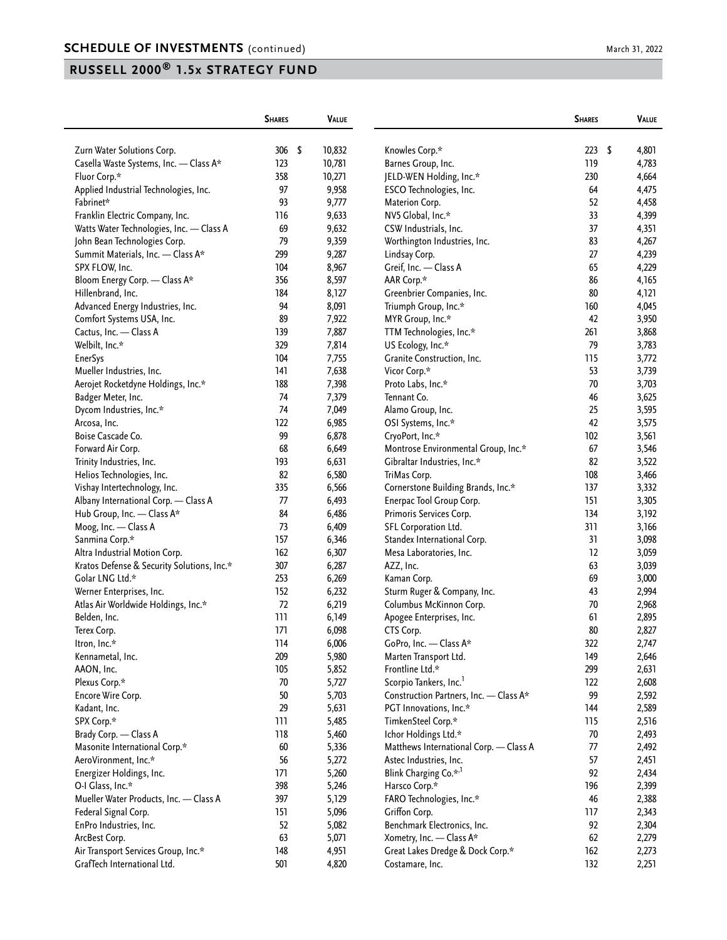|                                                                      | <b>SHARES</b> |      | VALUE            |                                        | <b>SHARES</b> | VALUE       |
|----------------------------------------------------------------------|---------------|------|------------------|----------------------------------------|---------------|-------------|
|                                                                      | 306           | - \$ |                  |                                        | 223           | 4,801       |
| Zurn Water Solutions Corp.<br>Casella Waste Systems, Inc. - Class A* | 123           |      | 10,832<br>10,781 | Knowles Corp.*<br>Barnes Group, Inc.   | 119           | \$<br>4,783 |
|                                                                      | 358           |      |                  |                                        | 230           |             |
| Fluor Corp.*                                                         |               |      | 10,271           | JELD-WEN Holding, Inc.*                |               | 4,664       |
| Applied Industrial Technologies, Inc.                                | 97<br>93      |      | 9,958            | ESCO Technologies, Inc.                | 64            | 4,475       |
| Fabrinet*                                                            |               |      | 9,777            | Materion Corp.                         | 52            | 4,458       |
| Franklin Electric Company, Inc.                                      | 116           |      | 9,633            | NV5 Global, Inc.*                      | 33            | 4,399       |
| Watts Water Technologies, Inc. - Class A                             | 69            |      | 9,632            | CSW Industrials, Inc.                  | 37            | 4,351       |
| John Bean Technologies Corp.                                         | 79            |      | 9,359            | Worthington Industries, Inc.           | 83            | 4,267       |
| Summit Materials, Inc. - Class A*                                    | 299           |      | 9,287            | Lindsay Corp.                          | 27            | 4,239       |
| SPX FLOW, Inc.                                                       | 104           |      | 8,967            | Greif, Inc. - Class A                  | 65            | 4,229       |
| Bloom Energy Corp. - Class A*                                        | 356           |      | 8,597            | AAR Corp.*                             | 86            | 4,165       |
| Hillenbrand, Inc.                                                    | 184           |      | 8,127            | Greenbrier Companies, Inc.             | 80            | 4,121       |
| Advanced Energy Industries, Inc.                                     | 94            |      | 8,091            | Triumph Group, Inc.*                   | 160           | 4,045       |
| Comfort Systems USA, Inc.                                            | 89            |      | 7,922            | MYR Group, Inc.*                       | 42            | 3,950       |
| Cactus, Inc. - Class A                                               | 139           |      | 7,887            | TTM Technologies, Inc.*                | 261           | 3,868       |
| Welbilt, Inc.*                                                       | 329           |      | 7,814            | US Ecology, Inc.*                      | 79            | 3,783       |
| <b>EnerSys</b>                                                       | 104           |      | 7,755            | Granite Construction, Inc.             | 115           | 3,772       |
| Mueller Industries, Inc.                                             | 141           |      | 7,638            | Vicor Corp.*                           | 53            | 3,739       |
| Aerojet Rocketdyne Holdings, Inc.*                                   | 188           |      | 7,398            | Proto Labs, Inc.*                      | 70            | 3,703       |
| Badger Meter, Inc.                                                   | 74            |      | 7,379            | Tennant Co.                            | 46            | 3,625       |
| Dycom Industries, Inc.*                                              | 74            |      | 7,049            | Alamo Group, Inc.                      | 25            | 3,595       |
| Arcosa, Inc.                                                         | 122           |      | 6,985            | OSI Systems, Inc.*                     | 42            | 3,575       |
| Boise Cascade Co.                                                    | 99            |      | 6,878            | CryoPort, Inc.*                        | 102           | 3,561       |
| Forward Air Corp.                                                    | 68            |      | 6,649            | Montrose Environmental Group, Inc.*    | 67            | 3,546       |
| Trinity Industries, Inc.                                             | 193           |      | 6,631            | Gibraltar Industries, Inc.*            | 82            | 3,522       |
| Helios Technologies, Inc.                                            | 82            |      | 6,580            | TriMas Corp.                           | 108           | 3,466       |
| Vishay Intertechnology, Inc.                                         | 335           |      | 6,566            | Cornerstone Building Brands, Inc.*     | 137           | 3,332       |
| Albany International Corp. - Class A                                 | 77            |      | 6,493            | Enerpac Tool Group Corp.               | 151           | 3,305       |
| Hub Group, Inc. - Class A*                                           | 84            |      | 6,486            | Primoris Services Corp.                | 134           | 3,192       |
| Moog, Inc. - Class A                                                 | 73            |      | 6,409            | SFL Corporation Ltd.                   | 311           | 3,166       |
| Sanmina Corp.*                                                       | 157           |      | 6,346            | Standex International Corp.            | 31            | 3,098       |
| Altra Industrial Motion Corp.                                        | 162           |      | 6,307            | Mesa Laboratories, Inc.                | 12            | 3,059       |
| Kratos Defense & Security Solutions, Inc.*                           | 307           |      | 6,287            | AZZ, Inc.                              | 63            | 3,039       |
| Golar LNG Ltd.*                                                      | 253           |      | 6,269            | Kaman Corp.                            | 69            | 3,000       |
| Werner Enterprises, Inc.                                             | 152           |      | 6,232            | Sturm Ruger & Company, Inc.            | 43            | 2,994       |
| Atlas Air Worldwide Holdings, Inc.*                                  | 72            |      | 6,219            | Columbus McKinnon Corp.                | 70            | 2,968       |
| Belden, Inc.                                                         | 111           |      | 6,149            | Apogee Enterprises, Inc.               | 61            | 2,895       |
| Terex Corp.                                                          | 171           |      | 6,098            | CTS Corp.                              | 80            | 2,827       |
| Itron, Inc.*                                                         | 114           |      | 6,006            | GoPro, Inc. - Class A*                 | 322           | 2,747       |
| Kennametal, Inc.                                                     | 209           |      | 5,980            | Marten Transport Ltd.                  | 149           | 2,646       |
| AAON, Inc.                                                           | 105           |      | 5,852            | Frontline Ltd.*                        | 299           | 2,631       |
| Plexus Corp.*                                                        | 70            |      | 5,727            | Scorpio Tankers, Inc. <sup>1</sup>     | 122           | 2,608       |
| Encore Wire Corp.                                                    | 50            |      | 5,703            | Construction Partners, Inc. - Class A* | 99            | 2,592       |
| Kadant, Inc.                                                         | 29            |      | 5,631            | PGT Innovations, Inc.*                 | 144           | 2,589       |
| SPX Corp.*                                                           | 111           |      | 5,485            | TimkenSteel Corp.*                     | 115           | 2,516       |
| Brady Corp. - Class A                                                | 118           |      | 5,460            | Ichor Holdings Ltd.*                   | 70            | 2,493       |
| Masonite International Corp.*                                        | $60\,$        |      | 5,336            | Matthews International Corp. - Class A | 77            | 2,492       |
| AeroVironment, Inc.*                                                 | 56            |      | 5,272            | Astec Industries, Inc.                 | 57            | 2,451       |
|                                                                      | 171           |      | 5,260            | Blink Charging Co.* <sup>,1</sup>      | 92            | 2,434       |
| Energizer Holdings, Inc.<br>O-I Glass, Inc.*                         |               |      |                  |                                        |               |             |
|                                                                      | 398           |      | 5,246            | Harsco Corp.*                          | 196           | 2,399       |
| Mueller Water Products, Inc. - Class A                               | 397           |      | 5,129            | FARO Technologies, Inc.*               | 46            | 2,388       |
| Federal Signal Corp.                                                 | 151           |      | 5,096            | Griffon Corp.                          | 117           | 2,343       |
| EnPro Industries, Inc.                                               | 52            |      | 5,082            | Benchmark Electronics, Inc.            | 92            | 2,304       |
| ArcBest Corp.                                                        | 63            |      | 5,071            | Xometry, Inc. - Class A*               | 62            | 2,279       |
| Air Transport Services Group, Inc.*                                  | 148           |      | 4,951            | Great Lakes Dredge & Dock Corp.*       | 162           | 2,273       |
| GrafTech International Ltd.                                          | 501           |      | 4,820            | Costamare, Inc.                        | 132           | 2,251       |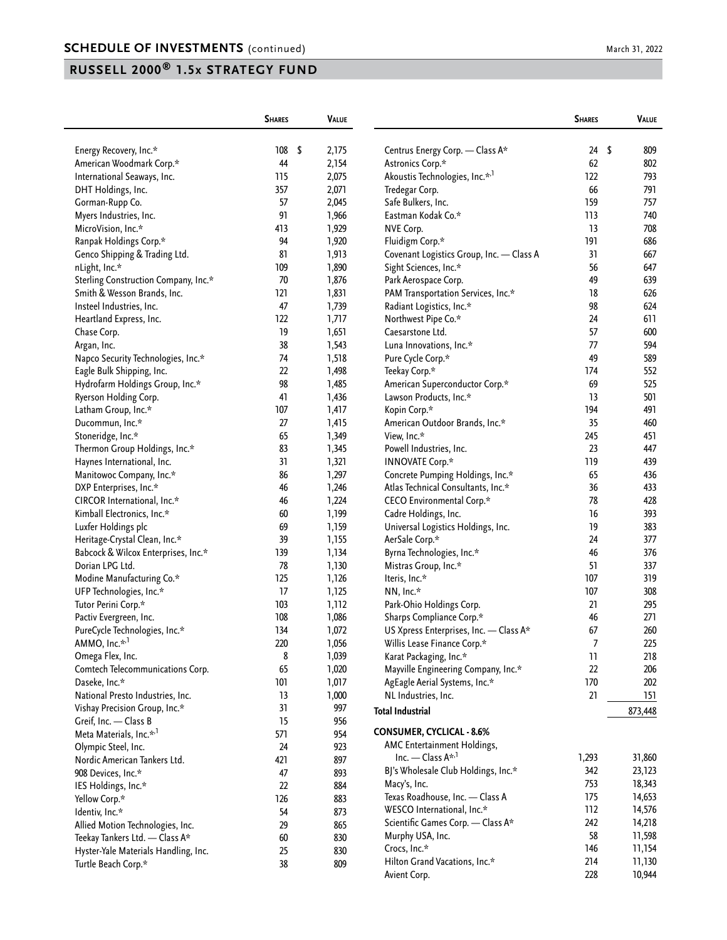|                                      | <b>SHARES</b> | <b>VALUE</b> |                                                 | <b>SHARES</b>   | <b>VALUE</b>     |
|--------------------------------------|---------------|--------------|-------------------------------------------------|-----------------|------------------|
| Energy Recovery, Inc.*               | 108<br>- \$   | 2,175        | Centrus Energy Corp. - Class A*                 | 24              | \$<br>809        |
| American Woodmark Corp.*             | 44            | 2,154        | Astronics Corp.*                                | 62              | 802              |
| International Seaways, Inc.          | 115           | 2,075        | Akoustis Technologies, Inc.* <sup>,1</sup>      | 122             | 793              |
| DHT Holdings, Inc.                   | 357           | 2,071        | Tredegar Corp.                                  | 66              | 791              |
| Gorman-Rupp Co.                      | 57            | 2,045        | Safe Bulkers, Inc.                              | 159             | 757              |
| Myers Industries, Inc.               | 91            | 1,966        | Eastman Kodak Co.*                              | 113             | 740              |
| MicroVision, Inc.*                   | 413           | 1,929        | NVE Corp.                                       | 13              | 708              |
| Ranpak Holdings Corp.*               | 94            | 1,920        | Fluidigm Corp.*                                 | 191             | 686              |
| Genco Shipping & Trading Ltd.        | 81            | 1,913        | Covenant Logistics Group, Inc. - Class A        | 31              | 667              |
| nLight, Inc.*                        | 109           | 1,890        | Sight Sciences, Inc.*                           | 56              | 647              |
| Sterling Construction Company, Inc.* | 70            | 1,876        | Park Aerospace Corp.                            | 49              | 639              |
| Smith & Wesson Brands, Inc.          | 121           | 1,831        | PAM Transportation Services, Inc.*              | 18              | 626              |
| Insteel Industries, Inc.             | 47            | 1,739        | Radiant Logistics, Inc.*                        | 98              | 624              |
| Heartland Express, Inc.              | 122           | 1,717        | Northwest Pipe Co.*                             | 24              | 611              |
| Chase Corp.                          | 19            | 1,651        | Caesarstone Ltd.                                | 57              | 600              |
| Argan, Inc.                          | 38            | 1,543        | Luna Innovations, Inc.*                         | 77              | 594              |
| Napco Security Technologies, Inc.*   | 74            | 1,518        | Pure Cycle Corp.*                               | 49              | 589              |
| Eagle Bulk Shipping, Inc.            | 22            | 1,498        | Teekay Corp.*                                   | 174             | 552              |
| Hydrofarm Holdings Group, Inc.*      | 98            | 1,485        | American Superconductor Corp.*                  | 69              | 525              |
| Ryerson Holding Corp.                | 41            | 1,436        | Lawson Products, Inc.*                          | 13              | 501              |
| Latham Group, Inc.*                  | 107           | 1,417        | Kopin Corp.*                                    | 194             | 491              |
| Ducommun, Inc.*                      | 27            | 1,415        | American Outdoor Brands, Inc.*                  | 35              | 460              |
| Stoneridge, Inc.*                    | 65            | 1,349        | View, Inc.*                                     | 245             | 451              |
| Thermon Group Holdings, Inc.*        | 83            | 1,345        | Powell Industries, Inc.                         | 23              | 447              |
| Haynes International, Inc.           | 31            | 1,321        | <b>INNOVATE Corp.*</b>                          | 119             | 439              |
| Manitowoc Company, Inc.*             | 86            | 1,297        | Concrete Pumping Holdings, Inc.*                | 65              | 436              |
| DXP Enterprises, Inc.*               | 46            | 1,246        | Atlas Technical Consultants, Inc.*              | 36              | 433              |
| CIRCOR International, Inc.*          | 46            | 1,224        | CECO Environmental Corp.*                       | 78              | 428              |
| Kimball Electronics, Inc.*           | 60            | 1,199        | Cadre Holdings, Inc.                            | 16              | 393              |
| Luxfer Holdings plc                  | 69            | 1,159        | Universal Logistics Holdings, Inc.              | 19              | 383              |
| Heritage-Crystal Clean, Inc.*        | 39            | 1,155        | AerSale Corp.*                                  | 24              | 377              |
| Babcock & Wilcox Enterprises, Inc.*  | 139           | 1,134        |                                                 | 46              | 376              |
| Dorian LPG Ltd.                      | 78            |              | Byrna Technologies, Inc.*                       | 51              | 337              |
|                                      | 125           | 1,130        | Mistras Group, Inc.*                            | 107             | 319              |
| Modine Manufacturing Co.*            | 17            | 1,126        | Iteris, Inc.*                                   | 107             | 308              |
| UFP Technologies, Inc.*              | 103           | 1,125        | NN, Inc.*<br>Park-Ohio Holdings Corp.           | 21              | 295              |
| Tutor Perini Corp.*                  | 108           | 1,112        |                                                 | 46              | 271              |
| Pactiv Evergreen, Inc.               | 134           | 1,086        | Sharps Compliance Corp.*                        | 67              | 260              |
| PureCycle Technologies, Inc.*        |               | 1,072        | US Xpress Enterprises, Inc. - Class A*          |                 |                  |
| AMMO, Inc.* <sup>,1</sup>            | 220           | 1,056        | Willis Lease Finance Corp.*                     | 7               | 225              |
| Omega Flex, Inc.                     | 8             | 1,039        | Karat Packaging, Inc.*                          | $\overline{11}$ | 218              |
| Comtech Telecommunications Corp.     | 65            | 1,020        | Mayville Engineering Company, Inc.*             | 22              | 206              |
| Daseke, Inc.*                        | 101           | 1,017        | AgEagle Aerial Systems, Inc.*                   | 170             | 202              |
| National Presto Industries, Inc.     | 13            | 1,000        | NL Industries, Inc.                             | 21              | 151              |
| Vishay Precision Group, Inc.*        | 31            | 997          | <b>Total Industrial</b>                         |                 | 873,448          |
| Greif, Inc. - Class B                | 15            | 956          | <b>CONSUMER, CYCLICAL - 8.6%</b>                |                 |                  |
| Meta Materials, Inc.* <sup>,1</sup>  | 571           | 954          | AMC Entertainment Holdings,                     |                 |                  |
| Olympic Steel, Inc.                  | 24            | 923          | Inc. - Class A* <sup>,1</sup>                   | 1,293           | 31,860           |
| Nordic American Tankers Ltd.         | 421           | 897          | BJ's Wholesale Club Holdings, Inc.*             | 342             |                  |
| 908 Devices, Inc.*                   | 47            | 893          |                                                 | 753             | 23,123<br>18,343 |
| IES Holdings, Inc.*                  | 22            | 884          | Macy's, Inc.<br>Texas Roadhouse, Inc. - Class A | 175             |                  |
| Yellow Corp.*                        | 126           | 883          |                                                 |                 | 14,653           |
| Identiv, Inc.*                       | 54            | 873          | WESCO International, Inc.*                      | 112<br>242      | 14,576           |
| Allied Motion Technologies, Inc.     | 29            | 865          | Scientific Games Corp. - Class A*               | 58              | 14,218           |
| Teekay Tankers Ltd. - Class A*       | 60            | 830          | Murphy USA, Inc.                                |                 | 11,598           |
| Hyster-Yale Materials Handling, Inc. | 25            | 830          | Crocs, Inc.*                                    | 146             | 11,154           |
| Turtle Beach Corp.*                  | 38            | 809          | Hilton Grand Vacations, Inc.*                   | 214             | 11,130           |
|                                      |               |              | Avient Corp.                                    | 228             | 10,944           |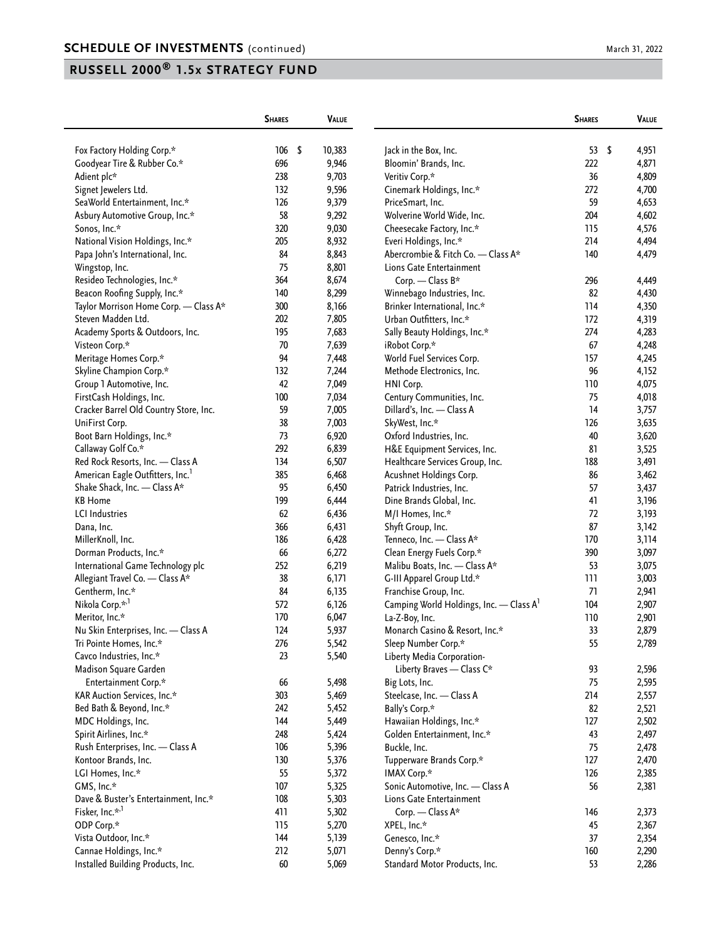|                                              | <b>SHARES</b> |      | <b>VALUE</b>   |                                                     | <b>SHARES</b> | VALUE          |
|----------------------------------------------|---------------|------|----------------|-----------------------------------------------------|---------------|----------------|
| Fox Factory Holding Corp.*                   | 106           | - \$ | 10,383         | Jack in the Box, Inc.                               | 53            | \$<br>4,951    |
| Goodyear Tire & Rubber Co.*                  | 696           |      | 9,946          | Bloomin' Brands, Inc.                               | 222           | 4,871          |
| Adient plc*                                  | 238           |      | 9,703          | Veritiv Corp.*                                      | 36            | 4,809          |
| Signet Jewelers Ltd.                         | 132           |      | 9,596          | Cinemark Holdings, Inc.*                            | 272           | 4,700          |
| SeaWorld Entertainment, Inc.*                | 126           |      | 9,379          | PriceSmart, Inc.                                    | 59            | 4,653          |
| Asbury Automotive Group, Inc.*               | 58            |      | 9,292          | Wolverine World Wide, Inc.                          | 204           | 4,602          |
| Sonos, Inc.*                                 | 320           |      | 9,030          | Cheesecake Factory, Inc.*                           | 115           | 4,576          |
| National Vision Holdings, Inc.*              | 205           |      | 8,932          | Everi Holdings, Inc.*                               | 214           | 4,494          |
| Papa John's International, Inc.              | 84            |      | 8,843          | Abercrombie & Fitch Co. - Class A*                  | 140           | 4,479          |
| Wingstop, Inc.                               | 75            |      | 8,801          | Lions Gate Entertainment                            |               |                |
| Resideo Technologies, Inc.*                  | 364           |      | 8,674          | Corp. - Class B*                                    | 296           | 4,449          |
| Beacon Roofing Supply, Inc.*                 | 140           |      | 8,299          | Winnebago Industries, Inc.                          | 82            | 4,430          |
| Taylor Morrison Home Corp. - Class A*        | 300           |      | 8,166          | Brinker International, Inc.*                        | 114           | 4,350          |
| Steven Madden Ltd.                           | 202           |      | 7,805          | Urban Outfitters, Inc.*                             | 172           | 4,319          |
| Academy Sports & Outdoors, Inc.              | 195           |      | 7,683          | Sally Beauty Holdings, Inc.*                        | 274           | 4,283          |
| Visteon Corp.*                               | 70            |      | 7,639          | iRobot Corp.*                                       | 67            | 4,248          |
| Meritage Homes Corp.*                        | 94            |      |                | World Fuel Services Corp.                           | 157           | 4,245          |
| Skyline Champion Corp.*                      | 132           |      | 7,448<br>7,244 | Methode Electronics, Inc.                           | 96            | 4,152          |
|                                              | 42            |      | 7,049          |                                                     | 110           |                |
| Group 1 Automotive, Inc.                     | 100           |      |                | HNI Corp.<br>Century Communities, Inc.              | 75            | 4,075<br>4,018 |
| FirstCash Holdings, Inc.                     |               |      | 7,034          |                                                     |               |                |
| Cracker Barrel Old Country Store, Inc.       | 59            |      | 7,005          | Dillard's, Inc. - Class A                           | 14            | 3,757          |
| UniFirst Corp.                               | 38            |      | 7,003          | SkyWest, Inc.*                                      | 126           | 3,635          |
| Boot Barn Holdings, Inc.*                    | 73            |      | 6,920          | Oxford Industries, Inc.                             | 40            | 3,620          |
| Callaway Golf Co.*                           | 292           |      | 6,839          | H&E Equipment Services, Inc.                        | 81            | 3,525          |
| Red Rock Resorts, Inc. - Class A             | 134           |      | 6,507          | Healthcare Services Group, Inc.                     | 188           | 3,491          |
| American Eagle Outfitters, Inc. <sup>1</sup> | 385           |      | 6,468          | Acushnet Holdings Corp.                             | 86            | 3,462          |
| Shake Shack, Inc. - Class A*                 | 95            |      | 6,450          | Patrick Industries, Inc.                            | 57            | 3,437          |
| <b>KB</b> Home                               | 199           |      | 6,444          | Dine Brands Global, Inc.                            | 41            | 3,196          |
| <b>LCI</b> Industries                        | 62            |      | 6,436          | M/I Homes, Inc.*                                    | 72            | 3,193          |
| Dana, Inc.                                   | 366           |      | 6,431          | Shyft Group, Inc.                                   | 87            | 3,142          |
| MillerKnoll, Inc.                            | 186           |      | 6,428          | Tenneco, Inc. - Class A*                            | 170           | 3,114          |
| Dorman Products, Inc.*                       | 66            |      | 6,272          | Clean Energy Fuels Corp.*                           | 390           | 3,097          |
| International Game Technology plc            | 252           |      | 6,219          | Malibu Boats, Inc. - Class A*                       | 53            | 3,075          |
| Allegiant Travel Co. - Class A*              | 38            |      | 6,171          | G-III Apparel Group Ltd.*                           | 111           | 3,003          |
| Gentherm, Inc.*                              | 84            |      | 6,135          | Franchise Group, Inc.                               | 71            | 2,941          |
| Nikola Corp.* <sup>,1</sup>                  | 572           |      | 6,126          | Camping World Holdings, Inc. - Class A <sup>1</sup> | 104           | 2,907          |
| Meritor, Inc.*                               | 170           |      | 6,047          | La-Z-Boy, Inc.                                      | 110           | 2,901          |
| Nu Skin Enterprises, Inc. - Class A          | 124           |      | 5,937          | Monarch Casino & Resort, Inc.*                      | 33            | 2,879          |
| Tri Pointe Homes, Inc.*                      | 276           |      | 5,542          | Sleep Number Corp.*                                 | 55            | 2,789          |
| Cavco Industries, Inc.*                      | 23            |      | 5,540          | Liberty Media Corporation-                          |               |                |
| Madison Square Garden                        |               |      |                | Liberty Braves - Class C*                           | 93            | 2,596          |
| Entertainment Corp.*                         | 66            |      | 5,498          | Big Lots, Inc.                                      | 75            | 2,595          |
| KAR Auction Services, Inc.*                  | 303           |      | 5,469          | Steelcase, Inc. - Class A                           | 214           | 2,557          |
| Bed Bath & Beyond, Inc.*                     | 242           |      | 5,452          | Bally's Corp.*                                      | 82            | 2,521          |
| MDC Holdings, Inc.                           | 144           |      | 5,449          | Hawaiian Holdings, Inc.*                            | 127           | 2,502          |
| Spirit Airlines, Inc.*                       | 248           |      | 5,424          | Golden Entertainment, Inc.*                         | 43            | 2,497          |
| Rush Enterprises, Inc. - Class A             | 106           |      | 5,396          | Buckle, Inc.                                        | 75            | 2,478          |
| Kontoor Brands, Inc.                         | 130           |      | 5,376          | Tupperware Brands Corp.*                            | 127           | 2,470          |
| LGI Homes, Inc.*                             | 55            |      | 5,372          | IMAX Corp.*                                         | 126           | 2,385          |
| GMS, Inc.*                                   | 107           |      | 5,325          | Sonic Automotive, Inc. - Class A                    | 56            | 2,381          |
| Dave & Buster's Entertainment, Inc.*         | 108           |      | 5,303          | Lions Gate Entertainment                            |               |                |
| Fisker, Inc.* <sup>,1</sup>                  | 411           |      | 5,302          | Corp. - Class A*                                    | 146           | 2,373          |
| ODP Corp.*                                   | 115           |      | 5,270          | XPEL, Inc.*                                         | 45            | 2,367          |
| Vista Outdoor, Inc.*                         | 144           |      | 5,139          | Genesco, Inc.*                                      | 37            | 2,354          |
| Cannae Holdings, Inc.*                       | 212           |      | 5,071          | Denny's Corp.*                                      | 160           | 2,290          |
| Installed Building Products, Inc.            | 60            |      | 5,069          | Standard Motor Products, Inc.                       | 53            | 2,286          |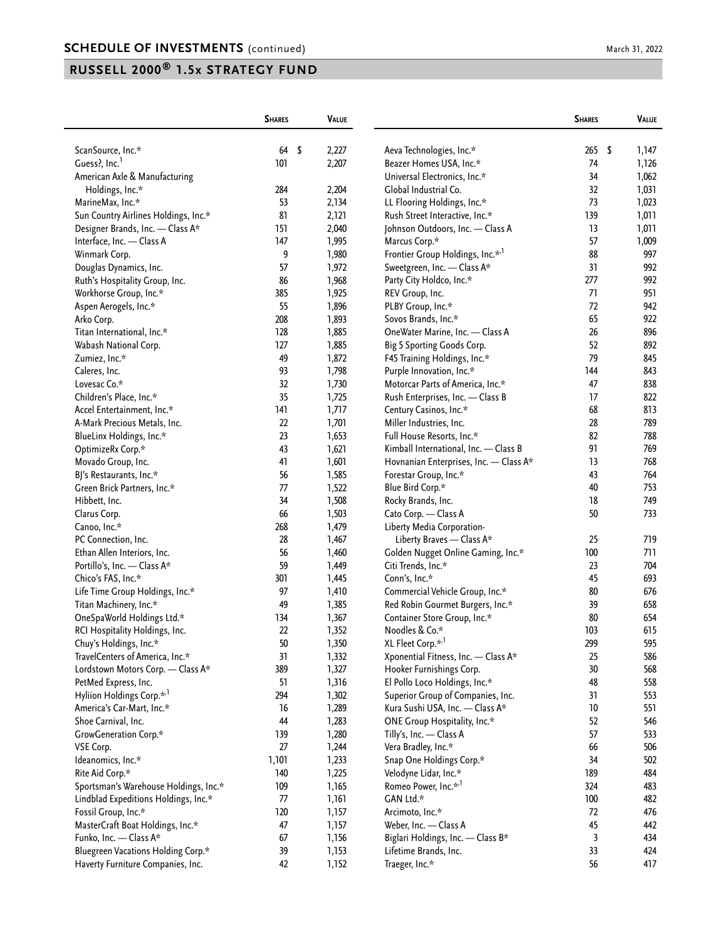|                                                   | <b>SHARES</b> | <b>VALUE</b>   |                                                            | <b>SHARES</b> | <b>VALUE</b> |
|---------------------------------------------------|---------------|----------------|------------------------------------------------------------|---------------|--------------|
| ScanSource, Inc.*                                 | 64            | -\$<br>2,227   | Aeva Technologies, Inc.*                                   | 265           | \$<br>1,147  |
| Guess?, Inc. <sup>1</sup>                         | 101           | 2,207          | Beazer Homes USA, Inc.*                                    | 74            | 1,126        |
| American Axle & Manufacturing                     |               |                | Universal Electronics, Inc.*                               | 34            | 1,062        |
| Holdings, Inc.*                                   | 284           | 2,204          | Global Industrial Co.                                      | 32            | 1,031        |
| MarineMax, Inc.*                                  | 53            | 2,134          | LL Flooring Holdings, Inc.*                                | 73            | 1,023        |
| Sun Country Airlines Holdings, Inc.*              | 81            | 2,121          | Rush Street Interactive, Inc.*                             | 139           | 1,011        |
| Designer Brands, Inc. - Class A*                  | 151           | 2,040          | Johnson Outdoors, Inc. - Class A                           | 13            | 1,011        |
| Interface, Inc. - Class A                         | 147           | 1,995          | Marcus Corp.*                                              | 57            | 1,009        |
| Winmark Corp.                                     | 9             | 1,980          | Frontier Group Holdings, Inc.* <sup>,1</sup>               | 88            | 997          |
| Douglas Dynamics, Inc.                            | 57            | 1,972          | Sweetgreen, Inc. - Class A*                                | 31            | 992          |
| Ruth's Hospitality Group, Inc.                    | 86            | 1,968          | Party City Holdco, Inc.*                                   | 277           | 992          |
| Workhorse Group, Inc.*                            | 385           | 1,925          | REV Group, Inc.                                            | 71            | 951          |
| Aspen Aerogels, Inc.*                             | 55            | 1,896          | PLBY Group, Inc.*                                          | 72            | 942          |
| Arko Corp.                                        | 208           | 1,893          | Sovos Brands, Inc.*                                        | 65            | 922          |
| Titan International, Inc.*                        | 128           | 1,885          | OneWater Marine, Inc. - Class A                            | 26            | 896          |
|                                                   | 127           |                |                                                            | 52            | 892          |
| Wabash National Corp.<br>Zumiez, Inc.*            | 49            | 1,885<br>1,872 | Big 5 Sporting Goods Corp.<br>F45 Training Holdings, Inc.* | 79            | 845          |
| Caleres, Inc.                                     | 93            | 1,798          | Purple Innovation, Inc.*                                   | 144           | 843          |
| Lovesac Co.*                                      | 32            | 1,730          | Motorcar Parts of America, Inc.*                           | 47            | 838          |
| Children's Place, Inc.*                           | 35            | 1,725          | Rush Enterprises, Inc. - Class B                           | 17            | 822          |
| Accel Entertainment, Inc.*                        | 141           | 1,717          | Century Casinos, Inc.*                                     | 68            | 813          |
| A-Mark Precious Metals, Inc.                      | 22            | 1,701          | Miller Industries, Inc.                                    | 28            | 789          |
|                                                   | 23            |                | Full House Resorts, Inc.*                                  | 82            | 788          |
| BlueLinx Holdings, Inc.*                          | 43            | 1,653          | Kimball International, Inc. - Class B                      | 91            | 769          |
| OptimizeRx Corp.*                                 | 41            | 1,621          |                                                            | 13            | 768          |
| Movado Group, Inc.                                | 56            | 1,601          | Hovnanian Enterprises, Inc. - Class A*                     | 43            | 764          |
| BJ's Restaurants, Inc.*                           |               | 1,585          | Forestar Group, Inc.*                                      |               |              |
| Green Brick Partners, Inc.*                       | 77<br>34      | 1,522          | Blue Bird Corp.*                                           | 40<br>18      | 753<br>749   |
| Hibbett, Inc.                                     | 66            | 1,508          | Rocky Brands, Inc.                                         | 50            | 733          |
| Clarus Corp.                                      | 268           | 1,503          | Cato Corp. - Class A                                       |               |              |
| Canoo, Inc.*                                      |               | 1,479          | Liberty Media Corporation-                                 |               |              |
| PC Connection, Inc.                               | 28            | 1,467          | Liberty Braves - Class A*                                  | 25            | 719          |
| Ethan Allen Interiors, Inc.                       | 56<br>59      | 1,460          | Golden Nugget Online Gaming, Inc.*                         | 100<br>23     | 711<br>704   |
| Portillo's, Inc. - Class A*<br>Chico's FAS, Inc.* | 301           | 1,449          | Citi Trends, Inc.*                                         | 45            | 693          |
|                                                   |               | 1,445          | Conn's, Inc.*                                              |               |              |
| Life Time Group Holdings, Inc.*                   | 97<br>49      | 1,410          | Commercial Vehicle Group, Inc.*                            | 80<br>39      | 676<br>658   |
| Titan Machinery, Inc.*                            | 134           | 1,385          | Red Robin Gourmet Burgers, Inc.*                           | 80            | 654          |
| OneSpaWorld Holdings Ltd.*                        |               | 1,367          | Container Store Group, Inc.*                               |               |              |
| RCI Hospitality Holdings, Inc.                    | 22            | 1,352          | Noodles & Co.*                                             | 103           | 615          |
| Chuy's Holdings, Inc.*                            | $50\,$        | 1,350          | XL Fleet Corp.* <sup>1</sup>                               | 299           | 595          |
| TravelCenters of America, Inc.*                   | 31            | 1,332          | Xponential Fitness, Inc. - Class A*                        | 25            | 586          |
| Lordstown Motors Corp. - Class A*                 | 389           | 1,327          | Hooker Furnishings Corp.                                   | 30            | 568          |
| PetMed Express, Inc.                              | 51            | 1,316          | El Pollo Loco Holdings, Inc.*                              | 48            | 558          |
| Hyliion Holdings Corp.* <sup>1</sup>              | 294           | 1,302          | Superior Group of Companies, Inc.                          | 31            | 553          |
| America's Car-Mart, Inc.*                         | 16            | 1,289          | Kura Sushi USA, Inc. - Class A*                            | 10            | 551          |
| Shoe Carnival, Inc.                               | 44            | 1,283          | ONE Group Hospitality, Inc.*                               | 52            | 546          |
| GrowGeneration Corp.*                             | 139           | 1,280          | Tilly's, Inc. - Class A                                    | 57            | 533          |
| VSE Corp.                                         | $27$          | 1,244          | Vera Bradley, Inc.*                                        | 66            | 506          |
| Ideanomics, Inc.*                                 | 1,101         | 1,233          | Snap One Holdings Corp.*                                   | 34            | 502          |
| Rite Aid Corp.*                                   | 140           | 1,225          | Velodyne Lidar, Inc.*                                      | 189           | 484          |
| Sportsman's Warehouse Holdings, Inc.*             | 109           | 1,165          | Romeo Power, Inc.* <sup>,1</sup>                           | 324           | 483          |
| Lindblad Expeditions Holdings, Inc.*              | 77            | 1,161          | GAN Ltd.*                                                  | 100           | 482          |
| Fossil Group, Inc.*                               | 120           | 1,157          | Arcimoto, Inc.*                                            | 72            | 476          |
| MasterCraft Boat Holdings, Inc.*                  | 47            | 1,157          | Weber, Inc. - Class A                                      | 45            | 442          |
| Funko, Inc. - Class A*                            | 67            | 1,156          | Biglari Holdings, Inc. - Class B*                          | 3             | 434          |
| Bluegreen Vacations Holding Corp.*                | 39            | 1,153          | Lifetime Brands, Inc.                                      | 33            | 424          |
| Haverty Furniture Companies, Inc.                 | 42            | 1,152          | Traeger, Inc.*                                             | 56            | 417          |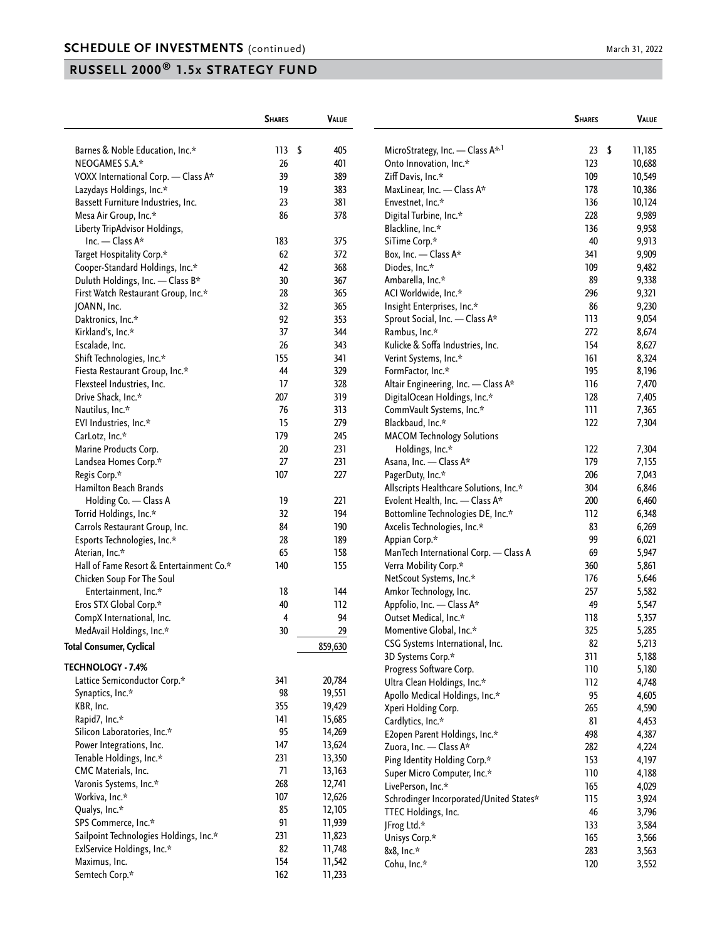|                                          | <b>SHARES</b> | <b>VALUE</b> |                                              | <b>SHARES</b> | <b>VALUE</b> |
|------------------------------------------|---------------|--------------|----------------------------------------------|---------------|--------------|
| Barnes & Noble Education, Inc.*          | 113           | \$<br>405    | MicroStrategy, Inc. - Class A <sup>*,1</sup> | 23            | \$<br>11,185 |
| NEOGAMES S.A.*                           | 26            | 401          | Onto Innovation, Inc.*                       | 123           | 10,688       |
| VOXX International Corp. - Class A*      | 39            | 389          | Ziff Davis, Inc.*                            | 109           | 10,549       |
| Lazydays Holdings, Inc.*                 | 19            | 383          | MaxLinear, Inc. - Class A*                   | 178           | 10,386       |
| Bassett Furniture Industries, Inc.       | 23            | 381          | Envestnet, Inc.*                             | 136           | 10,124       |
| Mesa Air Group, Inc.*                    | 86            | 378          | Digital Turbine, Inc.*                       | 228           | 9,989        |
| Liberty TripAdvisor Holdings,            |               |              | Blackline, Inc.*                             | 136           | 9,958        |
| Inc. - Class A*                          | 183           | 375          | SiTime Corp.*                                | 40            | 9,913        |
| Target Hospitality Corp.*                | 62            | 372          | Box, Inc. - Class A*                         | 341           | 9,909        |
| Cooper-Standard Holdings, Inc.*          | 42            | 368          | Diodes, Inc.*                                | 109           | 9,482        |
| Duluth Holdings, Inc. - Class B*         | 30            | 367          | Ambarella, Inc.*                             | 89            | 9,338        |
| First Watch Restaurant Group, Inc.*      | 28            | 365          | ACI Worldwide, Inc.*                         | 296           | 9,321        |
| JOANN, Inc.                              | 32            | 365          | Insight Enterprises, Inc.*                   | 86            | 9,230        |
| Daktronics, Inc.*                        | 92            | 353          | Sprout Social, Inc. - Class A*               | 113           | 9,054        |
| Kirkland's, Inc.*                        | 37            | 344          | Rambus, Inc.*                                | 272           | 8,674        |
|                                          |               |              |                                              | 154           |              |
| Escalade, Inc.                           | 26            | 343          | Kulicke & Soffa Industries, Inc.             |               | 8,627        |
| Shift Technologies, Inc.*                | 155           | 341          | Verint Systems, Inc.*                        | 161           | 8,324        |
| Fiesta Restaurant Group, Inc.*           | 44            | 329          | FormFactor, Inc.*                            | 195           | 8,196        |
| Flexsteel Industries, Inc.               | 17            | 328          | Altair Engineering, Inc. - Class A*          | 116           | 7,470        |
| Drive Shack, Inc.*                       | 207           | 319          | DigitalOcean Holdings, Inc.*                 | 128           | 7,405        |
| Nautilus, Inc.*                          | 76            | 313          | CommVault Systems, Inc.*                     | 111           | 7,365        |
| EVI Industries, Inc.*                    | 15            | 279          | Blackbaud, Inc.*                             | 122           | 7,304        |
| CarLotz, Inc.*                           | 179           | 245          | <b>MACOM Technology Solutions</b>            |               |              |
| Marine Products Corp.                    | 20            | 231          | Holdings, Inc.*                              | 122           | 7,304        |
| Landsea Homes Corp.*                     | 27            | 231          | Asana, Inc. - Class A*                       | 179           | 7,155        |
| Regis Corp.*                             | 107           | 227          | PagerDuty, Inc.*                             | 206           | 7,043        |
| <b>Hamilton Beach Brands</b>             |               |              | Allscripts Healthcare Solutions, Inc.*       | 304           | 6,846        |
| Holding Co. - Class A                    | 19            | 221          | Evolent Health, Inc. - Class A*              | 200           | 6,460        |
| Torrid Holdings, Inc.*                   | 32            | 194          | Bottomline Technologies DE, Inc.*            | 112           | 6,348        |
| Carrols Restaurant Group, Inc.           | 84            | 190          | Axcelis Technologies, Inc.*                  | 83            | 6,269        |
| Esports Technologies, Inc.*              | 28            | 189          | Appian Corp.*                                | 99            | 6,021        |
| Aterian, Inc.*                           | 65            | 158          | ManTech International Corp. - Class A        | 69            | 5,947        |
| Hall of Fame Resort & Entertainment Co.* | 140           | 155          | Verra Mobility Corp.*                        | 360           | 5,861        |
| Chicken Soup For The Soul                |               |              | NetScout Systems, Inc.*                      | 176           | 5,646        |
| Entertainment, Inc.*                     | 18            | 144          | Amkor Technology, Inc.                       | 257           | 5,582        |
| Eros STX Global Corp.*                   | 40            | 112          | Appfolio, Inc. - Class A*                    | 49            | 5,547        |
| CompX International, Inc.                | 4             | 94           | Outset Medical, Inc.*                        | 118           | 5,357        |
| MedAvail Holdings, Inc.*                 | 30            | 29           | Momentive Global, Inc.*                      | 325           | 5,285        |
| <b>Total Consumer, Cyclical</b>          |               | 859,630      | CSG Systems International, Inc.              | 82            | 5,213        |
|                                          |               |              | 3D Systems Corp.*                            | 311           | 5,188        |
| TECHNOLOGY - 7.4%                        |               |              | Progress Software Corp.                      | 110           | 5,180        |
| Lattice Semiconductor Corp.*             | 341           | 20,784       | Ultra Clean Holdings, Inc.*                  | 112           | 4,748        |
| Synaptics, Inc.*                         | 98            | 19,551       | Apollo Medical Holdings, Inc.*               | 95            | 4,605        |
| KBR, Inc.                                | 355           | 19,429       | Xperi Holding Corp.                          | 265           | 4,590        |
| Rapid7, Inc.*                            | 141           | 15,685       | Cardlytics, Inc.*                            | 81            | 4,453        |
| Silicon Laboratories, Inc.*              | 95            | 14,269       | E2open Parent Holdings, Inc.*                | 498           | 4,387        |
| Power Integrations, Inc.                 | 147           | 13,624       | Zuora, Inc. - Class A*                       | 282           | 4,224        |
| Tenable Holdings, Inc.*                  | 231           | 13,350       | Ping Identity Holding Corp.*                 | 153           | 4,197        |
| CMC Materials, Inc.                      | 71            | 13,163       | Super Micro Computer, Inc.*                  | 110           | 4,188        |
| Varonis Systems, Inc.*                   | 268           | 12,741       | LivePerson, Inc.*                            | 165           | 4,029        |
| Workiva, Inc.*                           | 107           | 12,626       | Schrodinger Incorporated/United States*      | 115           | 3,924        |
| Qualys, Inc.*                            | 85            | 12,105       | TTEC Holdings, Inc.                          | 46            | 3,796        |
| SPS Commerce, Inc.*                      | 91            | 11,939       | JFrog Ltd.*                                  | 133           | 3,584        |
| Sailpoint Technologies Holdings, Inc.*   | 231           | 11,823       | Unisys Corp.*                                | 165           | 3,566        |
| ExlService Holdings, Inc.*               | 82            | 11,748       | 8x8, Inc.*                                   | 283           | 3,563        |
| Maximus, Inc.                            | 154           | 11,542       | Cohu, Inc.*                                  | 120           | 3,552        |
| Semtech Corp.*                           | 162           | 11,233       |                                              |               |              |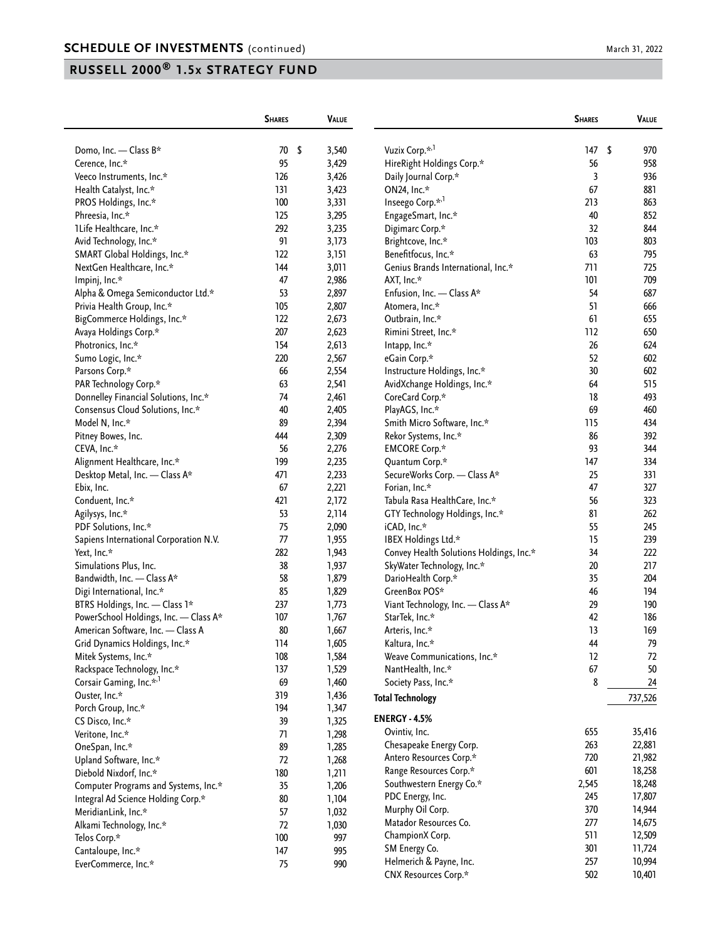|                                        | <b>SHARES</b> | <b>VALUE</b> |                                         | <b>SHARES</b> | VALUE     |
|----------------------------------------|---------------|--------------|-----------------------------------------|---------------|-----------|
| Domo, Inc. - Class B*                  | 70<br>- \$    | 3,540        | Vuzix Corp. <sup>*,1</sup>              | 147           | \$<br>970 |
| Cerence, Inc.*                         | 95            | 3,429        | HireRight Holdings Corp.*               | 56            | 958       |
| Veeco Instruments, Inc.*               | 126           | 3,426        | Daily Journal Corp.*                    | 3             | 936       |
| Health Catalyst, Inc.*                 | 131           | 3,423        | ON24, Inc.*                             | 67            | 881       |
| PROS Holdings, Inc.*                   | 100           | 3,331        | Inseego Corp.* <sup>1</sup>             | 213           | 863       |
| Phreesia, Inc.*                        | 125           | 3,295        | EngageSmart, Inc.*                      | 40            | 852       |
| 1Life Healthcare, Inc.*                | 292           | 3,235        | Digimarc Corp.*                         | 32            | 844       |
| Avid Technology, Inc.*                 | 91            | 3,173        | Brightcove, Inc.*                       | 103           | 803       |
| SMART Global Holdings, Inc.*           | 122           | 3,151        | Benefitfocus, Inc.*                     | 63            | 795       |
| NextGen Healthcare, Inc.*              | 144           | 3,011        | Genius Brands International, Inc.*      | 711           | 725       |
| Impinj, Inc.*                          | 47            | 2,986        | AXT, Inc.*                              | 101           | 709       |
| Alpha & Omega Semiconductor Ltd.*      | 53            | 2,897        | Enfusion, Inc. - Class A*               | 54            | 687       |
| Privia Health Group, Inc.*             | 105           | 2,807        | Atomera, Inc.*                          | 51            | 666       |
| BigCommerce Holdings, Inc.*            | 122           | 2,673        | Outbrain, Inc.*                         | 61            | 655       |
| Avaya Holdings Corp.*                  | 207           | 2,623        | Rimini Street, Inc.*                    | 112           | 650       |
| Photronics, Inc.*                      | 154           | 2,613        | Intapp, Inc.*                           | 26            | 624       |
| Sumo Logic, Inc.*                      | 220           | 2,567        | eGain Corp.*                            | 52            | 602       |
| Parsons Corp.*                         | 66            | 2,554        | Instructure Holdings, Inc.*             | 30            | 602       |
| PAR Technology Corp.*                  | 63            | 2,541        | AvidXchange Holdings, Inc.*             | 64            | 515       |
| Donnelley Financial Solutions, Inc.*   | 74            | 2,461        | CoreCard Corp.*                         | 18            | 493       |
| Consensus Cloud Solutions, Inc.*       | 40            | 2,405        | PlayAGS, Inc.*                          | 69            | 460       |
| Model N, Inc.*                         | 89            | 2,394        | Smith Micro Software, Inc.*             | 115           | 434       |
| Pitney Bowes, Inc.                     | 444           | 2,309        | Rekor Systems, Inc.*                    | 86            | 392       |
| CEVA, Inc.*                            | 56            | 2,276        | <b>EMCORE Corp.*</b>                    | 93            | 344       |
| Alignment Healthcare, Inc.*            | 199           | 2,235        | Quantum Corp.*                          | 147           | 334       |
| Desktop Metal, Inc. - Class A*         | 471           | 2,233        | SecureWorks Corp. - Class A*            | 25            | 331       |
| Ebix, Inc.                             | 67            | 2,221        | Forian, Inc.*                           | 47            | 327       |
| Conduent, Inc.*                        | 421           | 2,172        | Tabula Rasa HealthCare, Inc.*           | 56            | 323       |
| Agilysys, Inc.*                        | 53            | 2,114        | GTY Technology Holdings, Inc.*          | 81            | 262       |
| PDF Solutions, Inc.*                   | 75            | 2,090        | iCAD, Inc.*                             | 55            | 245       |
| Sapiens International Corporation N.V. | 77            | 1,955        | IBEX Holdings Ltd.*                     | 15            | 239       |
| Yext, Inc.*                            | 282           | 1,943        | Convey Health Solutions Holdings, Inc.* | 34            | 222       |
| Simulations Plus, Inc.                 | 38            | 1,937        | SkyWater Technology, Inc.*              | 20            | 217       |
| Bandwidth, Inc. - Class A*             | 58            | 1,879        | DarioHealth Corp.*                      | 35            | 204       |
| Digi International, Inc.*              | 85            | 1,829        | GreenBox POS*                           | 46            | 194       |
| BTRS Holdings, Inc. - Class 1*         | 237           | 1,773        | Viant Technology, Inc. - Class A*       | 29            | 190       |
| PowerSchool Holdings, Inc. - Class A*  | 107           | 1,767        | StarTek, Inc.*                          | 42            | 186       |
| American Software, Inc. - Class A      | 80            | 1,667        | Arteris, Inc.*                          | 13            | 169       |
| Grid Dynamics Holdings, Inc.*          | 114           | 1,605        | Kaltura, Inc.*                          | 44            | 79        |
| Mitek Systems, Inc.*                   | 108           | 1,584        | Weave Communications, Inc.*             | 12            | 72        |
| Rackspace Technology, Inc.*            | 137           | 1,529        | NantHealth, Inc.*                       | 67            | 50        |
| Corsair Gaming, Inc.* <sup>,1</sup>    | 69            | 1,460        | Society Pass, Inc.*                     | 8             | 24        |
| Ouster, Inc.*                          | 319           | 1,436        |                                         |               |           |
|                                        | 194           | 1,347        | <b>Total Technology</b>                 |               | 737,526   |
| Porch Group, Inc.*                     | 39            |              | <b>ENERGY - 4.5%</b>                    |               |           |
| CS Disco, Inc.*<br>Veritone, Inc.*     | $71$          | 1,325        | Ovintiv, Inc.                           | 655           | 35,416    |
|                                        |               | 1,298        | Chesapeake Energy Corp.                 | 263           | 22,881    |
| OneSpan, Inc.*                         | 89<br>72      | 1,285        | Antero Resources Corp.*                 | 720           | 21,982    |
| Upland Software, Inc.*                 | 180           | 1,268        | Range Resources Corp.*                  | 601           | 18,258    |
| Diebold Nixdorf, Inc.*                 |               | 1,211        | Southwestern Energy Co.*                | 2,545         | 18,248    |
| Computer Programs and Systems, Inc.*   | 35            | 1,206        | PDC Energy, Inc.                        | 245           | 17,807    |
| Integral Ad Science Holding Corp.*     | 80            | 1,104        | Murphy Oil Corp.                        | 370           | 14,944    |
| MeridianLink, Inc.*                    | 57            | 1,032        | Matador Resources Co.                   | 277           | 14,675    |
| Alkami Technology, Inc.*               | 72            | 1,030        | ChampionX Corp.                         | 511           | 12,509    |
| Telos Corp.*                           | 100           | 997          | SM Energy Co.                           | 301           | 11,724    |
| Cantaloupe, Inc.*                      | 147           | 995          | Helmerich & Payne, Inc.                 | 257           | 10,994    |
| EverCommerce, Inc.*                    | 75            | 990          | CNX Resources Corp.*                    | 502           | 10,401    |
|                                        |               |              |                                         |               |           |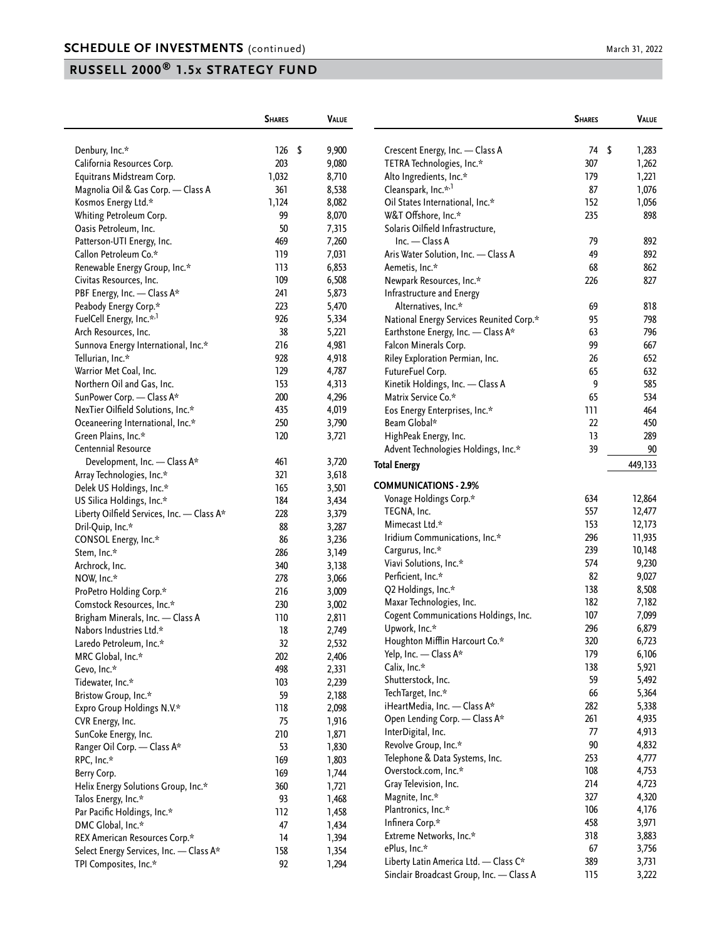|                                            | <b>SHARES</b> | <b>VALUE</b> |                                               | <b>SHARES</b> | VALUE   |
|--------------------------------------------|---------------|--------------|-----------------------------------------------|---------------|---------|
| Denbury, Inc.*                             | 126<br>- \$   | 9,900        | Crescent Energy, Inc. - Class A               | 74 \$         | 1,283   |
| California Resources Corp.                 | 203           | 9,080        | TETRA Technologies, Inc.*                     | 307           | 1,262   |
| Equitrans Midstream Corp.                  | 1,032         | 8,710        | Alto Ingredients, Inc.*                       | 179           | 1,221   |
| Magnolia Oil & Gas Corp. - Class A         | 361           | 8,538        | Cleanspark, Inc.* <sup>,1</sup>               | 87            | 1,076   |
| Kosmos Energy Ltd.*                        | 1,124         | 8,082        | Oil States International, Inc.*               | 152           | 1,056   |
| Whiting Petroleum Corp.                    | 99            | 8,070        | W&T Offshore, Inc.*                           | 235           | 898     |
| Oasis Petroleum, Inc.                      | 50            | 7,315        | Solaris Oilfield Infrastructure,              |               |         |
| Patterson-UTI Energy, Inc.                 | 469           | 7,260        | $Inc. - Class A$                              | 79            | 892     |
| Callon Petroleum Co.*                      | 119           | 7,031        | Aris Water Solution, Inc. - Class A           | 49            | 892     |
| Renewable Energy Group, Inc.*              | 113           | 6,853        | Aemetis, Inc.*                                | 68            | 862     |
| Civitas Resources, Inc.                    | 109           | 6,508        | Newpark Resources, Inc.*                      | 226           | 827     |
| PBF Energy, Inc. - Class A*                | 241           | 5,873        | Infrastructure and Energy                     |               |         |
| Peabody Energy Corp.*                      | 223           | 5,470        | Alternatives, Inc.*                           | 69            | 818     |
| FuelCell Energy, Inc.* <sup>,1</sup>       | 926           | 5,334        | National Energy Services Reunited Corp.*      | 95            | 798     |
| Arch Resources, Inc.                       | 38            | 5,221        | Earthstone Energy, Inc. - Class A*            | 63            | 796     |
| Sunnova Energy International, Inc.*        | 216           | 4,981        | Falcon Minerals Corp.                         | 99            | 667     |
| Tellurian, Inc.*                           | 928           | 4,918        | Riley Exploration Permian, Inc.               | 26            | 652     |
| Warrior Met Coal, Inc.                     | 129           | 4,787        | FutureFuel Corp.                              | 65            | 632     |
| Northern Oil and Gas, Inc.                 | 153           | 4,313        | Kinetik Holdings, Inc. - Class A              | 9             | 585     |
| SunPower Corp. - Class A*                  | 200           | 4,296        | Matrix Service Co.*                           | 65            | 534     |
|                                            |               |              |                                               | 111           | 464     |
| NexTier Oilfield Solutions, Inc.*          | 435<br>250    | 4,019        | Eos Energy Enterprises, Inc.*<br>Beam Global* |               |         |
| Oceaneering International, Inc.*           |               | 3,790        |                                               | 22            | 450     |
| Green Plains, Inc.*                        | 120           | 3,721        | HighPeak Energy, Inc.                         | 13            | 289     |
| Centennial Resource                        |               |              | Advent Technologies Holdings, Inc.*           | 39            | 90      |
| Development, Inc. - Class A*               | 461           | 3,720        | <b>Total Energy</b>                           |               | 449,133 |
| Array Technologies, Inc.*                  | 321           | 3,618        | <b>COMMUNICATIONS - 2.9%</b>                  |               |         |
| Delek US Holdings, Inc.*                   | 165           | 3,501        | Vonage Holdings Corp.*                        | 634           | 12,864  |
| US Silica Holdings, Inc.*                  | 184           | 3,434        | TEGNA, Inc.                                   | 557           | 12,477  |
| Liberty Oilfield Services, Inc. - Class A* | 228           | 3,379        | Mimecast Ltd.*                                | 153           | 12,173  |
| Dril-Quip, Inc.*                           | 88            | 3,287        | Iridium Communications, Inc.*                 | 296           | 11,935  |
| CONSOL Energy, Inc.*                       | 86            | 3,236        |                                               | 239           | 10,148  |
| Stem, Inc.*                                | 286           | 3,149        | Cargurus, Inc.*                               | 574           |         |
| Archrock, Inc.                             | 340           | 3,138        | Viavi Solutions, Inc.*                        | 82            | 9,230   |
| NOW, Inc.*                                 | 278           | 3,066        | Perficient, Inc.*                             | 138           | 9,027   |
| ProPetro Holding Corp.*                    | 216           | 3,009        | Q2 Holdings, Inc.*                            |               | 8,508   |
| Comstock Resources, Inc.*                  | 230           | 3,002        | Maxar Technologies, Inc.                      | 182           | 7,182   |
| Brigham Minerals, Inc. - Class A           | 110           | 2,811        | Cogent Communications Holdings, Inc.          | 107           | 7,099   |
| Nabors Industries Ltd.*                    | 18            | 2,749        | Upwork, Inc.*                                 | 296           | 6,879   |
| Laredo Petroleum, Inc.*                    | 32            | 2,532        | Houghton Mifflin Harcourt Co.*                | 320           | 6,723   |
| MRC Global, Inc.*                          | 202           | 2,406        | Yelp, Inc. - Class A*                         | 179           | 6,106   |
| Gevo, Inc.*                                | 498           | 2,331        | Calix, Inc.*                                  | 138           | 5,921   |
| Tidewater, Inc.*                           | 103           | 2,239        | Shutterstock, Inc.                            | 59            | 5,492   |
| Bristow Group, Inc.*                       | 59            | 2,188        | TechTarget, Inc.*                             | 66            | 5,364   |
| Expro Group Holdings N.V.*                 | 118           | 2,098        | iHeartMedia, Inc. - Class A*                  | 282           | 5,338   |
| CVR Energy, Inc.                           | 75            | 1,916        | Open Lending Corp. - Class A*                 | 261           | 4,935   |
| SunCoke Energy, Inc.                       | 210           | 1,871        | InterDigital, Inc.                            | 77            | 4,913   |
| Ranger Oil Corp. - Class A*                | 53            | 1,830        | Revolve Group, Inc.*                          | $90\,$        | 4,832   |
| RPC, Inc.*                                 | 169           | 1,803        | Telephone & Data Systems, Inc.                | 253           | 4,777   |
| Berry Corp.                                | 169           | 1,744        | Overstock.com, Inc.*                          | 108           | 4,753   |
| Helix Energy Solutions Group, Inc.*        | 360           | 1,721        | Gray Television, Inc.                         | 214           | 4,723   |
| Talos Energy, Inc.*                        | 93            | 1,468        | Magnite, Inc.*                                | 327           | 4,320   |
| Par Pacific Holdings, Inc.*                | 112           | 1,458        | Plantronics, Inc.*                            | 106           | 4,176   |
| DMC Global, Inc.*                          | 47            | 1,434        | Infinera Corp.*                               | 458           | 3,971   |
| REX American Resources Corp.*              | 14            | 1,394        | Extreme Networks, Inc.*                       | 318           | 3,883   |
| Select Energy Services, Inc. - Class A*    | 158           | 1,354        | ePlus, Inc.*                                  | 67            | 3,756   |
| TPI Composites, Inc.*                      | 92            | 1,294        | Liberty Latin America Ltd. - Class C*         | 389           | 3,731   |
|                                            |               |              | Sinclair Broadcast Group, Inc. - Class A      | 115           | 3,222   |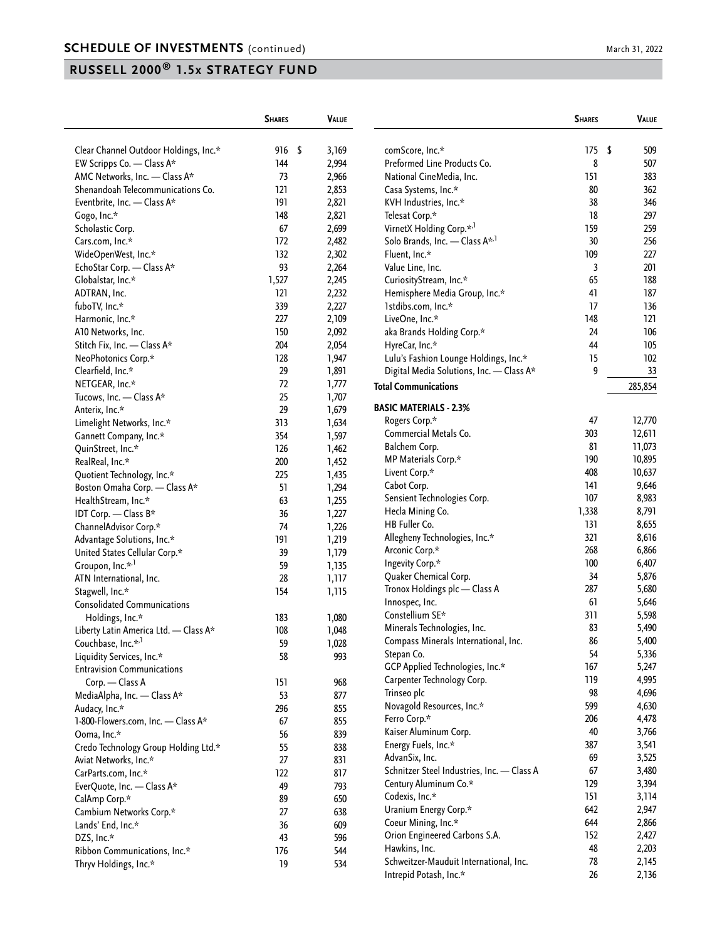|                                                               | <b>SHARES</b> | <b>VALUE</b> |                                                | <b>SHARES</b> |     | VALUE   |
|---------------------------------------------------------------|---------------|--------------|------------------------------------------------|---------------|-----|---------|
| Clear Channel Outdoor Holdings, Inc.*                         | 916 \$        | 3,169        | comScore, Inc.*                                | 175           | -\$ | 509     |
| EW Scripps Co. - Class A*                                     | 144           | 2,994        | Preformed Line Products Co.                    | 8             |     | 507     |
| AMC Networks, Inc. - Class A*                                 | 73            | 2,966        | National CineMedia, Inc.                       | 151           |     | 383     |
| Shenandoah Telecommunications Co.                             | 121           | 2,853        | Casa Systems, Inc.*                            | 80            |     | 362     |
| Eventbrite, Inc. - Class A*                                   | 191           | 2,821        | KVH Industries, Inc.*                          | 38            |     | 346     |
| Gogo, Inc.*                                                   | 148           | 2,821        | Telesat Corp.*                                 | 18            |     | 297     |
| Scholastic Corp.                                              | 67            | 2,699        | VirnetX Holding Corp.* <sup>,1</sup>           | 159           |     | 259     |
| Cars.com, Inc.*                                               | 172           | 2,482        | Solo Brands, Inc. - Class A <sup>*,1</sup>     | 30            |     | 256     |
| WideOpenWest, Inc.*                                           | 132           | 2,302        | Fluent, Inc.*                                  | 109           |     | 227     |
| EchoStar Corp. - Class A*                                     | 93            | 2,264        | Value Line, Inc.                               | 3             |     | 201     |
| Globalstar, Inc.*                                             | 1,527         | 2,245        | CuriosityStream, Inc.*                         | 65            |     | 188     |
| ADTRAN, Inc.                                                  | 121           | 2,232        | Hemisphere Media Group, Inc.*                  | 41            |     | 187     |
| fuboTV, Inc.*                                                 | 339           | 2,227        | 1stdibs.com, Inc.*                             | 17            |     | 136     |
| Harmonic, Inc.*                                               | 227           | 2,109        | LiveOne, Inc.*                                 | 148           |     | 121     |
| A10 Networks, Inc.                                            | 150           | 2,092        | aka Brands Holding Corp.*                      | 24            |     | 106     |
| Stitch Fix, Inc. - Class A*                                   | 204           | 2,054        | HyreCar, Inc.*                                 | 44            |     | 105     |
| NeoPhotonics Corp.*                                           | 128           | 1,947        | Lulu's Fashion Lounge Holdings, Inc.*          | 15            |     | 102     |
| Clearfield, Inc.*                                             | 29            | 1,891        | Digital Media Solutions, Inc. - Class A*       | 9             |     | 33      |
| NETGEAR, Inc.*                                                | 72            | 1,777        |                                                |               |     |         |
| Tucows, Inc. - Class A*                                       | 25            | 1,707        | <b>Total Communications</b>                    |               |     | 285,854 |
| Anterix, Inc.*                                                | 29            | 1,679        | <b>BASIC MATERIALS - 2.3%</b>                  |               |     |         |
| Limelight Networks, Inc.*                                     | 313           | 1,634        | Rogers Corp.*                                  | 47            |     | 12,770  |
| Gannett Company, Inc.*                                        | 354           | 1,597        | Commercial Metals Co.                          | 303           |     | 12,611  |
| QuinStreet, Inc.*                                             | 126           | 1,462        | Balchem Corp.                                  | 81            |     | 11,073  |
| RealReal, Inc.*                                               | 200           | 1,452        | MP Materials Corp.*                            | 190           |     | 10,895  |
| Quotient Technology, Inc.*                                    | 225           | 1,435        | Livent Corp.*                                  | 408           |     | 10,637  |
| Boston Omaha Corp. — Class A*                                 | 51            | 1,294        | Cabot Corp.                                    | 141           |     | 9,646   |
| HealthStream, Inc.*                                           | 63            | 1,255        | Sensient Technologies Corp.                    | 107           |     | 8,983   |
| IDT Corp. - Class B*                                          | 36            | 1,227        | Hecla Mining Co.                               | 1,338         |     | 8,791   |
| ChannelAdvisor Corp.*                                         | 74            | 1,226        | HB Fuller Co.                                  | 131           |     | 8,655   |
| Advantage Solutions, Inc.*                                    | 191           | 1,219        | Allegheny Technologies, Inc.*                  | 321           |     | 8,616   |
|                                                               | 39            | 1,179        | Arconic Corp.*                                 | 268           |     | 6,866   |
| United States Cellular Corp.*<br>Groupon, Inc.* <sup>,1</sup> | 59            | 1,135        | Ingevity Corp.*                                | 100           |     | 6,407   |
| ATN International, Inc.                                       | 28            | 1,117        | Quaker Chemical Corp.                          | 34            |     | 5,876   |
|                                                               | 154           |              | Tronox Holdings plc - Class A                  | 287           |     | 5,680   |
| Stagwell, Inc.*<br><b>Consolidated Communications</b>         |               | 1,115        | Innospec, Inc.                                 | 61            |     | 5,646   |
|                                                               | 183           |              | Constellium SE*                                | 311           |     | 5,598   |
| Holdings, Inc.*                                               |               | 1,080        | Minerals Technologies, Inc.                    | 83            |     | 5,490   |
| Liberty Latin America Ltd. - Class A*                         | 108           | 1,048        | Compass Minerals International, Inc.           | 86            |     | 5,400   |
| Couchbase, Inc.* <sup>,1</sup>                                | 59            | 1,028        | Stepan Co.                                     | 54            |     | 5,336   |
| Liquidity Services, Inc.*                                     | 58            | 993          | GCP Applied Technologies, Inc.*                | 167           |     | 5,247   |
| <b>Entravision Communications</b>                             |               |              | Carpenter Technology Corp.                     | 119           |     | 4,995   |
| Corp. - Class A                                               | 151           | 968          | Trinseo plc                                    | 98            |     | 4,696   |
| MediaAlpha, Inc. - Class A*                                   | 53            | 877          | Novagold Resources, Inc.*                      | 599           |     | 4,630   |
| Audacy, Inc.*                                                 | 296           | 855          | Ferro Corp.*                                   | 206           |     | 4,478   |
| 1-800-Flowers.com, Inc. - Class A*                            | 67            | 855          | Kaiser Aluminum Corp.                          | 40            |     | 3,766   |
| Ooma, Inc.*                                                   | 56            | 839          | Energy Fuels, Inc.*                            | 387           |     | 3,541   |
| Credo Technology Group Holding Ltd.*                          | 55            | 838          | AdvanSix, Inc.                                 | 69            |     | 3,525   |
| Aviat Networks, Inc.*                                         | 27            | 831          | Schnitzer Steel Industries, Inc. - Class A     | 67            |     | 3,480   |
| CarParts.com, Inc.*                                           | 122           | 817          | Century Aluminum Co.*                          | 129           |     | 3,394   |
| EverQuote, Inc. - Class A*                                    | 49            | 793          | Codexis, Inc.*                                 | 151           |     | 3,114   |
| CalAmp Corp.*                                                 | 89            | 650          | Uranium Energy Corp.*                          | 642           |     | 2,947   |
| Cambium Networks Corp.*                                       | 27            | 638          |                                                | 644           |     | 2,866   |
| Lands' End, Inc.*                                             | 36            | 609          | Coeur Mining, Inc.*                            | 152           |     |         |
| DZS, Inc.*                                                    | 43            | 596          | Orion Engineered Carbons S.A.<br>Hawkins, Inc. | 48            |     | 2,427   |
| Ribbon Communications, Inc.*                                  | 176           | 544          |                                                |               |     | 2,203   |
| Thryv Holdings, Inc.*                                         | 19            | 534          | Schweitzer-Mauduit International, Inc.         | 78            |     | 2,145   |
|                                                               |               |              | Intrepid Potash, Inc.*                         | $26\,$        |     | 2,136   |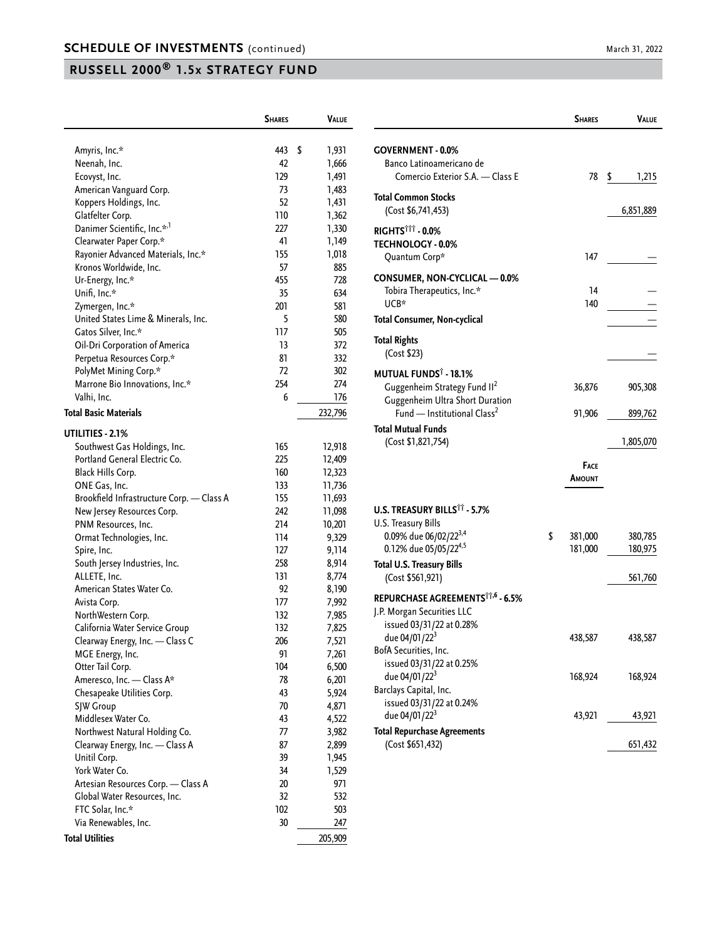|                                           | <b>SHARES</b> | Value       |
|-------------------------------------------|---------------|-------------|
|                                           |               |             |
| Amyris, Inc.*                             | 443           | \$<br>1,931 |
| Neenah, Inc.                              | 42            | 1,666       |
| Ecovyst, Inc.                             | 129           | 1,491       |
| American Vanguard Corp.                   | 73            | 1,483       |
| Koppers Holdings, Inc.                    | 52            | 1,431       |
| Glatfelter Corp.                          | 110           | 1,362       |
| Danimer Scientific, Inc.* <sup>,1</sup>   | 227           | 1,330       |
| Clearwater Paper Corp.*                   | 41            | 1,149       |
| Rayonier Advanced Materials, Inc.*        | 155           | 1,018       |
| Kronos Worldwide, Inc.                    | 57            | 885         |
| Ur-Energy, Inc.*                          | 455           | 728         |
| Unifi, Inc.*                              | 35            | 634         |
| Zymergen, Inc.*                           | 201           | 581         |
| United States Lime & Minerals, Inc.       | 5             | 580         |
| Gatos Silver, Inc.*                       | 117           | 505         |
| Oil-Dri Corporation of America            | 13            | 372         |
| Perpetua Resources Corp.*                 | 81            | 332         |
| PolyMet Mining Corp.*                     | 72            | 302         |
| Marrone Bio Innovations, Inc.*            | 254           | 274         |
| Valhi, Inc.                               | 6             | 176         |
| <b>Total Basic Materials</b>              |               | 232,796     |
| UTILITIES - 2.1%                          |               |             |
| Southwest Gas Holdings, Inc.              | 165           | 12,918      |
| Portland General Electric Co.             | 225           | 12,409      |
| Black Hills Corp.                         | 160           | 12,323      |
| ONE Gas, Inc.                             | 133           | 11,736      |
| Brookfield Infrastructure Corp. - Class A | 155           | 11,693      |
| New Jersey Resources Corp.                | 242           | 11,098      |
| PNM Resources, Inc.                       | 214           | 10,201      |
| Ormat Technologies, Inc.                  | 114           | 9,329       |
| Spire, Inc.                               | 127           | 9,114       |
| South Jersey Industries, Inc.             | 258           | 8,914       |
| ALLETE, Inc.                              | 131           | 8,774       |
| American States Water Co.                 | 92            | 8,190       |
| Avista Corp.                              | 177           | 7,992       |
| NorthWestern Corp.                        | 132           | 7,985       |
| California Water Service Group            | 132           | 7,825       |
| Clearway Energy, Inc. — Class C           | 206           | 7,521       |
| MGE Energy, Inc.                          | 91            | 7,261       |
| Otter Tail Corp.                          | 104           | 6,500       |
| Ameresco, Inc. - Class A*                 | 78            | 6,201       |
| Chesapeake Utilities Corp.                | 43            | 5,924       |
| SJW Group                                 | 70            | 4,871       |
| Middlesex Water Co.                       | 43            | 4,522       |
| Northwest Natural Holding Co.             | 77            | 3,982       |
| Clearway Energy, Inc. - Class A           | 87            | 2,899       |
| Unitil Corp.                              | 39            | 1,945       |
| York Water Co.                            | 34            | 1,529       |
| Artesian Resources Corp. - Class A        | 20            | 971         |
| Global Water Resources, Inc.              | 32            | 532         |
| FTC Solar, Inc.*                          | 102           | 503         |
| Via Renewables, Inc.                      | 30            | 247         |
| <b>Total Utilities</b>                    |               | 205,909     |

|                                                                                                                                                             | <b>SHARES</b>                | VALUE              |
|-------------------------------------------------------------------------------------------------------------------------------------------------------------|------------------------------|--------------------|
| <b>GOVERNMENT - 0.0%</b><br>Banco Latinoamericano de<br>Comercio Exterior S.A. - Class E                                                                    | 78                           | \$<br>1,215        |
| Total Common Stocks<br>(Cost \$6,741,453)                                                                                                                   |                              | 6,851,889          |
| RIGHTS <sup>†††</sup> - 0.0%<br><b>TECHNOLOGY - 0.0%</b><br>Quantum Corp*                                                                                   | 147                          |                    |
| CONSUMER, NON-CYCLICAL - 0.0%<br>Tobira Therapeutics, Inc.*<br>UCB*<br>Total Consumer, Non-cyclical                                                         | 14<br>140                    |                    |
| <b>Total Rights</b><br>(Cost \$23)                                                                                                                          |                              |                    |
| MUTUAL FUNDS <sup>†</sup> - 18.1%<br>Guggenheim Strategy Fund II <sup>2</sup><br>Guggenheim Ultra Short Duration<br>Fund - Institutional Class <sup>2</sup> | 36,876<br>91,906             | 905,308<br>899,762 |
| Total Mutual Funds<br>(Cost \$1,821,754)                                                                                                                    |                              | 1,805,070          |
|                                                                                                                                                             | <b>FACE</b><br><b>AMOUNT</b> |                    |
| U.S. TREASURY BILLS <sup>11</sup> - 5.7%<br>U.S. Treasury Bills<br>0.09% due 06/02/22 <sup>3,4</sup><br>0.12% due 05/05/224,5                               | \$<br>381,000<br>181,000     | 380,785<br>180,975 |
| <b>Total U.S. Treasury Bills</b><br>(Cost \$561,921)                                                                                                        |                              | 561,760            |
| REPURCHASE AGREEMENTS <sup>††,6</sup> - 6.5%<br>J.P. Morgan Securities LLC<br>issued 03/31/22 at 0.28%                                                      |                              |                    |
| due 04/01/22 <sup>3</sup><br>BofA Securities, Inc.<br>issued 03/31/22 at 0.25%                                                                              | 438,587                      | 438,587            |
| due 04/01/22 <sup>3</sup><br>Barclays Capital, Inc.<br>issued 03/31/22 at 0.24%                                                                             | 168,924                      | 168,924            |
| due 04/01/22 <sup>3</sup>                                                                                                                                   | 43,921                       | 43,921             |
| <b>Total Repurchase Agreements</b><br>(Cost \$651,432)                                                                                                      |                              | 651,432            |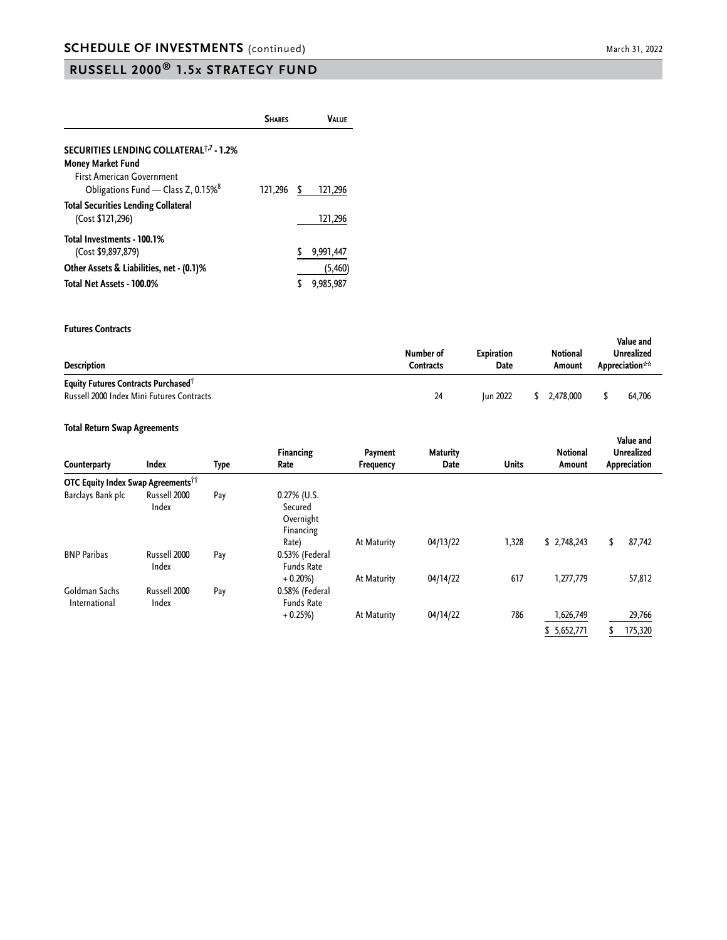|                                                                                    | <b>SHARES</b> |   | Valuf               |
|------------------------------------------------------------------------------------|---------------|---|---------------------|
| SECURITIES LENDING COLLATERAL <sup>1,7</sup> - 1.2%<br><b>Money Market Fund</b>    |               |   |                     |
| <b>First American Government</b><br>Obligations Fund - Class Z, 0.15% <sup>8</sup> | 121,296       | S | 121,296             |
| <b>Total Securities Lending Collateral</b><br>(Cost \$121,296)                     |               |   | 121,296             |
| Total Investments - 100.1%<br>(Cost \$9,897,879)                                   |               |   | 9,991,447           |
| Other Assets & Liabilities, net - (0.1)%<br>Total Net Assets - 100.0%              |               |   | (5,460<br>9.985.987 |

#### **Futures Contracts**

| Description                                                                                  | Number of<br>Contracts | <b>Expiration</b><br>Date | Notional<br>Amount | Value and<br>Unrealized<br>Appreciation** |
|----------------------------------------------------------------------------------------------|------------------------|---------------------------|--------------------|-------------------------------------------|
| Equity Futures Contracts Purchased <sup>†</sup><br>Russell 2000 Index Mini Futures Contracts | 24                     | <b>Iun 2022</b>           | 2.478.000          | 64.706                                    |

#### **Total Return Swap Agreements**

| Counterparty                                         | <b>Index</b>          | Type | <b>Financing</b><br>Rate                         | Payment<br>Frequency | <b>Maturity</b><br>Date | <b>Units</b> | <b>Notional</b><br>Amount | Value and<br><b>Unrealized</b><br>Appreciation |
|------------------------------------------------------|-----------------------|------|--------------------------------------------------|----------------------|-------------------------|--------------|---------------------------|------------------------------------------------|
| <b>OTC Equity Index Swap Agreements<sup>11</sup></b> |                       |      |                                                  |                      |                         |              |                           |                                                |
| Barclays Bank plc                                    | Russell 2000<br>Index | Pay  | 0.27% (U.S.<br>Secured<br>Overnight<br>Financing |                      |                         |              |                           |                                                |
| <b>BNP Paribas</b>                                   | Russell 2000<br>Index | Pay  | Rate)<br>0.53% (Federal<br><b>Funds Rate</b>     | At Maturity          | 04/13/22                | 1,328        | \$2,748,243               | 87,742<br>\$                                   |
| Goldman Sachs<br>International                       | Russell 2000<br>Index | Pay  | $+0.20%$<br>0.58% (Federal<br><b>Funds Rate</b>  | At Maturity          | 04/14/22                | 617          | 1,277,779                 | 57,812                                         |
|                                                      |                       |      | $+0.25%$                                         | At Maturity          | 04/14/22                | 786          | 1,626,749                 | 29,766                                         |
|                                                      |                       |      |                                                  |                      |                         |              | \$5,652,771               | 175,320                                        |